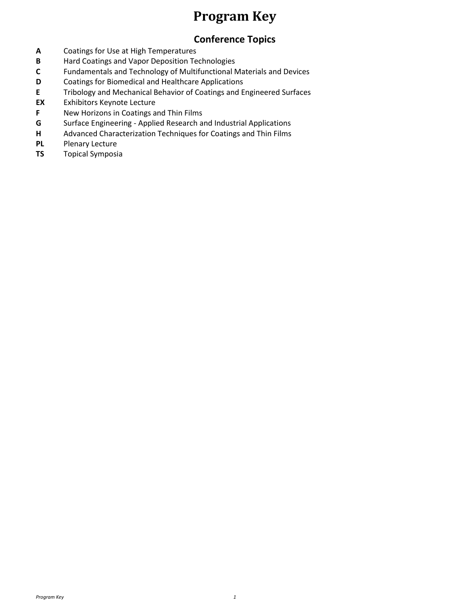#### **Program Key**

#### **Conference Topics**

- **A** Coatings for Use at High Temperatures
- **B** Hard Coatings and Vapor Deposition Technologies
- **C** Fundamentals and Technology of Multifunctional Materials and Devices
- **D** Coatings for Biomedical and Healthcare Applications
- **E** Tribology and Mechanical Behavior of Coatings and Engineered Surfaces
- **EX** Exhibitors Keynote Lecture
- **F** New Horizons in Coatings and Thin Films
- **G** Surface Engineering Applied Research and Industrial Applications
- **H** Advanced Characterization Techniques for Coatings and Thin Films
- **PL** Plenary Lecture
- **TS** Topical Symposia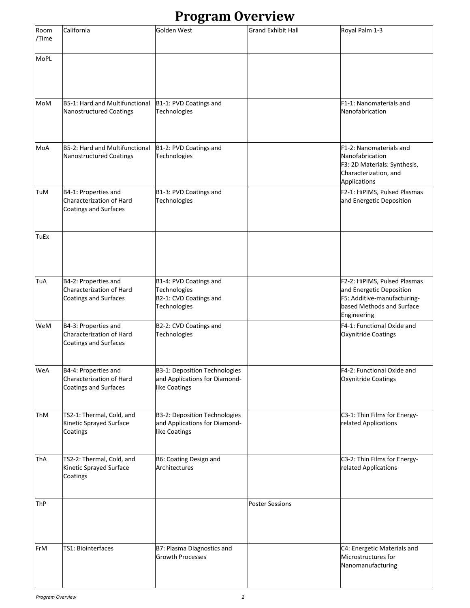#### **Program Overview**

| Room<br>/Time | California                                                                       | Golden West                                                                      | <b>Grand Exhibit Hall</b> | Royal Palm 1-3                                                                                                                      |
|---------------|----------------------------------------------------------------------------------|----------------------------------------------------------------------------------|---------------------------|-------------------------------------------------------------------------------------------------------------------------------------|
| <b>MoPL</b>   |                                                                                  |                                                                                  |                           |                                                                                                                                     |
| MoM           | B5-1: Hard and Multifunctional<br>Nanostructured Coatings                        | B1-1: PVD Coatings and<br>Technologies                                           |                           | F1-1: Nanomaterials and<br>Nanofabrication                                                                                          |
| MoA           | B5-2: Hard and Multifunctional<br>Nanostructured Coatings                        | B1-2: PVD Coatings and<br>Technologies                                           |                           | F1-2: Nanomaterials and<br>Nanofabrication<br>F3: 2D Materials: Synthesis,<br>Characterization, and<br>Applications                 |
| TuM           | B4-1: Properties and<br>Characterization of Hard<br><b>Coatings and Surfaces</b> | B1-3: PVD Coatings and<br>Technologies                                           |                           | F2-1: HiPIMS, Pulsed Plasmas<br>and Energetic Deposition                                                                            |
| TuEx          |                                                                                  |                                                                                  |                           |                                                                                                                                     |
| TuA           | B4-2: Properties and<br>Characterization of Hard<br>Coatings and Surfaces        | B1-4: PVD Coatings and<br>Technologies<br>B2-1: CVD Coatings and<br>Technologies |                           | F2-2: HiPIMS, Pulsed Plasmas<br>and Energetic Deposition<br>F5: Additive-manufacturing-<br>based Methods and Surface<br>Engineering |
| WeM           | B4-3: Properties and<br>Characterization of Hard<br>Coatings and Surfaces        | B2-2: CVD Coatings and<br>Technologies                                           |                           | F4-1: Functional Oxide and<br>Oxynitride Coatings                                                                                   |
| WeA           | B4-4: Properties and<br>Characterization of Hard<br><b>Coatings and Surfaces</b> | B3-1: Deposition Technologies<br>and Applications for Diamond-<br>like Coatings  |                           | F4-2: Functional Oxide and<br>Oxynitride Coatings                                                                                   |
| ThM           | TS2-1: Thermal, Cold, and<br>Kinetic Sprayed Surface<br>Coatings                 | B3-2: Deposition Technologies<br>and Applications for Diamond-<br>like Coatings  |                           | C3-1: Thin Films for Energy-<br>related Applications                                                                                |
| ThA           | TS2-2: Thermal, Cold, and<br>Kinetic Sprayed Surface<br>Coatings                 | B6: Coating Design and<br>Architectures                                          |                           | C3-2: Thin Films for Energy-<br>related Applications                                                                                |
| ThP           |                                                                                  |                                                                                  | <b>Poster Sessions</b>    |                                                                                                                                     |
| FrM           | TS1: Biointerfaces                                                               | B7: Plasma Diagnostics and<br><b>Growth Processes</b>                            |                           | C4: Energetic Materials and<br>Microstructures for<br>Nanomanufacturing                                                             |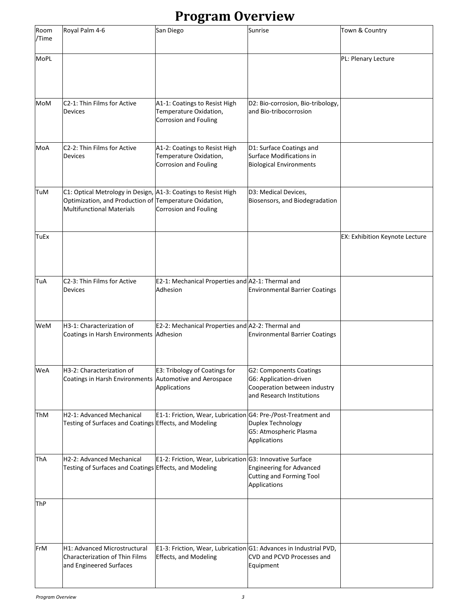### **Program Overview**

| Room<br>/Time | Royal Palm 4-6                                                                                                                                               | San Diego                                                                                         | Sunrise                                                                                                               | Town & Country                        |
|---------------|--------------------------------------------------------------------------------------------------------------------------------------------------------------|---------------------------------------------------------------------------------------------------|-----------------------------------------------------------------------------------------------------------------------|---------------------------------------|
| <b>MoPL</b>   |                                                                                                                                                              |                                                                                                   |                                                                                                                       | PL: Plenary Lecture                   |
| MoM           | C2-1: Thin Films for Active<br>Devices                                                                                                                       | A1-1: Coatings to Resist High<br>Temperature Oxidation,<br><b>Corrosion and Fouling</b>           | D2: Bio-corrosion, Bio-tribology,<br>and Bio-tribocorrosion                                                           |                                       |
| MoA           | C2-2: Thin Films for Active<br>Devices                                                                                                                       | A1-2: Coatings to Resist High<br>Temperature Oxidation,<br><b>Corrosion and Fouling</b>           | D1: Surface Coatings and<br>Surface Modifications in<br><b>Biological Environments</b>                                |                                       |
| TuM           | C1: Optical Metrology in Design, A1-3: Coatings to Resist High<br>Optimization, and Production of Temperature Oxidation,<br><b>Multifunctional Materials</b> | <b>Corrosion and Fouling</b>                                                                      | D3: Medical Devices,<br>Biosensors, and Biodegradation                                                                |                                       |
| TuEx          |                                                                                                                                                              |                                                                                                   |                                                                                                                       | <b>EX: Exhibition Keynote Lecture</b> |
| TuA           | C2-3: Thin Films for Active<br>Devices                                                                                                                       | E2-1: Mechanical Properties and A2-1: Thermal and<br>Adhesion                                     | <b>Environmental Barrier Coatings</b>                                                                                 |                                       |
| WeM           | H3-1: Characterization of<br>Coatings in Harsh Environments                                                                                                  | E2-2: Mechanical Properties and A2-2: Thermal and<br>Adhesion                                     | <b>Environmental Barrier Coatings</b>                                                                                 |                                       |
| WeA           | H3-2: Characterization of<br>Coatings in Harsh Environments Automotive and Aerospace                                                                         | <b>E3: Tribology of Coatings for</b><br>Applications                                              | <b>G2: Components Coatings</b><br>G6: Application-driven<br>Cooperation between industry<br>and Research Institutions |                                       |
| ThM           | H2-1: Advanced Mechanical<br>Testing of Surfaces and Coatings Effects, and Modeling                                                                          | E1-1: Friction, Wear, Lubrication G4: Pre-/Post-Treatment and                                     | Duplex Technology<br>G5: Atmospheric Plasma<br>Applications                                                           |                                       |
| ThA           | H2-2: Advanced Mechanical<br>Testing of Surfaces and Coatings Effects, and Modeling                                                                          | E1-2: Friction, Wear, Lubrication G3: Innovative Surface                                          | Engineering for Advanced<br><b>Cutting and Forming Tool</b><br>Applications                                           |                                       |
| ThP           |                                                                                                                                                              |                                                                                                   |                                                                                                                       |                                       |
| FrM           | H1: Advanced Microstructural<br>Characterization of Thin Films<br>and Engineered Surfaces                                                                    | E1-3: Friction, Wear, Lubrication G1: Advances in Industrial PVD,<br><b>Effects, and Modeling</b> | CVD and PCVD Processes and<br>Equipment                                                                               |                                       |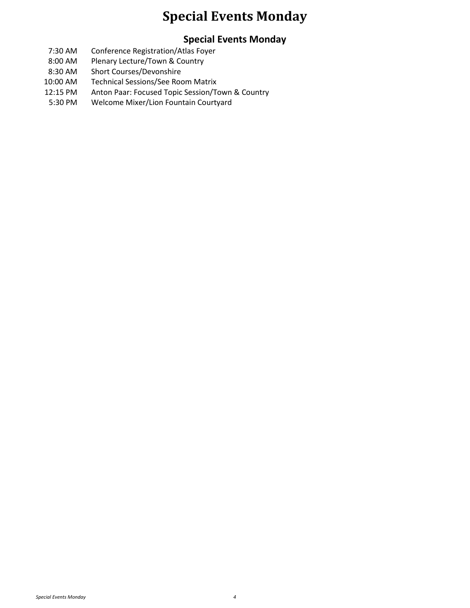#### **Special Events Monday**

#### **Special Events Monday**

- 7:30 AM Conference Registration/Atlas Foyer
- 8:00 AM Plenary Lecture/Town & Country
- 8:30 AM Short Courses/Devonshire
- 10:00 AM Technical Sessions/See Room Matrix
- 12:15 PM Anton Paar: Focused Topic Session/Town & Country
- 5:30 PM Welcome Mixer/Lion Fountain Courtyard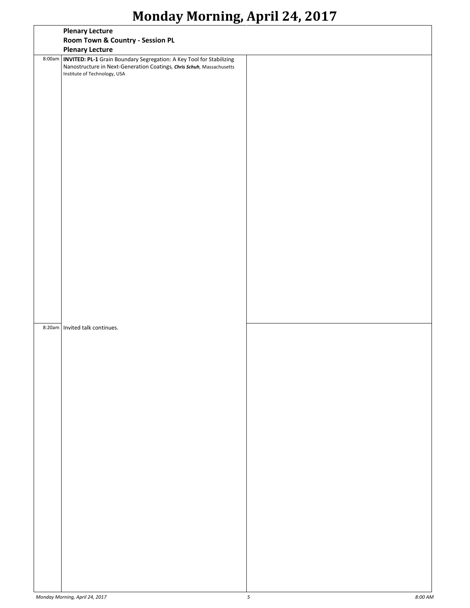|        | <b>Plenary Lecture</b>                                                                                                                                                               |  |
|--------|--------------------------------------------------------------------------------------------------------------------------------------------------------------------------------------|--|
|        | Room Town & Country - Session PL                                                                                                                                                     |  |
|        | <b>Plenary Lecture</b>                                                                                                                                                               |  |
| 8:00am | <b>INVITED: PL-1</b> Grain Boundary Segregation: A Key Tool for Stabilizing<br>Nanostructure in Next-Generation Coatings, Chris Schuh, Massachusetts<br>Institute of Technology, USA |  |
|        |                                                                                                                                                                                      |  |
|        |                                                                                                                                                                                      |  |
|        |                                                                                                                                                                                      |  |
|        |                                                                                                                                                                                      |  |
|        |                                                                                                                                                                                      |  |
|        |                                                                                                                                                                                      |  |
|        |                                                                                                                                                                                      |  |
|        |                                                                                                                                                                                      |  |
|        |                                                                                                                                                                                      |  |
| 8:20am | Invited talk continues.                                                                                                                                                              |  |
|        |                                                                                                                                                                                      |  |
|        |                                                                                                                                                                                      |  |
|        |                                                                                                                                                                                      |  |
|        |                                                                                                                                                                                      |  |
|        |                                                                                                                                                                                      |  |
|        |                                                                                                                                                                                      |  |
|        |                                                                                                                                                                                      |  |
|        |                                                                                                                                                                                      |  |
|        |                                                                                                                                                                                      |  |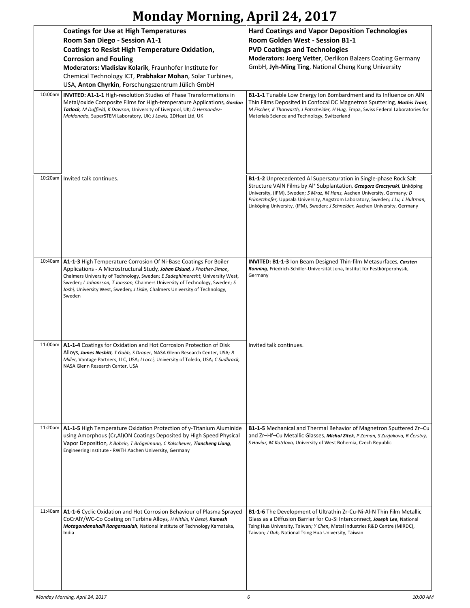|         | <b>Coatings for Use at High Temperatures</b><br>Room San Diego - Session A1-1<br><b>Coatings to Resist High Temperature Oxidation,</b><br><b>Corrosion and Fouling</b><br>Moderators: Vladislav Kolarik, Fraunhofer Institute for<br>Chemical Technology ICT, Prabhakar Mohan, Solar Turbines,<br>USA, Anton Chyrkin, Forschungszentrum Jülich GmbH                                                  | <b>Hard Coatings and Vapor Deposition Technologies</b><br><b>Room Golden West - Session B1-1</b><br><b>PVD Coatings and Technologies</b><br><b>Moderators: Joerg Vetter, Oerlikon Balzers Coating Germany</b><br>GmbH, Jyh-Ming Ting, National Cheng Kung University                                                                                                                                             |
|---------|------------------------------------------------------------------------------------------------------------------------------------------------------------------------------------------------------------------------------------------------------------------------------------------------------------------------------------------------------------------------------------------------------|------------------------------------------------------------------------------------------------------------------------------------------------------------------------------------------------------------------------------------------------------------------------------------------------------------------------------------------------------------------------------------------------------------------|
| 10:00am | <b>INVITED: A1-1-1 High-resolution Studies of Phase Transformations in</b><br>Metal/oxide Composite Films for High-temperature Applications, Gordon<br>Tatlock, M Duffield, K Dawson, University of Liverpool, UK; D Hernandez-<br>Maldonado, SuperSTEM Laboratory, UK; J Lewis, 2DHeat Ltd, UK                                                                                                      | <b>B1-1-1</b> Tunable Low Energy Ion Bombardment and its Influence on AIN<br>Thin Films Deposited in Confocal DC Magnetron Sputtering, Mathis Trant,<br>M Fischer, K Thorwarth, J Patscheider, H Hug, Empa, Swiss Federal Laboratories for<br>Materials Science and Technology, Switzerland                                                                                                                      |
| 10:20am | Invited talk continues.                                                                                                                                                                                                                                                                                                                                                                              | <b>B1-1-2</b> Unprecedented Al Supersaturation in Single-phase Rock Salt<br>Structure VAIN Films by Al <sup>+</sup> Subplantation, Grzegorz Greczynski, Linköping<br>University, (IFM), Sweden; S Mraz, M Hans, Aachen University, Germany; D<br>Primetzhofer, Uppsala University, Angstrom Laboratory, Sweden; J Lu, L Hultman,<br>Linköping University, (IFM), Sweden; J Schneider, Aachen University, Germany |
| 10:40am | A1-1-3 High Temperature Corrosion Of Ni-Base Coatings For Boiler<br>Applications - A Microstructural Study, Johan Eklund, J Phother-Simon,<br>Chalmers University of Technology, Sweden; E Sadeghimeresht, University West,<br>Sweden; L Johansson, T Jonsson, Chalmers University of Technology, Sweden; S<br>Joshi, University West, Sweden; J Liske, Chalmers University of Technology,<br>Sweden | <b>INVITED: B1-1-3</b> Ion Beam Designed Thin-film Metasurfaces, Carsten<br>Ronning, Friedrich-Schiller-Universität Jena, Institut für Festkörperphysik,<br>Germany                                                                                                                                                                                                                                              |
| 11:00am | A1-1-4 Coatings for Oxidation and Hot Corrosion Protection of Disk<br>Alloys, James Nesbitt, T Gabb, S Draper, NASA Glenn Research Center, USA; R<br>Miller, Vantage Partners, LLC, USA; I Locci, University of Toledo, USA; C Sudbrack,<br>NASA Glenn Research Center. USA                                                                                                                          | Invited talk continues.                                                                                                                                                                                                                                                                                                                                                                                          |
| 11:20am | A1-1-5 High Temperature Oxidation Protection of γ-Titanium Aluminide<br>using Amorphous (Cr, Al)ON Coatings Deposited by High Speed Physical<br>Vapor Deposition, K Bobzin, T Brögelmann, C Kalscheuer, Tiancheng Liang,<br>Engineering Institute - RWTH Aachen University, Germany                                                                                                                  | B1-1-5 Mechanical and Thermal Behavior of Magnetron Sputtered Zr-Cu<br>and Zr-Hf-Cu Metallic Glasses, Michal Zitek, P Zeman, S Zuzjakova, R Čerstvý,<br>S Haviar, M Kotrlova, University of West Bohemia, Czech Republic                                                                                                                                                                                         |
| 11:40am | A1-1-6 Cyclic Oxidation and Hot Corrosion Behaviour of Plasma Sprayed<br>CoCrAlY/WC-Co Coating on Turbine Alloys, H Nithin, V Desai, Ramesh<br>Motagondanahalli Rangarasaiah, National Institute of Technology Karnataka,<br>India                                                                                                                                                                   | B1-1-6 The Development of Ultrathin Zr-Cu-Ni-Al-N Thin Film Metallic<br>Glass as a Diffusion Barrier for Cu-Si Interconnect, Joseph Lee, National<br>Tsing Hua University, Taiwan; Y Chen, Metal Industries R&D Centre (MIRDC),<br>Taiwan; J Duh, National Tsing Hua University, Taiwan                                                                                                                          |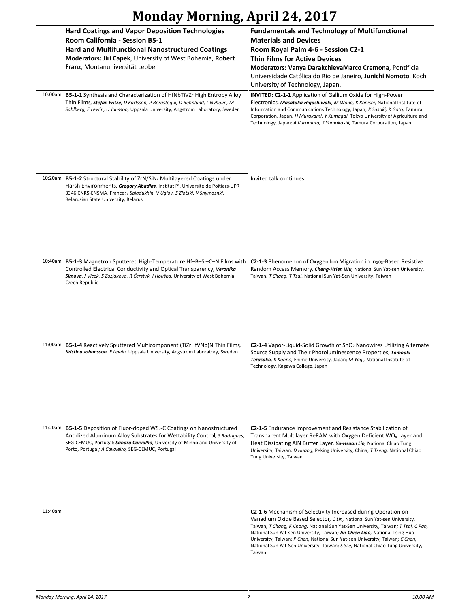|         | <b>Hard Coatings and Vapor Deposition Technologies</b><br>Room California - Session B5-1<br><b>Hard and Multifunctional Nanostructured Coatings</b><br>Moderators: Jiri Capek, University of West Bohemia, Robert<br>Franz, Montanuniversität Leoben                                                  | <b>Fundamentals and Technology of Multifunctional</b><br><b>Materials and Devices</b><br>Room Royal Palm 4-6 - Session C2-1<br><b>Thin Films for Active Devices</b><br>Moderators: Vanya DarakchievaMarco Cremona, Pontificia<br>Universidade Católica do Rio de Janeiro, Junichi Nomoto, Kochi<br>University of Technology, Japan,                                                                                                                                                      |
|---------|-------------------------------------------------------------------------------------------------------------------------------------------------------------------------------------------------------------------------------------------------------------------------------------------------------|------------------------------------------------------------------------------------------------------------------------------------------------------------------------------------------------------------------------------------------------------------------------------------------------------------------------------------------------------------------------------------------------------------------------------------------------------------------------------------------|
| 10:00am | <b>B5-1-1</b> Synthesis and Characterization of HfNbTiVZr High Entropy Alloy<br>Thin Films, Stefan Fritze, D Karlsson, P Berastequi, D Rehnlund, L Nyholm, M<br>Sahlberg, E Lewin, U Jansson, Uppsala University, Angstrom Laboratory, Sweden                                                         | <b>INVITED: C2-1-1</b> Application of Gallium Oxide for High-Power<br>Electronics, Masataka Higashiwaki, M Wong, K Konishi, National Institute of<br>Information and Communications Technology, Japan; K Sasaki, K Goto, Tamura<br>Corporation, Japan; H Murakami, Y Kumagai, Tokyo University of Agriculture and<br>Technology, Japan; A Kuramata, S Yamakoshi, Tamura Corporation, Japan                                                                                               |
| 10:20am | <b>B5-1-2</b> Structural Stability of ZrN/SiN <sub>x</sub> Multilayered Coatings under<br>Harsh Environments, Gregory Abadias, Institut P', Université de Poitiers-UPR<br>3346 CNRS-ENSMA, France; I Saladukhin, V Uglov, S Zlotski, V Shymasnki,<br>Belarusian State University, Belarus             | Invited talk continues.                                                                                                                                                                                                                                                                                                                                                                                                                                                                  |
| 10:40am | B5-1-3 Magnetron Sputtered High-Temperature Hf-B-Si-C-N Films with<br>Controlled Electrical Conductivity and Optical Transparency, Veronika<br>Simova, J Vlcek, S Zuzjakova, R Čerstvý, J Houška, University of West Bohemia,<br>Czech Republic                                                       | C2-1-3 Phenomenon of Oxygen Ion Migration in In <sub>203</sub> -Based Resistive<br>Random Access Memory, Cheng-Hsien Wu, National Sun Yat-sen University,<br>Taiwan; T Chang, T Tsai, National Sun Yat-Sen University, Taiwan                                                                                                                                                                                                                                                            |
| 11:00am | B5-1-4 Reactively Sputtered Multicomponent (TiZrHfVNb)N Thin Films,<br>Kristina Johansson, E Lewin, Uppsala University, Angstrom Laboratory, Sweden                                                                                                                                                   | C2-1-4 Vapor-Liquid-Solid Growth of SnO <sub>2</sub> Nanowires Utilizing Alternate<br>Source Supply and Their Photoluminescence Properties, Tomoaki<br>Terasako, K Kohno, Ehime University, Japan; M Yagi, National Institute of<br>Technology, Kagawa College, Japan                                                                                                                                                                                                                    |
| 11:20am | <b>B5-1-5</b> Deposition of Fluor-doped WS <sub>2</sub> -C Coatings on Nanostructured<br>Anodized Aluminum Alloy Substrates for Wettability Control, S Rodrigues,<br>SEG-CEMUC, Portugal; Sandra Carvalho, University of Minho and University of<br>Porto, Portugal; A Cavaleiro, SEG-CEMUC, Portugal | <b>C2-1-5</b> Endurance Improvement and Resistance Stabilization of<br>Transparent Multilayer ReRAM with Oxygen Deficient WO <sub>x</sub> Layer and<br>Heat Dissipating AIN Buffer Layer, Yu-Hsuan Lin, National Chiao Tung<br>University, Taiwan; D Huang, Peking University, China; T Tseng, National Chiao<br>Tung University, Taiwan                                                                                                                                                 |
| 11:40am |                                                                                                                                                                                                                                                                                                       | C2-1-6 Mechanism of Selectivity Increased during Operation on<br>Vanadium Oxide Based Selector, C Lin, National Sun Yat-sen University,<br>Taiwan; T Chang, K Chang, National Sun Yat-Sen University, Taiwan; T Tsai, C Pan,<br>National Sun Yat-sen University, Taiwan; Jih-Chien Liao, National Tsing Hua<br>University, Taiwan; P Chen, National Sun Yat-sen University, Taiwan; C Chen,<br>National Sun Yat-Sen University, Taiwan; S Sze, National Chiao Tung University,<br>Taiwan |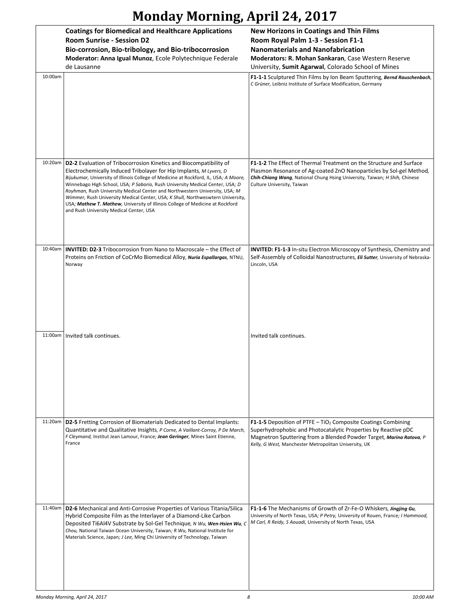|         | <b>Coatings for Biomedical and Healthcare Applications</b><br><b>Room Sunrise - Session D2</b><br>Bio-corrosion, Bio-tribology, and Bio-tribocorrosion<br>Moderator: Anna Igual Munoz, Ecole Polytechnique Federale<br>de Lausanne                                                                                                                                                                                                                                                                                                                                                                              | <b>New Horizons in Coatings and Thin Films</b><br>Room Royal Palm 1-3 - Session F1-1<br><b>Nanomaterials and Nanofabrication</b><br>Moderators: R. Mohan Sankaran, Case Western Reserve<br>University, Sumit Agarwal, Colorado School of Mines                              |
|---------|-----------------------------------------------------------------------------------------------------------------------------------------------------------------------------------------------------------------------------------------------------------------------------------------------------------------------------------------------------------------------------------------------------------------------------------------------------------------------------------------------------------------------------------------------------------------------------------------------------------------|-----------------------------------------------------------------------------------------------------------------------------------------------------------------------------------------------------------------------------------------------------------------------------|
| 10:00am |                                                                                                                                                                                                                                                                                                                                                                                                                                                                                                                                                                                                                 | F1-1-1 Sculptured Thin Films by Ion Beam Sputtering, Bernd Rauschenbach,<br>C Grüner, Leibniz Institute of Surface Modification, Germany                                                                                                                                    |
| 10:20am | D2-2 Evaluation of Tribocorrosion Kinetics and Biocompatibility of<br>Electrochemically Induced Tribolayer for Hip Implants, M Lyvers, D<br>Bijukumar, University of Illinois College of Medicine at Rockford, IL, USA; A Moore,<br>Winnebago High School, USA; P Saborio, Rush University Medical Center, USA; D<br>Royhman, Rush University Medical Center and Northwestern University, USA; M<br>Wimmer, Rush University Medical Center, USA; K Shull, Northweswtern University,<br>USA; Mathew T. Mathew, University of Illinois College of Medicine at Rockford<br>and Rush University Medical Center, USA | F1-1-2 The Effect of Thermal Treatment on the Structure and Surface<br>Plasmon Resonance of Ag-coated ZnO Nanoparticles by Sol-gel Method,<br>Chih-Chiang Wang, National Chung Hsing University, Taiwan; H Shih, Chinese<br>Culture University, Taiwan                      |
| 10:40am | <b>INVITED: D2-3</b> Tribocorrosion from Nano to Macroscale – the Effect of<br>Proteins on Friction of CoCrMo Biomedical Alloy, Nuria Espallargas, NTNU,<br>Norway                                                                                                                                                                                                                                                                                                                                                                                                                                              | INVITED: F1-1-3 In-situ Electron Microscopy of Synthesis, Chemistry and<br>Self-Assembly of Colloidal Nanostructures, <i>Eli Sutter</i> , University of Nebraska-<br>Lincoln, USA                                                                                           |
| 11:00am | Invited talk continues.                                                                                                                                                                                                                                                                                                                                                                                                                                                                                                                                                                                         | Invited talk continues.                                                                                                                                                                                                                                                     |
|         | 11:20am   D2-5 Fretting Corrosion of Biomaterials Dedicated to Dental Implants:<br>Quantitative and Qualitative Insights, P Corne, A Vaillant-Corroy, P De March,<br>F Cleymand, Institut Jean Lamour, France; Jean Geringer, Mines Saint Etienne,<br>France                                                                                                                                                                                                                                                                                                                                                    | F1-1-5 Deposition of PTFE - TiO <sub>2</sub> Composite Coatings Combining<br>Superhydrophobic and Photocatalytic Properties by Reactive pDC<br>Magnetron Sputtering from a Blended Powder Target, Marina Ratova, P<br>Kelly, G West, Manchester Metropolitan University, UK |
| 11:40am | D2-6 Mechanical and Anti-Corrosive Properties of Various Titania/Silica<br>Hybrid Composite Film as the Interlayer of a Diamond-Like Carbon<br>Deposited Ti6Al4V Substrate by Sol-Gel Technique, N Wu, Wen-Hsien Wu, C<br>Chou, National Taiwan Ocean University, Taiwan; R Wu, National Institute for<br>Materials Science, Japan; J Lee, Ming Chi University of Technology, Taiwan                                                                                                                                                                                                                            | F1-1-6 The Mechanisms of Growth of Zr-Fe-O Whiskers, Jingjing Gu,<br>University of North Texas, USA; P Petry, University of Rouen, France; I Hammood,<br>M Carl, R Reidy, S Aouadi, University of North Texas, USA                                                          |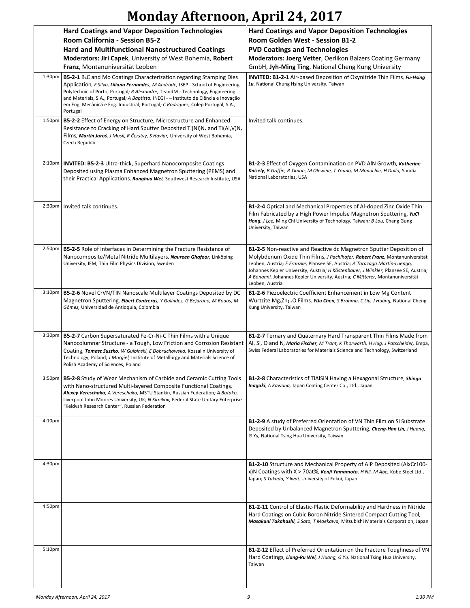|                    | <b>Hard Coatings and Vapor Deposition Technologies</b><br>Room California - Session B5-2<br><b>Hard and Multifunctional Nanostructured Coatings</b>                                                                                                                                                                                                                                                                                                     | <b>Hard Coatings and Vapor Deposition Technologies</b><br><b>Room Golden West - Session B1-2</b><br><b>PVD Coatings and Technologies</b>                                                                                                                                                                                                                                                                                          |
|--------------------|---------------------------------------------------------------------------------------------------------------------------------------------------------------------------------------------------------------------------------------------------------------------------------------------------------------------------------------------------------------------------------------------------------------------------------------------------------|-----------------------------------------------------------------------------------------------------------------------------------------------------------------------------------------------------------------------------------------------------------------------------------------------------------------------------------------------------------------------------------------------------------------------------------|
|                    | Moderators: Jiri Capek, University of West Bohemia, Robert<br>Franz, Montanuniversität Leoben                                                                                                                                                                                                                                                                                                                                                           | Moderators: Joerg Vetter, Oerlikon Balzers Coating Germany<br>GmbH, Jyh-Ming Ting, National Cheng Kung University                                                                                                                                                                                                                                                                                                                 |
|                    | 1:30pm   B5-2-1 B <sub>4</sub> C and Mo Coatings Characterization regarding Stamping Dies<br>Application, F Silva, Liliana Fernandes, M Andrade, ISEP - School of Engineering,<br>Polytechnic of Porto, Portugal; R Alexandre, TeandM - Technology, Engineering<br>and Materials, S.A., Portugal; A Baptista, INEGI - - Instituto de Ciência e Inovação<br>em Eng. Mecânica e Eng. Industrial, Portugal; C Rodrigues, Colep Portugal, S.A.,<br>Portugal | INVITED: B1-2-1 Air-based Deposition of Oxynitride Thin Films, Fu-Hsing<br>Lu, National Chung Hsing University, Taiwan                                                                                                                                                                                                                                                                                                            |
| 1:50 <sub>pm</sub> | B5-2-2 Effect of Energy on Structure, Microstructure and Enhanced<br>Resistance to Cracking of Hard Sputter Deposited Ti(Ni)N <sub>x</sub> and Ti(Al, V)N <sub>x</sub><br>Films, Martin Jaroš, J Musil, R Čerstvý, S Haviar, University of West Bohemia,<br>Czech Republic                                                                                                                                                                              | Invited talk continues.                                                                                                                                                                                                                                                                                                                                                                                                           |
|                    | 2:10pm   INVITED: B5-2-3 Ultra-thick, Superhard Nanocomposite Coatings<br>Deposited using Plasma Enhanced Magnetron Sputtering (PEMS) and<br>their Practical Applications, Ronghua Wei, Southwest Research Institute, USA                                                                                                                                                                                                                               | <b>B1-2-3</b> Effect of Oxygen Contamination on PVD AIN Growth, Katherine<br>Knisely, B Griffin, R Timon, M Olewine, T Young, M Monochie, H Dallo, Sandia<br>National Laboratories, USA                                                                                                                                                                                                                                           |
|                    | 2:30pm   Invited talk continues.                                                                                                                                                                                                                                                                                                                                                                                                                        | B1-2-4 Optical and Mechanical Properties of Al-doped Zinc Oxide Thin<br>Film Fabricated by a High Power Impulse Magnetron Sputtering, YuCi<br>Hong, J Lee, Ming Chi University of Technology, Taiwan; B Lou, Chang Gung<br>University, Taiwan                                                                                                                                                                                     |
|                    | 2:50pm   B5-2-5 Role of Interfaces in Determining the Fracture Resistance of<br>Nanocomposite/Metal Nitride Multilayers, Naureen Ghafoor, Linköping<br>University, IFM, Thin Film Physics Division, Sweden                                                                                                                                                                                                                                              | <b>B1-2-5</b> Non-reactive and Reactive dc Magnetron Sputter Deposition of<br>Molybdenum Oxide Thin Films, J Pachlhofer, Robert Franz, Montanuniversität<br>Leoben, Austria; E Franzke, Plansee SE, Austria; A Tarazaga Martín-Luengo,<br>Johannes Kepler University, Austria; H Köstenbauer, J Winkler, Plansee SE, Austria;<br>A Bonanni, Johannes Kepler University, Austria; C Mitterer, Montanuniversität<br>Leoben, Austria |
|                    | 3:10pm   B5-2-6 Novel CrVN/TIN Nanoscale Multilayer Coatings Deposited by DC<br>Magnetron Sputtering, Elbert Contreras, Y Galindez, G Bejarano, M Rodas, M<br>Gómez, Universidad de Antioquia, Colombia                                                                                                                                                                                                                                                 | B1-2-6 Piezoelectric Coefficient Enhancement in Low Mg Content<br>Wurtzite Mg <sub>x</sub> Zn <sub>1-x</sub> O Films, YiJu Chen, S Brahma, C Liu, J Huang, National Cheng<br>Kung University, Taiwan                                                                                                                                                                                                                              |
| 3:30 <sub>pm</sub> | <b>B5-2-7</b> Carbon Supersaturated Fe-Cr-Ni-C Thin Films with a Unique<br>Nanocolumnar Structure - a Tough, Low Friction and Corrosion Resistant<br>Coating, Tomasz Suszko, W Gulbinski, E Dobruchowska, Koszalin University of<br>Technology, Poland; J Morgiel, Institute of Metallurgy and Materials Science of<br>Polish Academy of Sciences, Poland                                                                                               | B1-2-7 Ternary and Quaternary Hard Transparent Thin Films Made from<br>Al, Si, O and N, Maria Fischer, M Trant, K Thorwarth, H Hug, J Patscheider, Empa,<br>Swiss Federal Laboratories for Materials Science and Technology, Switzerland                                                                                                                                                                                          |
|                    | 3:50pm   B5-2-8 Study of Wear Mechanism of Carbide and Ceramic Cutting Tools<br>with Nano-structured Multi-layered Composite Functional Coatings,<br>Alexey Vereschaka, A Vereschaka, MSTU Stankin, Russian Federation; A Batako,<br>Liverpool John Moores University, UK; N Sitnikov, Federal State Unitary Enterprise<br>"Keldysh Research Center", Russian Federation                                                                                | <b>B1-2-8</b> Characteristics of TiAlSiN Having a Hexagonal Structure, Shingo<br>Inagaki, A Kawana, Japan Coating Center Co., Ltd., Japan                                                                                                                                                                                                                                                                                         |
| 4:10pm             |                                                                                                                                                                                                                                                                                                                                                                                                                                                         | <b>B1-2-9</b> A study of Preferred Orientation of VN Thin Film on Si Substrate<br>Deposited by Unbalanced Magnetron Sputtering, Cheng-Han Lin, J Huang,<br>G Yu, National Tsing Hua University, Taiwan                                                                                                                                                                                                                            |
| 4:30pm             |                                                                                                                                                                                                                                                                                                                                                                                                                                                         | <b>B1-2-10</b> Structure and Mechanical Property of AIP Deposited (AlxCr100-<br>x)N Coatings with X > 70at%, Kenji Yamamoto, H Nii, M Abe, Kobe Steel Ltd.,<br>Japan; S Takada, Y Iwai, University of Fukui, Japan                                                                                                                                                                                                                |
| 4:50pm             |                                                                                                                                                                                                                                                                                                                                                                                                                                                         | B1-2-11 Control of Elastic-Plastic Deformability and Hardness in Nitride<br>Hard Coatings on Cubic Boron Nitride Sintered Compact Cutting Tool,<br>Masakuni Takahashi, S Sato, T Maekawa, Mitsubishi Materials Corporation, Japan                                                                                                                                                                                                 |
| 5:10pm             |                                                                                                                                                                                                                                                                                                                                                                                                                                                         | <b>B1-2-12</b> Effect of Preferred Orientation on the Fracture Toughness of VN<br>Hard Coatings, Liang-Ru Wei, J Huang, G Yu, National Tsing Hua University,<br>Taiwan                                                                                                                                                                                                                                                            |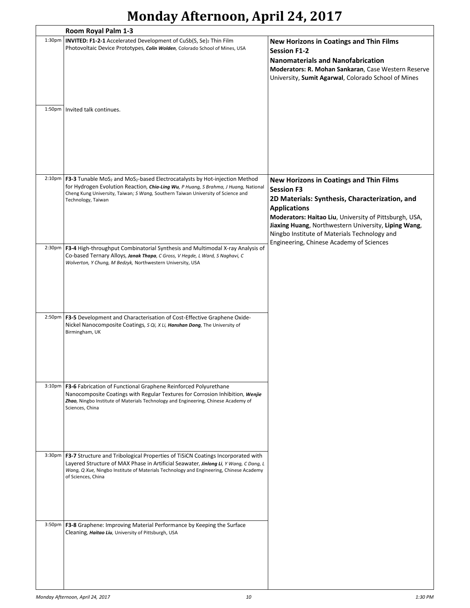|                     | Room Royal Palm 1-3                                                                                                                                                                                                                                                                                 |                                                                                                                                                                                                                                                                                                                |
|---------------------|-----------------------------------------------------------------------------------------------------------------------------------------------------------------------------------------------------------------------------------------------------------------------------------------------------|----------------------------------------------------------------------------------------------------------------------------------------------------------------------------------------------------------------------------------------------------------------------------------------------------------------|
| 1:30 <sub>pm</sub>  | INVITED: F1-2-1 Accelerated Development of CuSb(S, Se)2 Thin Film<br>Photovoltaic Device Prototypes, Colin Wolden, Colorado School of Mines, USA                                                                                                                                                    | <b>New Horizons in Coatings and Thin Films</b><br><b>Session F1-2</b><br><b>Nanomaterials and Nanofabrication</b><br>Moderators: R. Mohan Sankaran, Case Western Reserve<br>University, Sumit Agarwal, Colorado School of Mines                                                                                |
| 1:50 <sub>pm</sub>  | Invited talk continues.                                                                                                                                                                                                                                                                             |                                                                                                                                                                                                                                                                                                                |
| 2:10 <sub>p</sub> m | F3-3 Tunable MoS <sub>2</sub> and MoS <sub>2</sub> -based Electrocatalysts by Hot-injection Method<br>for Hydrogen Evolution Reaction, Chia-Ling Wu, P Huang, S Brahma, J Huang, National<br>Cheng Kung University, Taiwan; S Wang, Southern Taiwan University of Science and<br>Technology, Taiwan | <b>New Horizons in Coatings and Thin Films</b><br><b>Session F3</b><br>2D Materials: Synthesis, Characterization, and<br><b>Applications</b><br>Moderators: Haitao Liu, University of Pittsburgh, USA,<br>Jiaxing Huang, Northwestern University, Liping Wang,<br>Ningbo Institute of Materials Technology and |
| 2:30 <sub>pm</sub>  | F3-4 High-throughput Combinatorial Synthesis and Multimodal X-ray Analysis of<br>Co-based Ternary Alloys, Janak Thapa, C Gross, V Hegde, L Ward, S Naghavi, C<br>Wolverton, Y Chung, M Bedzyk, Northwestern University, USA                                                                         | Engineering, Chinese Academy of Sciences                                                                                                                                                                                                                                                                       |
| $2:50p$ m           | F3-5 Development and Characterisation of Cost-Effective Graphene Oxide-<br>Nickel Nanocomposite Coatings, S Qi, X Li, Hanshan Dong, The University of<br>Birmingham, UK                                                                                                                             |                                                                                                                                                                                                                                                                                                                |
| 3:10 <sub>pm</sub>  | F3-6 Fabrication of Functional Graphene Reinforced Polyurethane<br>Nanocomposite Coatings with Regular Textures for Corrosion Inhibition, Wenjie<br>Zhao, Ningbo Institute of Materials Technology and Engineering, Chinese Academy of<br>Sciences, China                                           |                                                                                                                                                                                                                                                                                                                |
| 3:30 <sub>pm</sub>  | <b>F3-7</b> Structure and Tribological Properties of TiSiCN Coatings Incorporated with<br>Layered Structure of MAX Phase in Artificial Seawater, Jinlong Li, Y Wang, C Dang, L<br>Wang, Q Xue, Ningbo Institute of Materials Technology and Engineering, Chinese Academy<br>of Sciences, China      |                                                                                                                                                                                                                                                                                                                |
| 3:50 <sub>pm</sub>  | F3-8 Graphene: Improving Material Performance by Keeping the Surface<br>Cleaning, Haitao Liu, University of Pittsburgh, USA                                                                                                                                                                         |                                                                                                                                                                                                                                                                                                                |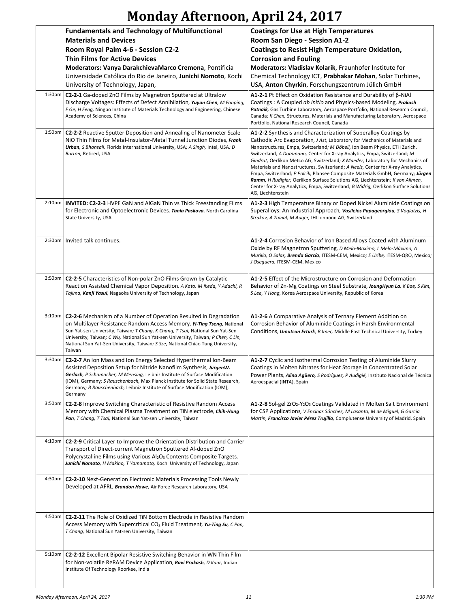|                     | <b>Fundamentals and Technology of Multifunctional</b><br><b>Materials and Devices</b>                                                                                                                                                                                                                                                                                                                           | <b>Coatings for Use at High Temperatures</b><br>Room San Diego - Session A1-2                                                                                                                                                                                                                                                                                                                                                                                                                                                                                                                                                                                                                                                                               |
|---------------------|-----------------------------------------------------------------------------------------------------------------------------------------------------------------------------------------------------------------------------------------------------------------------------------------------------------------------------------------------------------------------------------------------------------------|-------------------------------------------------------------------------------------------------------------------------------------------------------------------------------------------------------------------------------------------------------------------------------------------------------------------------------------------------------------------------------------------------------------------------------------------------------------------------------------------------------------------------------------------------------------------------------------------------------------------------------------------------------------------------------------------------------------------------------------------------------------|
|                     | Room Royal Palm 4-6 - Session C2-2                                                                                                                                                                                                                                                                                                                                                                              | <b>Coatings to Resist High Temperature Oxidation,</b>                                                                                                                                                                                                                                                                                                                                                                                                                                                                                                                                                                                                                                                                                                       |
|                     | <b>Thin Films for Active Devices</b>                                                                                                                                                                                                                                                                                                                                                                            | <b>Corrosion and Fouling</b>                                                                                                                                                                                                                                                                                                                                                                                                                                                                                                                                                                                                                                                                                                                                |
|                     | Moderators: Vanya DarakchievaMarco Cremona, Pontificia                                                                                                                                                                                                                                                                                                                                                          | Moderators: Vladislav Kolarik, Fraunhofer Institute for                                                                                                                                                                                                                                                                                                                                                                                                                                                                                                                                                                                                                                                                                                     |
|                     | Universidade Católica do Rio de Janeiro, Junichi Nomoto, Kochi<br>University of Technology, Japan,                                                                                                                                                                                                                                                                                                              | Chemical Technology ICT, Prabhakar Mohan, Solar Turbines,<br>USA, Anton Chyrkin, Forschungszentrum Jülich GmbH                                                                                                                                                                                                                                                                                                                                                                                                                                                                                                                                                                                                                                              |
| 1:30 <sub>pm</sub>  | <b>C2-2-1</b> Ga-doped ZnO Films by Magnetron Sputtered at Ultralow<br>Discharge Voltages: Effects of Defect Annihilation, Yuyun Chen, M Fanping<br>F Ge, H Feng, Ningbo Institute of Materials Technology and Engineering, Chinese<br>Academy of Sciences, China                                                                                                                                               | <b>A1-2-1</b> Pt Effect on Oxidation Resistance and Durability of $\beta$ -NiAl<br>Coatings: A Coupled ab initio and Physics-based Modeling, Prakash<br>Patnaik, Gas Turbine Laboratory, Aerospace Portfolio, National Research Council,<br>Canada; K Chen, Structures, Materials and Manufacturing Laboratory, Aerospace<br>Portfolio, National Research Council, Canada                                                                                                                                                                                                                                                                                                                                                                                   |
| $1:50p$ m           | C2-2-2 Reactive Sputter Deposition and Annealing of Nanometer Scale<br>NiO Thin Films for Metal-Insulator-Metal Tunnel Junction Diodes, Frank<br>Urban, S Bhansali, Florida International University, USA; A Singh, Intel, USA; D<br>Barton, Retired, USA                                                                                                                                                       | A1-2-2 Synthesis and Characterization of Superalloy Coatings by<br>Cathodic Arc Evaporation, J Ast, Laboratory for Mechanics of Materials and<br>Nanostructures, Empa, Switzerland; M Döbeli, Ion Beam Physics, ETH Zurich,<br>Switzerland; A Dommann, Center for X-ray Analytics, Empa, Switzerland; M<br>Gindrat, Oerlikon Metco AG, Switzerland; X Maeder, Laboratory for Mechanics of<br>Materials and Nanostructures, Switzerland; A Neels, Center for X-ray Analytics,<br>Empa, Switzerland; P Polcik, Plansee Composite Materials GmbH, Germany; Jürgen<br>Ramm, H Rudigier, Oerlikon Surface Solutions AG, Liechtenstein; K von Allmen,<br>Center for X-ray Analytics, Empa, Switzerland; B Widrig, Oerlikon Surface Solutions<br>AG, Liechtenstein |
| 2:10 <sub>p</sub> m | INVITED: C2-2-3 HVPE GaN and AlGaN Thin vs Thick Freestanding Films<br>for Electronic and Optoelectronic Devices, Tania Paskova, North Carolina<br>State University, USA                                                                                                                                                                                                                                        | A1-2-3 High Temperature Binary or Doped Nickel Aluminide Coatings on<br>Superalloys: An Industrial Approach, Vasileios Papageorgiou, S Vogiatzis, H<br>Strakov, A Zainal, M Auger, IHI Ionbond AG, Switzerland                                                                                                                                                                                                                                                                                                                                                                                                                                                                                                                                              |
|                     | 2:30pm   Invited talk continues.                                                                                                                                                                                                                                                                                                                                                                                | A1-2-4 Corrosion Behavior of Iron Based Alloys Coated with Aluminum<br>Oxide by RF Magnetron Sputtering, D Melo-Maximo, L Melo-Máximo, A<br>Murillo, O Salas, <b>Brenda García</b> , ITESM-CEM, Mexico; E Uribe, ITESM-QRO, Mexico;<br>J Oseguera, ITESM-CEM, Mexico                                                                                                                                                                                                                                                                                                                                                                                                                                                                                        |
| 2:50pm              | C2-2-5 Characteristics of Non-polar ZnO Films Grown by Catalytic<br>Reaction Assisted Chemical Vapor Deposition, A Kato, M Ikeda, Y Adachi, R<br>Tajima, Kanji Yasui, Nagaoka University of Technology, Japan                                                                                                                                                                                                   | A1-2-5 Effect of the Microstructure on Corrosion and Deformation<br>Behavior of Zn-Mg Coatings on Steel Substrate, JoungHyun La, K Bae, S Kim,<br>S Lee, Y Hong, Korea Aerospace University, Republic of Korea                                                                                                                                                                                                                                                                                                                                                                                                                                                                                                                                              |
| 3:10 <sub>pm</sub>  | C2-2-6 Mechanism of a Number of Operation Resulted in Degradation<br>on Multilayer Resistance Random Access Memory, Yi-Ting Tseng, National<br>Sun Yat-sen University, Taiwan; T Chang, K Chang, T Tsai, National Sun Yat-Sen<br>University, Taiwan; C Wu, National Sun Yat-sen University, Taiwan; P Chen, C Lin,<br>National Sun Yat-Sen University, Taiwan; S Sze, National Chiao Tung University,<br>Taiwan | A1-2-6 A Comparative Analysis of Ternary Element Addition on<br>Corrosion Behavior of Aluminide Coatings in Harsh Environmental<br>Conditions, Umutcan Erturk, B Imer, Middle East Technical University, Turkey                                                                                                                                                                                                                                                                                                                                                                                                                                                                                                                                             |
| 3:30 <sub>pm</sub>  | C2-2-7 An Ion Mass and Ion Energy Selected Hyperthermal Ion-Beam<br>Assisted Deposition Setup for Nitride Nanofilm Synthesis, JürgenW.<br>Gerlach, P Schumacher, M Mensing, Leibniz Institute of Surface Modification<br>(IOM), Germany; S Rauschenbach, Max Planck Institute for Solid State Research,<br>Germany; B Rauschenbach, Leibniz Institute of Surface Modification (IOM),<br>Germany                 | A1-2-7 Cyclic and Isothermal Corrosion Testing of Aluminide Slurry<br>Coatings in Molten Nitrates for Heat Storage in Concentrated Solar<br>Power Plants, <i>Alina Agüero, S Rodríguez, P Audigié</i> , Instituto Nacional de Técnica<br>Aeroespacial (INTA), Spain                                                                                                                                                                                                                                                                                                                                                                                                                                                                                         |
| 3:50 <sub>pm</sub>  | C2-2-8 Improve Switching Characteristic of Resistive Random Access<br>Memory with Chemical Plasma Treatment on TiN electrode, Chih-Hung<br>Pan, T Chang, T Tsai, National Sun Yat-sen University, Taiwan                                                                                                                                                                                                        | A1-2-8 Sol-gel ZrO <sub>2</sub> -Y <sub>2</sub> O <sub>3</sub> Coatings Validated in Molten Salt Environment<br>for CSP Applications, V Encinas Sánchez, M Lasanta, M de Miguel, G García<br>Martín, Francisco Javier Pérez Trujillo, Complutense University of Madrid, Spain                                                                                                                                                                                                                                                                                                                                                                                                                                                                               |
| $4:10p$ m           | C2-2-9 Critical Layer to Improve the Orientation Distribution and Carrier<br>Transport of Direct-current Magnetron Sputtered Al-doped ZnO<br>Polycrystalline Films using Various Al <sub>2</sub> O <sub>3</sub> Contents Composite Targets,<br>Junichi Nomoto, H Makino, T Yamamoto, Kochi University of Technology, Japan                                                                                      |                                                                                                                                                                                                                                                                                                                                                                                                                                                                                                                                                                                                                                                                                                                                                             |
| 4:30pm              | <b>C2-2-10</b> Next-Generation Electronic Materials Processing Tools Newly<br>Developed at AFRL, <b>Brandon Howe</b> , Air Force Research Laboratory, USA                                                                                                                                                                                                                                                       |                                                                                                                                                                                                                                                                                                                                                                                                                                                                                                                                                                                                                                                                                                                                                             |
| 4:50pm              | <b>C2-2-11</b> The Role of Oxidized TiN Bottom Electrode in Resistive Random<br>Access Memory with Supercritical CO <sub>2</sub> Fluid Treatment, Yu-Ting Su, C Pan,<br>T Chang, National Sun Yat-sen University, Taiwan                                                                                                                                                                                        |                                                                                                                                                                                                                                                                                                                                                                                                                                                                                                                                                                                                                                                                                                                                                             |
| 5:10pm              | C2-2-12 Excellent Bipolar Resistive Switching Behavior in WN Thin Film<br>for Non-volatile ReRAM Device Application, <b>Ravi Prakash</b> , D Kaur, Indian<br>Institute Of Technology Roorkee, India                                                                                                                                                                                                             |                                                                                                                                                                                                                                                                                                                                                                                                                                                                                                                                                                                                                                                                                                                                                             |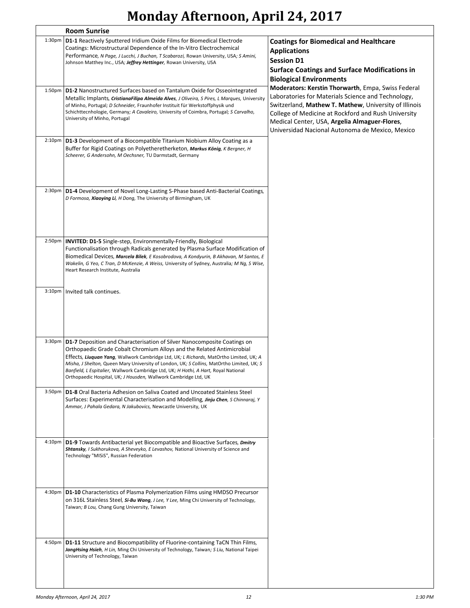|                    | <b>Room Sunrise</b>                                                                                                                                                                                                                                                                                                                                                                                                                                                                                          |                                                                                                                                                                                                                                                                                                                              |
|--------------------|--------------------------------------------------------------------------------------------------------------------------------------------------------------------------------------------------------------------------------------------------------------------------------------------------------------------------------------------------------------------------------------------------------------------------------------------------------------------------------------------------------------|------------------------------------------------------------------------------------------------------------------------------------------------------------------------------------------------------------------------------------------------------------------------------------------------------------------------------|
| 1:30 <sub>pm</sub> | <b>D1-1</b> Reactively Sputtered Iridium Oxide Films for Biomedical Electrode<br>Coatings: Microstructural Dependence of the In-Vitro Electrochemical<br>Performance, N Page, J Lucchi, J Buchan, T Scabarozi, Rowan University, USA; S Amini,<br>Johnson Matthey Inc., USA; Jeffrey Hettinger, Rowan University, USA                                                                                                                                                                                        | <b>Coatings for Biomedical and Healthcare</b><br><b>Applications</b><br><b>Session D1</b><br><b>Surface Coatings and Surface Modifications in</b><br><b>Biological Environments</b>                                                                                                                                          |
| 1:50 <sub>pm</sub> | <b>D1-2</b> Nanostructured Surfaces based on Tantalum Oxide for Osseointegrated<br>Metallic Implants, CristianaFilipa Almeida Alves, J Oliveira, S Pires, L Marques, University<br>of Minho, Portugal; D Schneider, Fraunhofer Instituit für Werkstoffphysik und<br>Schichttecnhologie, Germany; A Cavaleiro, University of Coimbra, Portugal; S Carvalho,<br>University of Minho, Portugal                                                                                                                  | Moderators: Kerstin Thorwarth, Empa, Swiss Federal<br>Laboratories for Materials Science and Technology,<br>Switzerland, Mathew T. Mathew, University of Illinois<br>College of Medicine at Rockford and Rush University<br>Medical Center, USA, Argelia Almaguer-Flores,<br>Universidad Nacional Autonoma de Mexico, Mexico |
| $2:10p$ m          | <b>D1-3</b> Development of a Biocompatible Titanium Niobium Alloy Coating as a<br>Buffer for Rigid Coatings on Polyetheretherketon, Markus König, K Bergner, H<br>Scheerer, G Andersohn, M Oechsner, TU Darmstadt, Germany                                                                                                                                                                                                                                                                                   |                                                                                                                                                                                                                                                                                                                              |
| 2:30 <sub>pm</sub> | D1-4 Development of Novel Long-Lasting S-Phase based Anti-Bacterial Coatings,<br>D Formosa, Xiaoying Li, H Dong, The University of Birmingham, UK                                                                                                                                                                                                                                                                                                                                                            |                                                                                                                                                                                                                                                                                                                              |
| 2:50pm             | <b>INVITED: D1-5</b> Single-step, Environmentally-Friendly, Biological<br>Functionalisation through Radicals generated by Plasma Surface Modification of<br>Biomedical Devices, Marcela Bilek, E Kosobrodova, A Kondyurin, B Akhavan, M Santos, E<br>Wakelin, G Yeo, C Tran, D McKenzie, A Weiss, University of Sydney, Australia; M Ng, S Wise,<br>Heart Research Institute, Australia                                                                                                                      |                                                                                                                                                                                                                                                                                                                              |
|                    | 3:10pm   Invited talk continues.                                                                                                                                                                                                                                                                                                                                                                                                                                                                             |                                                                                                                                                                                                                                                                                                                              |
|                    | 3:30pm   D1-7 Deposition and Characterisation of Silver Nanocomposite Coatings on<br>Orthopaedic Grade Cobalt Chromium Alloys and the Related Antimicrobial<br>Effects, Liuquan Yang, Wallwork Cambridge Ltd, UK; L Richards, MatOrtho Limited, UK; A<br>Misha, J Shelton, Queen Mary University of London, UK; S Collins, MatOrtho Limited, UK; S<br>Banfield, L Espitalier, Wallwork Cambridge Ltd, UK; H Hothi, A Hart, Royal National<br>Orthopaedic Hospital, UK; J Housden, Wallwork Cambridge Ltd, UK |                                                                                                                                                                                                                                                                                                                              |
| 3:50 <sub>pm</sub> | <b>D1-8</b> Oral Bacteria Adhesion on Saliva Coated and Uncoated Stainless Steel<br>Surfaces: Experimental Characterisation and Modelling, Jinju Chen, S Chinnaraj, Y<br>Ammar, J Pahala Gedara, N Jakubovics, Newcastle University, UK                                                                                                                                                                                                                                                                      |                                                                                                                                                                                                                                                                                                                              |
| 4:10pm             | <b>D1-9</b> Towards Antibacterial yet Biocompatible and Bioactive Surfaces, Dmitry<br>Shtansky, I Sukhorukova, A Sheveyko, E Levashov, National University of Science and<br>Technology "MISIS", Russian Federation                                                                                                                                                                                                                                                                                          |                                                                                                                                                                                                                                                                                                                              |
| 4:30pm             | <b>D1-10</b> Characteristics of Plasma Polymerization Films using HMDSO Precursor<br>on 316L Stainless Steel, Si-Bu Wang, J Lee, Y Lee, Ming Chi University of Technology,<br>Taiwan; B Lou, Chang Gung University, Taiwan                                                                                                                                                                                                                                                                                   |                                                                                                                                                                                                                                                                                                                              |
| 4:50pm             | <b>D1-11</b> Structure and Biocompatibility of Fluorine-containing TaCN Thin Films,<br>JangHsing Hsieh, H Lin, Ming Chi University of Technology, Taiwan; S Liu, National Taipei<br>University of Technology, Taiwan                                                                                                                                                                                                                                                                                         |                                                                                                                                                                                                                                                                                                                              |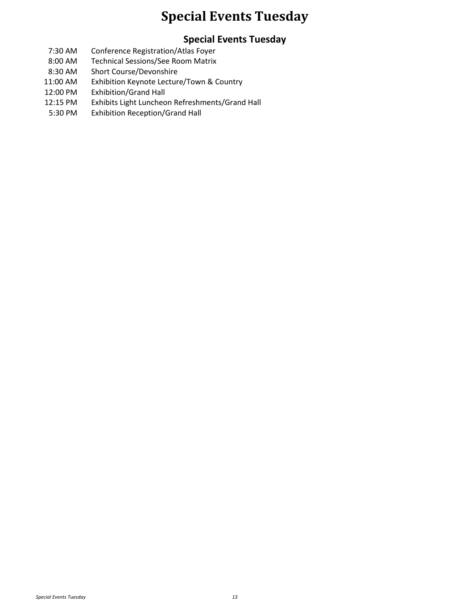### **Special Events Tuesday**

#### **Special Events Tuesday**

- 7:30 AM Conference Registration/Atlas Foyer
- 8:00 AM Technical Sessions/See Room Matrix
- 8:30 AM Short Course/Devonshire
- 11:00 AM Exhibition Keynote Lecture/Town & Country
- 12:00 PM Exhibition/Grand Hall
- 12:15 PM Exhibits Light Luncheon Refreshments/Grand Hall
- 5:30 PM Exhibition Reception/Grand Hall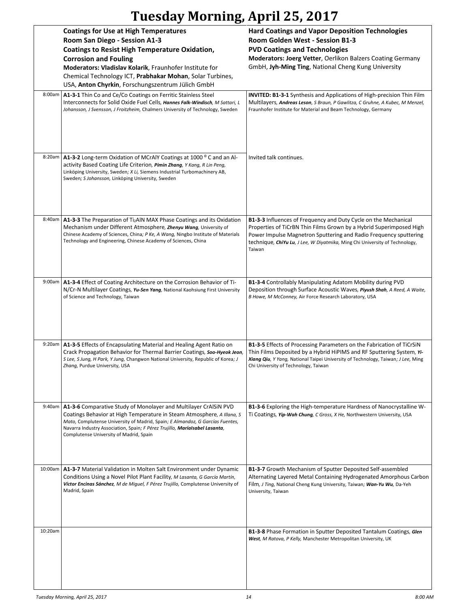|         | <b>Coatings for Use at High Temperatures</b><br>Room San Diego - Session A1-3<br><b>Coatings to Resist High Temperature Oxidation,</b><br><b>Corrosion and Fouling</b><br>Moderators: Vladislav Kolarik, Fraunhofer Institute for<br>Chemical Technology ICT, Prabhakar Mohan, Solar Turbines,<br>USA, Anton Chyrkin, Forschungszentrum Jülich GmbH   | <b>Hard Coatings and Vapor Deposition Technologies</b><br>Room Golden West - Session B1-3<br><b>PVD Coatings and Technologies</b><br>Moderators: Joerg Vetter, Oerlikon Balzers Coating Germany<br>GmbH, Jyh-Ming Ting, National Cheng Kung University                                               |
|---------|-------------------------------------------------------------------------------------------------------------------------------------------------------------------------------------------------------------------------------------------------------------------------------------------------------------------------------------------------------|------------------------------------------------------------------------------------------------------------------------------------------------------------------------------------------------------------------------------------------------------------------------------------------------------|
| 8:00am  | A1-3-1 Thin Co and Ce/Co Coatings on Ferritic Stainless Steel<br>Interconnects for Solid Oxide Fuel Cells, Hannes Falk-Windisch, M Sattari, L<br>Johansson, J Svensson, J Froitzheim, Chalmers University of Technology, Sweden                                                                                                                       | <b>INVITED: B1-3-1</b> Synthesis and Applications of High-precision Thin Film<br>Multilayers, Andreas Leson, S Braun, P Gawlitza, C Gruhne, A Kubec, M Menzel,<br>Fraunhofer Institute for Material and Beam Technology, Germany                                                                     |
| 8:20am  | A1-3-2 Long-term Oxidation of MCrAlY Coatings at 1000 °C and an Al-<br>activity Based Coating Life Criterion, Pimin Zhang, Y Kang, R Lin Peng,<br>Linköping University, Sweden; X Li, Siemens Industrial Turbomachinery AB,<br>Sweden; S Johansson, Linköping University, Sweden                                                                      | Invited talk continues.                                                                                                                                                                                                                                                                              |
| 8:40am  | A1-3-3 The Preparation of Ti <sub>2</sub> AIN MAX Phase Coatings and its Oxidation<br>Mechanism under Different Atmosphere, <b>Zhenyu Wang</b> , University of<br>Chinese Academy of Sciences, China; P Ke, A Wang, Ningbo Institute of Materials<br>Technology and Engineering, Chinese Academy of Sciences, China                                   | B1-3-3 Influences of Frequency and Duty Cycle on the Mechanical<br>Properties of TiCrBN Thin Films Grown by a Hybrid Superimposed High<br>Power Impulse Magnetron Sputtering and Radio Frequency sputtering<br>technique, ChiYu Lu, J Lee, W Diyatmika, Ming Chi University of Technology,<br>Taiwan |
|         | 9:00am   A1-3-4 Effect of Coating Architecture on the Corrosion Behavior of Ti-<br>N/Cr-N Multilayer Coatings, Yu-Sen Yang, National Kaohsiung First University<br>of Science and Technology, Taiwan                                                                                                                                                  | <b>B1-3-4</b> Controllably Manipulating Adatom Mobility during PVD<br>Deposition through Surface Acoustic Waves, Piyush Shah, A Reed, A Waite,<br>B Howe, M McConney, Air Force Research Laboratory, USA                                                                                             |
| 9:20am  | A1-3-5 Effects of Encapsulating Material and Healing Agent Ratio on<br>Crack Propagation Behavior for Thermal Barrier Coatings, Soo-Hyeok Jeon,<br>S Lee, S Jung, H Park, Y Jung, Changwon National University, Republic of Korea; J<br>Zhang, Purdue University, USA                                                                                 | B1-3-5 Effects of Processing Parameters on the Fabrication of TiCrSiN<br>Thin Films Deposited by a Hybrid HiPIMS and RF Sputtering System, Yi-<br>Xiang Qiu, Y Yang, National Taipei University of Technology, Taiwan; J Lee, Ming<br>Chi University of Technology, Taiwan                           |
| 9:40am  | A1-3-6 Comparative Study of Monolayer and Multilayer CrAISIN PVD<br>Coatings Behavior at High Temperature in Steam Atmosphere, A Illana, S<br>Mato, Complutense University of Madrid, Spain; E Almandoz, G Garcías Fuentes,<br>Navarra Industry Association, Spain; F Pérez Trujillo, Maríalsabel Lasanta,<br>Complutense University of Madrid, Spain | <b>B1-3-6</b> Exploring the High-temperature Hardness of Nanocrystalline W-<br>Ti Coatings, Yip-Wah Chung, C Gross, X He, Northwestern University, USA                                                                                                                                               |
| 10:00am | A1-3-7 Material Validation in Molten Salt Environment under Dynamic<br>Conditions Using a Novel Pilot Plant Facility, M Lasanta, G García Martín,<br>Víctor Encinas Sánchez, M de Miguel, F Pérez Trujillo, Complutense University of<br>Madrid, Spain                                                                                                | <b>B1-3-7</b> Growth Mechanism of Sputter Deposited Self-assembled<br>Alternating Layered Metal Containing Hydrogenated Amorphous Carbon<br>Film, J Ting, National Cheng Kung University, Taiwan; Wan-Yu Wu, Da-Yeh<br>University, Taiwan                                                            |
| 10:20am |                                                                                                                                                                                                                                                                                                                                                       | <b>B1-3-8</b> Phase Formation in Sputter Deposited Tantalum Coatings, Glen<br>West, M Ratova, P Kelly, Manchester Metropolitan University, UK                                                                                                                                                        |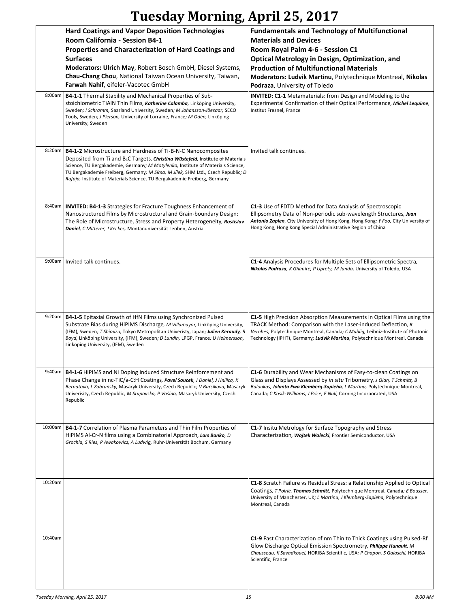|         | <b>Hard Coatings and Vapor Deposition Technologies</b><br>Room California - Session B4-1<br>Properties and Characterization of Hard Coatings and<br><b>Surfaces</b><br>Moderators: Ulrich May, Robert Bosch GmbH, Diesel Systems,<br>Chau-Chang Chou, National Taiwan Ocean University, Taiwan,<br>Farwah Nahif, eifeler-Vacotec GmbH                                                                                          | <b>Fundamentals and Technology of Multifunctional</b><br><b>Materials and Devices</b><br>Room Royal Palm 4-6 - Session C1<br><b>Optical Metrology in Design, Optimization, and</b><br><b>Production of Multifunctional Materials</b><br>Moderators: Ludvik Martinu, Polytechnique Montreal, Nikolas<br>Podraza, University of Toledo |
|---------|--------------------------------------------------------------------------------------------------------------------------------------------------------------------------------------------------------------------------------------------------------------------------------------------------------------------------------------------------------------------------------------------------------------------------------|--------------------------------------------------------------------------------------------------------------------------------------------------------------------------------------------------------------------------------------------------------------------------------------------------------------------------------------|
| 8:00am  | B4-1-1 Thermal Stability and Mechanical Properties of Sub-<br>stoichiometric TiAIN Thin Films, Katherine Calamba, Linköping University,<br>Sweden; I Schramm, Saarland University, Sweden; M Johansson-Jõesaar, SECO<br>Tools, Sweden; J Pierson, University of Lorraine, France; M Odén, Linköping<br>University, Sweden                                                                                                      | <b>INVITED: C1-1</b> Metamaterials: from Design and Modeling to the<br>Experimental Confirmation of their Optical Performance, Michel Lequime,<br>Institut Fresnel, France                                                                                                                                                           |
| 8:20am  | <b>B4-1-2</b> Microstructure and Hardness of Ti-B-N-C Nanocomposites<br>Deposited from Ti and B <sub>4</sub> C Targets, <i>Christina Wüstefeld</i> , Institute of Materials<br>Science, TU Bergakademie, Germany; M Motylenko, Institute of Materials Science,<br>TU Bergakademie Freiberg, Germany; M Síma, M Jílek, SHM Ltd., Czech Republic; D<br>Rafaja, Institute of Materials Science, TU Bergakademie Freiberg, Germany | Invited talk continues.                                                                                                                                                                                                                                                                                                              |
| 8:40am  | <b>INVITED: B4-1-3 Strategies for Fracture Toughness Enhancement of</b><br>Nanostructured Films by Microstructural and Grain-boundary Design:<br>The Role of Microstructure, Stress and Property Heterogeneity, Rostislav<br>Daniel, C Mitterer, J Keckes, Montanuniversität Leoben, Austria                                                                                                                                   | C1-3 Use of FDTD Method for Data Analysis of Spectroscopic<br>Ellipsometry Data of Non-periodic sub-wavelength Structures, Juan<br>Antonio Zapien, City University of Hong Kong, Hong Kong; Y Foo, City University of<br>Hong Kong, Hong Kong Special Administrative Region of China                                                 |
| 9:00am  | Invited talk continues.                                                                                                                                                                                                                                                                                                                                                                                                        | C1-4 Analysis Procedures for Multiple Sets of Ellipsometric Spectra,<br>Nikolas Podraza, K Ghimire, P Uprety, M Junda, University of Toledo, USA                                                                                                                                                                                     |
| 9:20am  | B4-1-5 Epitaxial Growth of HfN Films using Synchronized Pulsed<br>Substrate Bias during HiPIMS Discharge, M Villamayor, Linköping University,<br>(IFM), Sweden; T Shimizu, Tokyo Metropolitan Univeristy, Japan; Julien Keraudy, R<br>Boyd, Linköping University, (IFM), Sweden; D Lundin, LPGP, France; U Helmersson,<br>Linköping University, (IFM), Sweden                                                                  | C1-5 High Precision Absorption Measurements in Optical Films using the<br>TRACK Method: Comparison with the Laser-induced Deflection, R<br>Vernhes, Polytechnique Montreal, Canada; C Muhlig, Leibniz-Institute of Photonic<br>Technology (IPHT), Germany; Ludvik Martinu, Polytechnique Montreal, Canada                            |
|         | 9:40am   B4-1-6 HiPIMS and Ni Doping Induced Structure Reinforcement and<br>Phase Change in nc-TiC/a-C:H Coatings, Pavel Soucek, J Daniel, J Hnilica, K<br>Bernatova, L Zabransky, Masaryk University, Czech Republic; V Bursikova, Masaryk<br>Univerisity, Czech Republic; M Stupavska, P Vašina, Masaryk University, Czech<br>Republic                                                                                       | C1-6 Durability and Wear Mechanisms of Easy-to-clean Coatings on<br>Glass and Displays Assessed by in situ Tribometry, J Qian, T Schmitt, B<br>Baloukas, Jolanta Ewa Klemberg-Sapieha, L Martinu, Polytechnique Montreal,<br>Canada; C Kosik-Williams, J Price, E Null, Corning Incorporated, USA                                    |
| 10:00am | <b>B4-1-7</b> Correlation of Plasma Parameters and Thin Film Properties of<br>HiPIMS Al-Cr-N films using a Combinatorial Approach, Lars Banko, D<br>Grochla, S Ries, P Awakowicz, A Ludwig, Ruhr-Universität Bochum, Germany                                                                                                                                                                                                   | C1-7 Insitu Metrology for Surface Topography and Stress<br>Characterization, Wojtek Walecki, Frontier Semiconductor, USA                                                                                                                                                                                                             |
| 10:20am |                                                                                                                                                                                                                                                                                                                                                                                                                                | <b>C1-8</b> Scratch Failure vs Residual Stress: a Relationship Applied to Optical<br>Coatings, T Poirié, Thomas Schmitt, Polytechnique Montreal, Canada; E Bousser,<br>University of Manchester, UK; L Martinu, J Klemberg-Sapieha, Polytechnique<br>Montreal, Canada                                                                |
| 10:40am |                                                                                                                                                                                                                                                                                                                                                                                                                                | C1-9 Fast Characterization of nm Thin to Thick Coatings using Pulsed-Rf<br>Glow Discharge Optical Emission Spectrometry, Philippe Hunault, M<br>Chausseau, K Savadkouei, HORIBA Scientific, USA; P Chapon, S Gaiaschi, HORIBA<br>Scientific, France                                                                                  |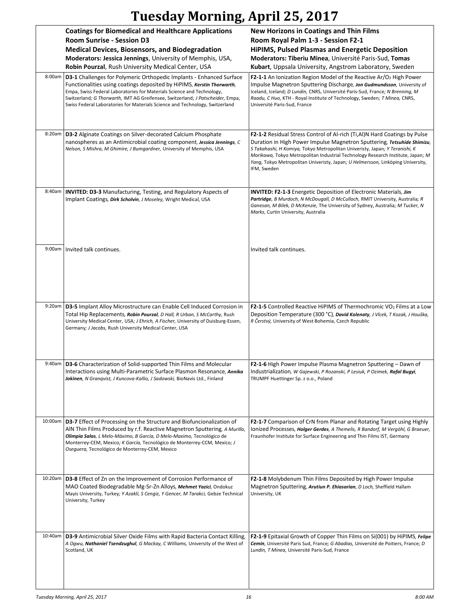|         | <b>Coatings for Biomedical and Healthcare Applications</b><br>Room Sunrise - Session D3                                                                                                                                                                                                                                                                          | <b>New Horizons in Coatings and Thin Films</b><br>Room Royal Palm 1-3 - Session F2-1                                                                                                                                                                                                                                                        |
|---------|------------------------------------------------------------------------------------------------------------------------------------------------------------------------------------------------------------------------------------------------------------------------------------------------------------------------------------------------------------------|---------------------------------------------------------------------------------------------------------------------------------------------------------------------------------------------------------------------------------------------------------------------------------------------------------------------------------------------|
|         | <b>Medical Devices, Biosensors, and Biodegradation</b>                                                                                                                                                                                                                                                                                                           | HiPIMS, Pulsed Plasmas and Energetic Deposition                                                                                                                                                                                                                                                                                             |
|         | Moderators: Jessica Jennings, University of Memphis, USA,                                                                                                                                                                                                                                                                                                        | Moderators: Tiberiu Minea, Université Paris-Sud, Tomas                                                                                                                                                                                                                                                                                      |
| 8:00am  | Robin Pourzal, Rush University Medical Center, USA<br>D3-1 Challenges for Polymeric Orthopedic Implants - Enhanced Surface                                                                                                                                                                                                                                       | Kubart, Uppsala University, Angstrom Laboratory, Sweden<br><b>F2-1-1</b> An Ionization Region Model of the Reactive $Ar/O2$ High Power                                                                                                                                                                                                      |
|         | Functionalities using coatings deposited by HiPIMS, Kerstin Thorwarth,<br>Empa, Swiss Federal Laboratories for Materials Science and Technology,<br>Switzerland; G Thorwarth, IMT AG Greifensee, Switzerland; J Patscheider, Empa,<br>Swiss Federal Laboratories for Materials Science and Technology, Switzerland                                               | Impulse Magnetron Sputtering Discharge, Jon Gudmundsson, University of<br>Iceland, Iceland; D Lundin, CNRS, Université Paris-Sud, France; N Brenning, M<br>Raadu, C Huo, KTH - Royal Institute of Technology, Sweden; T Minea, CNRS,<br>Université Paris-Sud, France                                                                        |
| 8:20am  | D3-2 Alginate Coatings on Silver-decorated Calcium Phosphate                                                                                                                                                                                                                                                                                                     | <b>F2-1-2</b> Residual Stress Control of Al-rich (Ti, Al) N Hard Coatings by Pulse                                                                                                                                                                                                                                                          |
|         | nanospheres as an Antimicrobial coating component, Jessica Jennings, C<br>Nelson, S Mishra, M Ghimire, J Bumgardner, University of Memphis, USA                                                                                                                                                                                                                  | Duration in High Power Impulse Magnetron Sputtering, Tetsuhide Shimizu,<br>S Takahashi, H Komiya, Tokyo Metropolitan Univeristy, Japan; Y Teranishi, K<br>Morikawa, Tokyo Metropolitan Industrial Technology Research Institute, Japan; M<br>Yang, Tokyo Metropolitan Univeristy, Japan; U Helmersson, Linköping University,<br>IFM, Sweden |
| 8:40am  | <b>INVITED: D3-3 Manufacturing, Testing, and Regulatory Aspects of</b><br>Implant Coatings, Dirk Scholvin, J Moseley, Wright Medical, USA                                                                                                                                                                                                                        | <b>INVITED: F2-1-3</b> Energetic Deposition of Electronic Materials, Jim<br>Partridge, B Murdoch, N McDougall, D McCulloch, RMIT University, Australia; R<br>Ganesan, M Bilek, D McKenzie, The University of Sydney, Australia; M Tucker, N<br>Marks, Curtin University, Australia                                                          |
|         | 9:00am   Invited talk continues.                                                                                                                                                                                                                                                                                                                                 | Invited talk continues.                                                                                                                                                                                                                                                                                                                     |
| 9:20am  | D3-5 Implant Alloy Microstructure can Enable Cell Induced Corrosion in                                                                                                                                                                                                                                                                                           | <b>F2-1-5</b> Controlled Reactive HiPIMS of Thermochromic $VO2$ Films at a Low                                                                                                                                                                                                                                                              |
|         | Total Hip Replacements, Robin Pourzal, D Hall, R Urban, S McCarthy, Rush<br>University Medical Center, USA; J Ehrich, A Fischer, University of Duisburg-Essen,<br>Germany; J Jacobs, Rush University Medical Center, USA                                                                                                                                         | Deposition Temperature (300 °C), David Kolenaty, J Vlcek, T Kozak, J Houška,<br>R Čerstvý, University of West Bohemia, Czech Republic                                                                                                                                                                                                       |
|         | 9:40am   D3-6 Characterization of Solid-supported Thin Films and Molecular<br>Interactions using Multi-Parametric Surface Plasmon Resonance, Annika<br>Jokinen, N Granqvist, J Kuncova-Kallio, J Sadowski, BioNavis Ltd., Finland                                                                                                                                | F2-1-6 High Power Impulse Plasma Magnetron Sputtering – Dawn of<br>Industrialization, W Gajewski, P Rozanski, P Lesiuk, P Ozimek, Rafal Bugyi,<br>TRUMPF Huettinger Sp. z o.o., Poland                                                                                                                                                      |
| 10:00am | <b>D3-7</b> Effect of Processing on the Structure and Biofuncionalization of<br>AIN Thin Films Produced by r.f. Reactive Magnetron Sputtering, A Murillo,<br>Olimpia Salas, L Melo-Máximo, B García, D Melo-Maximo, Tecnológico de<br>Monterrey-CEM, Mexico; K García, Tecnológico de Monterrey-CCM, Mexico; J<br>Oseguera, Tecnológico de Monterrey-CEM, Mexico | <b>F2-1-7</b> Comparison of CrN from Planar and Rotating Target using Highly<br>Ionized Processes, Holger Gerdes, A Themelis, R Bandorf, M Vergöhl, G Braeuer,<br>Fraunhofer Institute for Surface Engineering and Thin Films IST, Germany                                                                                                  |
| 10:20am | <b>D3-8</b> Effect of Zn on the Improvement of Corrosion Performance of                                                                                                                                                                                                                                                                                          | F2-1-8 Molybdenum Thin Films Deposited by High Power Impulse                                                                                                                                                                                                                                                                                |
|         | MAO Coated Biodegradable Mg-Sr-Zn Alloys, Mehmet Yazici, Ondokuz<br>Mayis University, Turkey; Y Azakli, S Cengiz, Y Gencer, M Tarakci, Gebze Technical<br>University, Turkey                                                                                                                                                                                     | Magnetron Sputtering, Arutiun P. Ehiasarian, D Loch, Sheffield Hallam<br>University, UK                                                                                                                                                                                                                                                     |
| 10:40am | D3-9 Antimicrobial Silver Oxide Films with Rapid Bacteria Contact Killing,<br>A Ogwu, Nathaniel Tsendzughul, G Mackay, C Williams, University of the West of<br>Scotland, UK                                                                                                                                                                                     | <b>F2-1-9</b> Epitaxial Growth of Copper Thin Films on Si(001) by HiPIMS, Felipe<br>Cemin, Université Paris Sud, France; G Abadias, Université de Poitiers, France; D<br>Lundin, T Minea, Université Paris-Sud, France                                                                                                                      |
|         |                                                                                                                                                                                                                                                                                                                                                                  |                                                                                                                                                                                                                                                                                                                                             |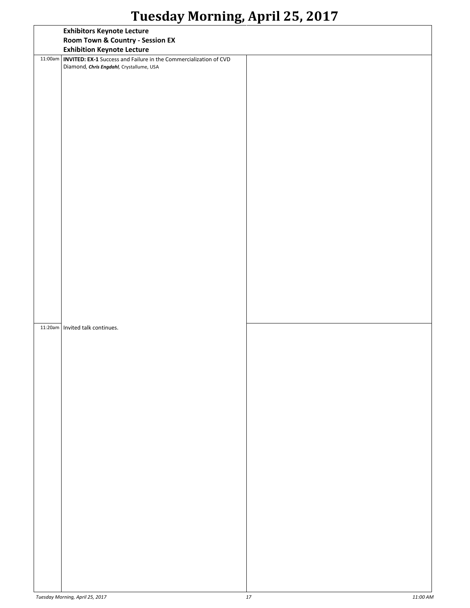|         | <b>Exhibitors Keynote Lecture</b>                                                                                    |  |
|---------|----------------------------------------------------------------------------------------------------------------------|--|
|         | Room Town & Country - Session EX                                                                                     |  |
|         | <b>Exhibition Keynote Lecture</b>                                                                                    |  |
| 11:00am | <b>INVITED: EX-1</b> Success and Failure in the Commercialization of CVD<br>Diamond, Chris Engdahl, Crystallume, USA |  |
|         |                                                                                                                      |  |
|         |                                                                                                                      |  |
|         |                                                                                                                      |  |
|         |                                                                                                                      |  |
|         |                                                                                                                      |  |
|         |                                                                                                                      |  |
|         |                                                                                                                      |  |
|         |                                                                                                                      |  |
|         |                                                                                                                      |  |
|         |                                                                                                                      |  |
|         |                                                                                                                      |  |
|         |                                                                                                                      |  |
|         | 11:20am   Invited talk continues.                                                                                    |  |
|         |                                                                                                                      |  |
|         |                                                                                                                      |  |
|         |                                                                                                                      |  |
|         |                                                                                                                      |  |
|         |                                                                                                                      |  |
|         |                                                                                                                      |  |
|         |                                                                                                                      |  |
|         |                                                                                                                      |  |
|         |                                                                                                                      |  |
|         |                                                                                                                      |  |
|         |                                                                                                                      |  |
|         |                                                                                                                      |  |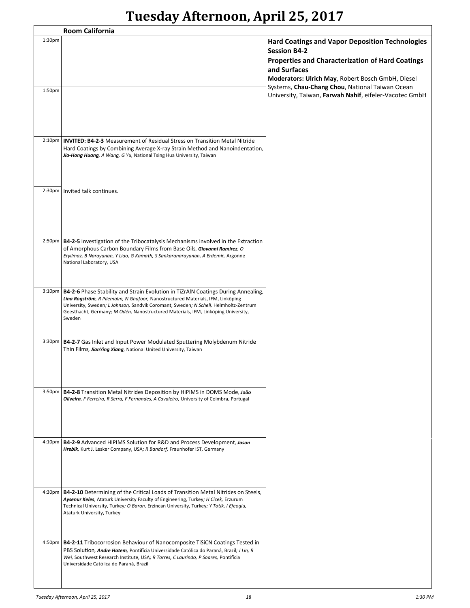|                    | <b>Room California</b>                                                                                                                                                                                                                                                                                    |                                                                                                                       |
|--------------------|-----------------------------------------------------------------------------------------------------------------------------------------------------------------------------------------------------------------------------------------------------------------------------------------------------------|-----------------------------------------------------------------------------------------------------------------------|
| 1:30 <sub>pm</sub> |                                                                                                                                                                                                                                                                                                           | <b>Hard Coatings and Vapor Deposition Technologies</b><br><b>Session B4-2</b>                                         |
|                    |                                                                                                                                                                                                                                                                                                           | Properties and Characterization of Hard Coatings<br>and Surfaces<br>Moderators: Ulrich May, Robert Bosch GmbH, Diesel |
| 1:50pm             |                                                                                                                                                                                                                                                                                                           | Systems, Chau-Chang Chou, National Taiwan Ocean<br>University, Taiwan, Farwah Nahif, eifeler-Vacotec GmbH             |
|                    |                                                                                                                                                                                                                                                                                                           |                                                                                                                       |
| 2:10 <sub>pm</sub> | <b>INVITED: B4-2-3 Measurement of Residual Stress on Transition Metal Nitride</b><br>Hard Coatings by Combining Average X-ray Strain Method and Nanoindentation,<br>Jia-Hong Huang, A Wang, G Yu, National Tsing Hua University, Taiwan                                                                   |                                                                                                                       |
| 2:30 <sub>pm</sub> | Invited talk continues.                                                                                                                                                                                                                                                                                   |                                                                                                                       |
|                    |                                                                                                                                                                                                                                                                                                           |                                                                                                                       |
|                    | 2:50pm   B4-2-5 Investigation of the Tribocatalysis Mechanisms involved in the Extraction<br>of Amorphous Carbon Boundary Films from Base Oils, Giovanni Ramirez, O<br>Eryilmaz, B Narayanan, Y Liao, G Kamath, S Sankaranarayanan, A Erdemir, Argonne<br>National Laboratory, USA                        |                                                                                                                       |
| 3:10 <sub>pm</sub> | B4-2-6 Phase Stability and Strain Evolution in TiZrAlN Coatings During Annealing,                                                                                                                                                                                                                         |                                                                                                                       |
|                    | Lina Rogström, R Pilemalm, N Ghafoor, Nanostructured Materials, IFM, Linköping<br>University, Sweden; L Johnson, Sandvik Coromant, Sweden; N Schell, Helmholtz-Zentrum<br>Geesthacht, Germany; M Odén, Nanostructured Materials, IFM, Linköping University,<br>Sweden                                     |                                                                                                                       |
| 3:30 <sub>pm</sub> | B4-2-7 Gas Inlet and Input Power Modulated Sputtering Molybdenum Nitride<br>Thin Films, JianYing Xiang, National United University, Taiwan                                                                                                                                                                |                                                                                                                       |
|                    | 3:50pm   B4-2-8 Transition Metal Nitrides Deposition by HiPIMS in DOMS Mode, João<br>Oliveira, F Ferreira, R Serra, F Fernandes, A Cavaleiro, University of Coimbra, Portugal                                                                                                                             |                                                                                                                       |
|                    |                                                                                                                                                                                                                                                                                                           |                                                                                                                       |
|                    | 4:10pm   B4-2-9 Advanced HIPIMS Solution for R&D and Process Development, Jason<br>Hrebik, Kurt J. Lesker Company, USA; R Bandorf, Fraunhofer IST, Germany                                                                                                                                                |                                                                                                                       |
|                    | 4:30pm   B4-2-10 Determining of the Critical Loads of Transition Metal Nitrides on Steels,<br>Aysenur Keles, Ataturk University Faculty of Engineering, Turkey; H Cicek, Erzurum<br>Technical University, Turkey; O Baran, Erzincan University, Turkey; Y Totik, I Efeoglu,<br>Ataturk University, Turkey |                                                                                                                       |
| 4:50 <sub>pm</sub> | B4-2-11 Tribocorrosion Behaviour of Nanocomposite TiSiCN Coatings Tested in<br>PBS Solution, Andre Hatem, Pontifícia Universidade Católica do Paraná, Brazil; J Lin, R<br>Wei, Southwest Research Institute, USA; R Torres, C Laurindo, P Soares, Pontifícia<br>Universidade Católica do Paraná, Brazil   |                                                                                                                       |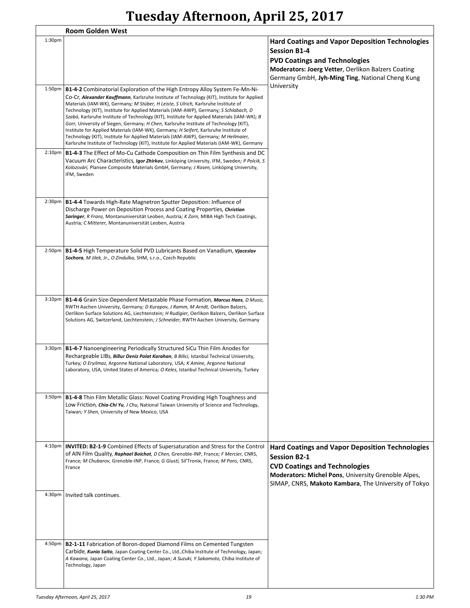|                    | <b>Room Golden West</b>                                                                                                                                                                                                                                                                                                                                                                                                                                                                                                                                                                                                                                                                                                                                                                                                    |                                                                                                                                                                                                                                      |
|--------------------|----------------------------------------------------------------------------------------------------------------------------------------------------------------------------------------------------------------------------------------------------------------------------------------------------------------------------------------------------------------------------------------------------------------------------------------------------------------------------------------------------------------------------------------------------------------------------------------------------------------------------------------------------------------------------------------------------------------------------------------------------------------------------------------------------------------------------|--------------------------------------------------------------------------------------------------------------------------------------------------------------------------------------------------------------------------------------|
| 1:30 <sub>pm</sub> |                                                                                                                                                                                                                                                                                                                                                                                                                                                                                                                                                                                                                                                                                                                                                                                                                            | <b>Hard Coatings and Vapor Deposition Technologies</b><br><b>Session B1-4</b><br><b>PVD Coatings and Technologies</b><br>Moderators: Joerg Vetter, Oerlikon Balzers Coating<br>Germany GmbH, Jyh-Ming Ting, National Cheng Kung      |
| 1:50 <sub>pm</sub> | B1-4-2 Combinatorial Exploration of the High Entropy Alloy System Fe-Mn-Ni-<br>Co-Cr, Alexander Kauffmann, Karlsruhe Institute of Technology (KIT), Institute for Applied<br>Materials (IAM-WK), Germany; M Stüber, H Leiste, S Ulrich, Karlsruhe Institute of<br>Technology (KIT), Institute for Applied Materials (IAM-AWP), Germany; S Schlabach, D<br>Szabó, Karlsruhe Institute of Technology (KIT), Institute for Applied Materials (IAM-WK); B<br>Gorr, University of Siegen, Germany; H Chen, Karlsruhe Institute of Technology (KIT),<br>Institute for Applied Materials (IAM-WK), Germany; H Seifert, Karlsruhe Institute of<br>Technology (KIT), Institute for Applied Materials (IAM-AWP), Germany; M Heilmaier,<br>Karlsruhe Institute of Technology (KIT), Institute for Applied Materials (IAM-WK), Germany | University                                                                                                                                                                                                                           |
| $2:10p$ m          | <b>B1-4-3</b> The Effect of Mo-Cu Cathode Composition on Thin Film Synthesis and DC<br>Vacuum Arc Characteristics, Igor Zhirkov, Linköping University, IFM, Sweden; P Polcik, S<br>Kolozsvári, Plansee Composite Materials GmbH, Germany; J Rosen, Linköping University,<br>IFM, Sweden                                                                                                                                                                                                                                                                                                                                                                                                                                                                                                                                    |                                                                                                                                                                                                                                      |
| 2:30 <sub>pm</sub> | <b>B1-4-4</b> Towards High-Rate Magnetron Sputter Deposition: Influence of<br>Discharge Power on Deposition Process and Coating Properties, Christian<br>Saringer, R Franz, Montanuniversität Leoben, Austria; K Zorn, MIBA High Tech Coatings,<br>Austria; C Mitterer, Montanuniversität Leoben, Austria                                                                                                                                                                                                                                                                                                                                                                                                                                                                                                                  |                                                                                                                                                                                                                                      |
| 2:50 <sub>pm</sub> | B1-4-5 High Temperature Solid PVD Lubricants Based on Vanadium, Vjaceslav<br>Sochora, M Jilek, Jr., O Zindulka, SHM, s.r.o., Czech Republic                                                                                                                                                                                                                                                                                                                                                                                                                                                                                                                                                                                                                                                                                |                                                                                                                                                                                                                                      |
| $3:10p$ m          | B1-4-6 Grain Size-Dependent Metastable Phase Formation, Marcus Hans, D Music,<br>RWTH Aachen University, Germany; D Kurapov, J Ramm, M Arndt, Oerlikon Balzers,<br>Oerlikon Surface Solutions AG, Liechtenstein; H Rudigier, Oerlikon Balzers, Oerlikon Surface<br>Solutions AG, Switzerland, Liechtenstein; J Schneider, RWTH Aachen University, Germany                                                                                                                                                                                                                                                                                                                                                                                                                                                                  |                                                                                                                                                                                                                                      |
|                    | 3:30pm   B1-4-7 Nanoengineering Periodically Structured SiCu Thin Film Anodes for<br>Rechargeable LIBs, Billur Deniz Polat Karahan, B Bilici, Istanbul Technical University,<br>Turkey; O Eryilmaz, Argonne National Laboratory, USA; K Amine, Argonne National<br>Laboratory, USA, United States of America; O Keles, Istanbul Technical University, Turkey                                                                                                                                                                                                                                                                                                                                                                                                                                                               |                                                                                                                                                                                                                                      |
|                    | 3:50pm   B1-4-8 Thin Film Metallic Glass: Novel Coating Providing High Toughness and<br>Low Friction, Chia-Chi Yu, J Chu, National Taiwan University of Science and Technology,<br>Taiwan; Y Shen, University of New Mexico, USA                                                                                                                                                                                                                                                                                                                                                                                                                                                                                                                                                                                           |                                                                                                                                                                                                                                      |
|                    | 4:10pm   INVITED: B2-1-9 Combined Effects of Supersaturation and Stress for the Control<br>of AIN Film Quality, Raphael Boichot, D Chen, Grenoble-INP, France; F Mercier, CNRS,<br>France; M Chubarov, Grenoble-INP, France; G Giusti, Sil'Tronix, France; M Pons, CNRS,<br>France                                                                                                                                                                                                                                                                                                                                                                                                                                                                                                                                         | <b>Hard Coatings and Vapor Deposition Technologies</b><br><b>Session B2-1</b><br><b>CVD Coatings and Technologies</b><br>Moderators: Michel Pons, University Grenoble Alpes,<br>SIMAP, CNRS, Makoto Kambara, The University of Tokyo |
|                    | 4:30pm   Invited talk continues.                                                                                                                                                                                                                                                                                                                                                                                                                                                                                                                                                                                                                                                                                                                                                                                           |                                                                                                                                                                                                                                      |
|                    | 4:50pm   B2-1-11 Fabrication of Boron-doped Diamond Films on Cemented Tungsten<br>Carbide, Kunio Saito, Japan Coating Center Co., Ltd., Chiba Institute of Technology, Japan;<br>A Kawana, Japan Coating Center Co., Ltd., Japan; A Suzuki, Y Sakamoto, Chiba Institute of<br>Technology, Japan                                                                                                                                                                                                                                                                                                                                                                                                                                                                                                                            |                                                                                                                                                                                                                                      |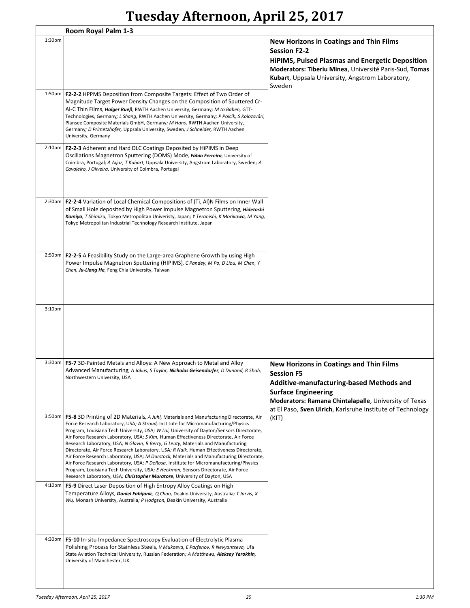|                    | Room Royal Palm 1-3                                                                                                                                                                                                                                                                                                                                                                                                                                                                                                                                                                                                                                                                                                                                                                                                                                                                                           |                                                                                                                                                                                                                                                                      |
|--------------------|---------------------------------------------------------------------------------------------------------------------------------------------------------------------------------------------------------------------------------------------------------------------------------------------------------------------------------------------------------------------------------------------------------------------------------------------------------------------------------------------------------------------------------------------------------------------------------------------------------------------------------------------------------------------------------------------------------------------------------------------------------------------------------------------------------------------------------------------------------------------------------------------------------------|----------------------------------------------------------------------------------------------------------------------------------------------------------------------------------------------------------------------------------------------------------------------|
| $1:30p$ m          |                                                                                                                                                                                                                                                                                                                                                                                                                                                                                                                                                                                                                                                                                                                                                                                                                                                                                                               | <b>New Horizons in Coatings and Thin Films</b><br><b>Session F2-2</b><br><b>HiPIMS, Pulsed Plasmas and Energetic Deposition</b><br>Moderators: Tiberiu Minea, Université Paris-Sud, Tomas<br>Kubart, Uppsala University, Angstrom Laboratory,<br>Sweden              |
|                    | 1:50pm   F2-2-2 HPPMS Deposition from Composite Targets: Effect of Two Order of<br>Magnitude Target Power Density Changes on the Composition of Sputtered Cr-<br>Al-C Thin Films, Holger Rueß, RWTH Aachen University, Germany; M to Baben, GTT-<br>Technologies, Germany; L Shang, RWTH Aachen University, Germany; P Polcik, S Kolozsvári,<br>Plansee Composite Materials GmbH, Germany; M Hans, RWTH Aachen University,<br>Germany; D Primetzhofer, Uppsala University, Sweden; J Schneider, RWTH Aachen<br>University, Germany                                                                                                                                                                                                                                                                                                                                                                            |                                                                                                                                                                                                                                                                      |
| $2:10p$ m          | <b>F2-2-3</b> Adherent and Hard DLC Coatings Deposited by HiPIMS in Deep<br>Oscillations Magnetron Sputtering (DOMS) Mode, Fábio Ferreira, University of<br>Coimbra, Portugal; A Aijaz, T Kubart, Uppsala University, Angstrom Laboratory, Sweden; A<br>Cavaleiro, J Oliveira, University of Coimbra, Portugal                                                                                                                                                                                                                                                                                                                                                                                                                                                                                                                                                                                                |                                                                                                                                                                                                                                                                      |
|                    | 2:30pm   F2-2-4 Variation of Local Chemical Compositions of (Ti, Al)N Films on Inner Wall<br>of Small Hole deposited by High Power Impulse Magnetron Sputtering, Hidetoshi<br>Komiya, T Shimizu, Tokyo Metropolitan Univeristy, Japan; Y Teranishi, K Morikawa, M Yang,<br>Tokyo Metropolitan Industrial Technology Research Institute, Japan                                                                                                                                                                                                                                                                                                                                                                                                                                                                                                                                                                 |                                                                                                                                                                                                                                                                      |
| 2:50pm             | <b>F2-2-5</b> A Feasibility Study on the Large-area Graphene Growth by using High<br>Power Impulse Magnetron Sputtering (HIPIMS), C Pandey, M Po, D Liou, M Chen, Y<br>Chen, Ju-Liang He, Feng Chia University, Taiwan                                                                                                                                                                                                                                                                                                                                                                                                                                                                                                                                                                                                                                                                                        |                                                                                                                                                                                                                                                                      |
| $3:10p$ m          |                                                                                                                                                                                                                                                                                                                                                                                                                                                                                                                                                                                                                                                                                                                                                                                                                                                                                                               |                                                                                                                                                                                                                                                                      |
|                    | 3:30pm   F5-7 3D-Painted Metals and Alloys: A New Approach to Metal and Alloy<br>Advanced Manufacturing, A Jakus, S Taylor, Nicholas Geisendorfer, D Dunand, R Shah,<br>Northwestern University, USA                                                                                                                                                                                                                                                                                                                                                                                                                                                                                                                                                                                                                                                                                                          | <b>New Horizons in Coatings and Thin Films</b><br><b>Session F5</b><br>Additive-manufacturing-based Methods and<br><b>Surface Engineering</b><br>Moderators: Ramana Chintalapalle, University of Texas<br>at El Paso, Sven Ulrich, Karlsruhe Institute of Technology |
| 3:50 <sub>pm</sub> | F5-8 3D Printing of 2D Materials, A Juhl, Materials and Manufacturing Directorate, Air<br>Force Research Laboratory, USA; A Stroud, Institute for Micromanufacturing/Physics<br>Program, Louisiana Tech University, USA; W Lai, University of Dayton/Sensors Directorate,<br>Air Force Research Laboratory, USA; S Kim, Human Effectiveness Directorate, Air Force<br>Research Laboratory, USA; N Glavin, R Berry, G Leuty, Materials and Manufacturing<br>Directorate, Air Force Research Laboratory, USA; R Naik, Human Effectiveness Directorate,<br>Air Force Research Laboratory, USA; M Durstock, Materials and Manufacturing Directorate,<br>Air Force Research Laboratory, USA; P DeRosa, Institute for Micromanufacturing/Physics<br>Program, Louisiana Tech University, USA; E Heckman, Sensors Directorate, Air Force<br>Research Laboratory, USA; Christopher Muratore, University of Dayton, USA | (KIT)                                                                                                                                                                                                                                                                |
| 4:10pm             | F5-9 Direct Laser Deposition of High Entropy Alloy Coatings on High<br>Temperature Alloys, Daniel Fabijanic, Q Chao, Deakin University, Australia; T Jarvis, X<br>Wu, Monash University, Australia; P Hodgson, Deakin University, Australia                                                                                                                                                                                                                                                                                                                                                                                                                                                                                                                                                                                                                                                                   |                                                                                                                                                                                                                                                                      |
| 4:30pm             | F5-10 In-situ Impedance Spectroscopy Evaluation of Electrolytic Plasma<br>Polishing Process for Stainless Steels, V Mukaeva, E Parfenov, R Nevyantseva, Ufa<br>State Aviation Technical University, Russian Federation; A Matthews, Aleksey Yerokhin,<br>University of Manchester, UK                                                                                                                                                                                                                                                                                                                                                                                                                                                                                                                                                                                                                         |                                                                                                                                                                                                                                                                      |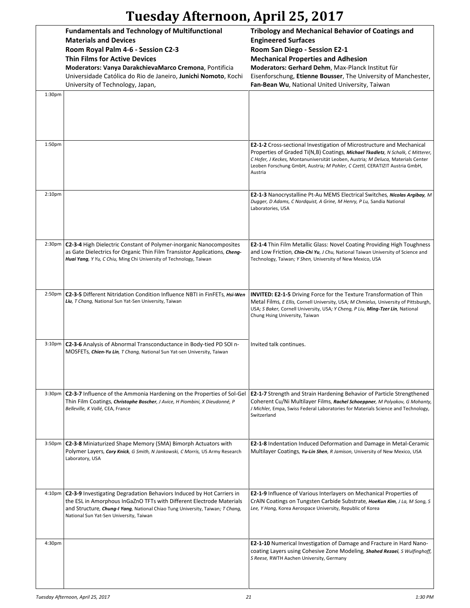| Tuesday Afternoon, April 25, 2017 |  |  |
|-----------------------------------|--|--|
|-----------------------------------|--|--|

|                     | <b>Fundamentals and Technology of Multifunctional</b><br><b>Materials and Devices</b><br>Room Royal Palm 4-6 - Session C2-3<br><b>Thin Films for Active Devices</b><br>Moderators: Vanya DarakchievaMarco Cremona, Pontificia<br>Universidade Católica do Rio de Janeiro, Junichi Nomoto, Kochi<br>University of Technology, Japan, | <b>Tribology and Mechanical Behavior of Coatings and</b><br><b>Engineered Surfaces</b><br>Room San Diego - Session E2-1<br><b>Mechanical Properties and Adhesion</b><br>Moderators: Gerhard Dehm, Max-Planck Institut für<br>Eisenforschung, Etienne Bousser, The University of Manchester,<br>Fan-Bean Wu, National United University, Taiwan |
|---------------------|-------------------------------------------------------------------------------------------------------------------------------------------------------------------------------------------------------------------------------------------------------------------------------------------------------------------------------------|------------------------------------------------------------------------------------------------------------------------------------------------------------------------------------------------------------------------------------------------------------------------------------------------------------------------------------------------|
| 1:30pm              |                                                                                                                                                                                                                                                                                                                                     |                                                                                                                                                                                                                                                                                                                                                |
| 1:50 <sub>pm</sub>  |                                                                                                                                                                                                                                                                                                                                     | <b>E2-1-2</b> Cross-sectional Investigation of Microstructure and Mechanical<br>Properties of Graded Ti(N,B) Coatings, Michael Tkadletz, N Schalk, C Mitterer,<br>C Hofer, J Keckes, Montanuniversität Leoben, Austria; M Deluca, Materials Center<br>Leoben Forschung GmbH, Austria; M Pohler, C Czettl, CERATIZIT Austria GmbH,<br>Austria   |
| 2:10 <sub>p</sub> m |                                                                                                                                                                                                                                                                                                                                     | E2-1-3 Nanocrystalline Pt-Au MEMS Electrical Switches, Nicolas Argibay, M<br>Dugger, D Adams, C Nordquist, A Grine, M Henry, P Lu, Sandia National<br>Laboratories, USA                                                                                                                                                                        |
|                     | 2:30pm   C2-3-4 High Dielectric Constant of Polymer-inorganic Nanocomposites<br>as Gate Dielectrics for Organic Thin Film Transistor Applications, Cheng-<br>Huai Yang, Y Yu, C Chiu, Ming Chi University of Technology, Taiwan                                                                                                     | <b>E2-1-4</b> Thin Film Metallic Glass: Novel Coating Providing High Toughness<br>and Low Friction, <i>Chia-Chi Yu, J Chu</i> , National Taiwan University of Science and<br>Technology, Taiwan; Y Shen, University of New Mexico, USA                                                                                                         |
| 2:50 <sub>pm</sub>  | C2-3-5 Different Nitridation Condition Influence NBTI in FinFETs, <i>Hsi-Wen</i><br>Liu, T Chang, National Sun Yat-Sen University, Taiwan                                                                                                                                                                                           | <b>INVITED: E2-1-5</b> Driving Force for the Texture Transformation of Thin<br>Metal Films, E Ellis, Cornell University, USA; M Chmielus, University of Pittsburgh,<br>USA; S Baker, Cornell University, USA; Y Cheng, P Liu, Ming-Tzer Lin, National<br>Chung Hsing University, Taiwan                                                        |
| $3:10p$ m           | C2-3-6 Analysis of Abnormal Transconductance in Body-tied PD SOI n-<br>MOSFETs, Chien-Yu Lin, T Chang, National Sun Yat-sen University, Taiwan                                                                                                                                                                                      | Invited talk continues.                                                                                                                                                                                                                                                                                                                        |
| 3:30 <sub>pm</sub>  | C2-3-7 Influence of the Ammonia Hardening on the Properties of Sol-Gel<br>Thin Film Coatings, Christophe Boscher, J Avice, H Piombini, X Dieudonné, P<br>Belleville, K Vallé, CEA, France                                                                                                                                           | E2-1-7 Strength and Strain Hardening Behavior of Particle Strengthened<br>Coherent Cu/Ni Multilayer Films, Rachel Schoeppner, M Polyakov, G Mohanty,<br>J Michler, Empa, Swiss Federal Laboratories for Materials Science and Technology,<br>Switzerland                                                                                       |
| 3:50 <sub>pm</sub>  | C2-3-8 Miniaturized Shape Memory (SMA) Bimorph Actuators with<br>Polymer Layers, Cory Knick, G Smith, N Jankowski, C Morris, US Army Research<br>Laboratory, USA                                                                                                                                                                    | <b>E2-1-8</b> Indentation Induced Deformation and Damage in Metal-Ceramic<br>Multilayer Coatings, Yu-Lin Shen, R Jamison, University of New Mexico, USA                                                                                                                                                                                        |
| $4:10p$ m           | C2-3-9 Investigating Degradation Behaviors Induced by Hot Carriers in<br>the ESL in Amorphous InGaZnO TFTs with Different Electrode Materials<br>and Structure, Chung-I Yang, National Chiao Tung University, Taiwan; T Chang,<br>National Sun Yat-Sen University, Taiwan                                                           | <b>E2-1-9</b> Influence of Various Interlayers on Mechanical Properties of<br>CrAIN Coatings on Tungsten Carbide Substrate, HoeKun Kim, J La, M Song, S<br>Lee, Y Hong, Korea Aerospace University, Republic of Korea                                                                                                                          |
| 4:30pm              |                                                                                                                                                                                                                                                                                                                                     | <b>E2-1-10</b> Numerical Investigation of Damage and Fracture in Hard Nano-<br>coating Layers using Cohesive Zone Modeling, Shahed Rezaei, S Wulfinghoff,<br>S Reese, RWTH Aachen University, Germany                                                                                                                                          |

 $\overline{\phantom{a}}$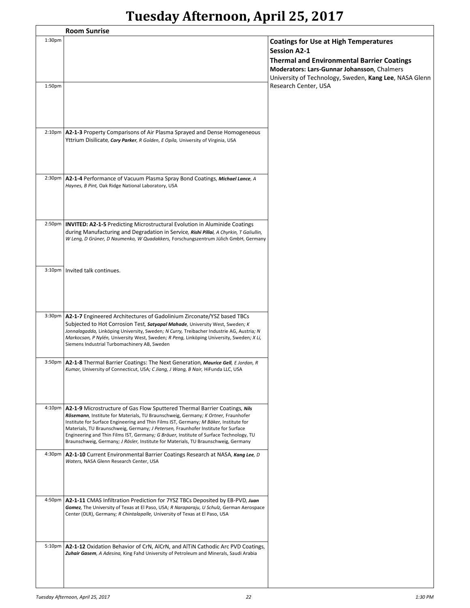|                     | <b>Room Sunrise</b>                                                                                                                                                                                                                                                                                                                                                                                                                                                                                                           |                                                                                                                                                                                                                                   |
|---------------------|-------------------------------------------------------------------------------------------------------------------------------------------------------------------------------------------------------------------------------------------------------------------------------------------------------------------------------------------------------------------------------------------------------------------------------------------------------------------------------------------------------------------------------|-----------------------------------------------------------------------------------------------------------------------------------------------------------------------------------------------------------------------------------|
| 1:30 <sub>pm</sub>  |                                                                                                                                                                                                                                                                                                                                                                                                                                                                                                                               | <b>Coatings for Use at High Temperatures</b><br><b>Session A2-1</b><br><b>Thermal and Environmental Barrier Coatings</b><br>Moderators: Lars-Gunnar Johansson, Chalmers<br>University of Technology, Sweden, Kang Lee, NASA Glenn |
| 1:50 <sub>pm</sub>  |                                                                                                                                                                                                                                                                                                                                                                                                                                                                                                                               | Research Center, USA                                                                                                                                                                                                              |
| 2:10 <sub>p</sub> m | A2-1-3 Property Comparisons of Air Plasma Sprayed and Dense Homogeneous<br>Yttrium Disilicate, Cory Parker, R Golden, E Opila, University of Virginia, USA                                                                                                                                                                                                                                                                                                                                                                    |                                                                                                                                                                                                                                   |
| 2:30 <sub>p</sub> m | A2-1-4 Performance of Vacuum Plasma Spray Bond Coatings, Michael Lance, A<br>Haynes, B Pint, Oak Ridge National Laboratory, USA                                                                                                                                                                                                                                                                                                                                                                                               |                                                                                                                                                                                                                                   |
| $2:50p$ m           | <b>INVITED: A2-1-5</b> Predicting Microstructural Evolution in Aluminide Coatings<br>during Manufacturing and Degradation in Service, Rishi Pillai, A Chyrkin, T Galiullin,<br>W Leng, D Grüner, D Naumenko, W Quadakkers, Forschungszentrum Jülich GmbH, Germany                                                                                                                                                                                                                                                             |                                                                                                                                                                                                                                   |
| 3:10 <sub>pm</sub>  | Invited talk continues.                                                                                                                                                                                                                                                                                                                                                                                                                                                                                                       |                                                                                                                                                                                                                                   |
| 3:30 <sub>pm</sub>  | A2-1-7 Engineered Architectures of Gadolinium Zirconate/YSZ based TBCs<br>Subjected to Hot Corrosion Test, Satyapal Mahade, University West, Sweden; K<br>Jonnalagadda, Linköping University, Sweden; N Curry, Treibacher Industrie AG, Austria; N<br>Markocsan, P Nylén, University West, Sweden; R Peng, Linköping University, Sweden; X Li,<br>Siemens Industrial Turbomachinery AB, Sweden                                                                                                                                |                                                                                                                                                                                                                                   |
| 3:50 <sub>pm</sub>  | A2-1-8 Thermal Barrier Coatings: The Next Generation, Maurice Gell, E Jordan, R<br>Kumar, University of Connecticut, USA; C Jiang, J Wang, B Nair, HiFunda LLC, USA                                                                                                                                                                                                                                                                                                                                                           |                                                                                                                                                                                                                                   |
| $4:10p$ m           | A2-1-9 Microstructure of Gas Flow Sputtered Thermal Barrier Coatings, Nils<br>Rösemann, Institute for Materials, TU Braunschweig, Germany; K Ortner, Fraunhofer<br>Institute for Surface Engineering and Thin Films IST, Germany; M Bäker, Institute for<br>Materials, TU Braunschweig, Germany; J Petersen, Fraunhofer Institute for Surface<br>Engineering and Thin Films IST, Germany; G Bräuer, Institute of Surface Technology, TU<br>Braunschweig, Germany; J Rösler, Institute for Materials, TU Braunschweig, Germany |                                                                                                                                                                                                                                   |
| 4:30pm              | A2-1-10 Current Environmental Barrier Coatings Research at NASA, Kang Lee, D<br>Waters, NASA Glenn Research Center, USA                                                                                                                                                                                                                                                                                                                                                                                                       |                                                                                                                                                                                                                                   |
| 4:50pm              | A2-1-11 CMAS Infiltration Prediction for 7YSZ TBCs Deposited by EB-PVD, Juan<br>Gomez, The University of Texas at El Paso, USA; R Naraparaju, U Schulz, German Aerospace<br>Center (DLR), Germany; R Chintalapalle, University of Texas at El Paso, USA                                                                                                                                                                                                                                                                       |                                                                                                                                                                                                                                   |
| 5:10 <sub>pm</sub>  | A2-1-12 Oxidation Behavior of CrN, AlCrN, and AlTiN Cathodic Arc PVD Coatings,<br>Zuhair Gasem, A Adesina, King Fahd University of Petroleum and Minerals, Saudi Arabia                                                                                                                                                                                                                                                                                                                                                       |                                                                                                                                                                                                                                   |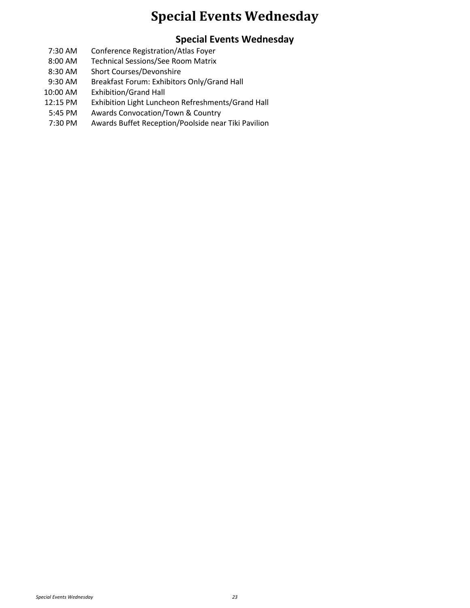#### **Special Events Wednesday**

#### **Special Events Wednesday**

- 7:30 AM Conference Registration/Atlas Foyer
- 8:00 AM Technical Sessions/See Room Matrix
- 8:30 AM Short Courses/Devonshire
- 9:30 AM Breakfast Forum: Exhibitors Only/Grand Hall
- 10:00 AM Exhibition/Grand Hall
- 12:15 PM Exhibition Light Luncheon Refreshments/Grand Hall
- 5:45 PM Awards Convocation/Town & Country
- 7:30 PM Awards Buffet Reception/Poolside near Tiki Pavilion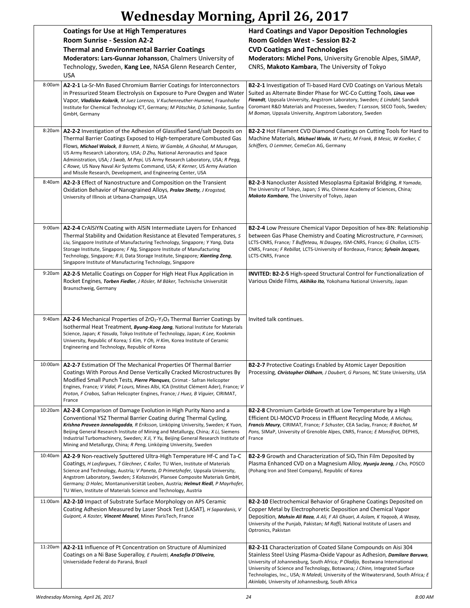## **Wednesday Morning, April 26, 2017**

|         | <b>Coatings for Use at High Temperatures</b><br><b>Room Sunrise - Session A2-2</b><br><b>Thermal and Environmental Barrier Coatings</b><br>Moderators: Lars-Gunnar Johansson, Chalmers University of<br>Technology, Sweden, Kang Lee, NASA Glenn Research Center,<br><b>USA</b>                                                                                                                                                                                                                                                           | <b>Hard Coatings and Vapor Deposition Technologies</b><br><b>Room Golden West - Session B2-2</b><br><b>CVD Coatings and Technologies</b><br>Moderators: Michel Pons, University Grenoble Alpes, SIMAP,<br>CNRS, Makoto Kambara, The University of Tokyo                                                                                                                                                                                               |
|---------|-------------------------------------------------------------------------------------------------------------------------------------------------------------------------------------------------------------------------------------------------------------------------------------------------------------------------------------------------------------------------------------------------------------------------------------------------------------------------------------------------------------------------------------------|-------------------------------------------------------------------------------------------------------------------------------------------------------------------------------------------------------------------------------------------------------------------------------------------------------------------------------------------------------------------------------------------------------------------------------------------------------|
| 8:00am  | A2-2-1 La-Sr-Mn Based Chromium Barrier Coatings for Interconnectors<br>in Pressurized Steam Electrolysis on Exposure to Pure Oxygen and Water<br>Vapor, Vladislav Kolarik, M Juez Lorenzo, V Kuchenreuther-Hummel, Fraunhofer<br>Institute for Chemical Technology ICT, Germany; M Pötschke, D Schimanke, Sunfire<br>GmbH, Germany                                                                                                                                                                                                        | <b>B2-2-1</b> Investigation of Ti-based Hard CVD Coatings on Various Metals<br>Suited as Alternate Binder Phase for WC-Co Cutting Tools, Linus von<br>Fieandt, Uppsala University, Angstrom Laboratory, Sweden; E Lindahl, Sandvik<br>Coromant R&D Materials and Processes, Sweden; T Larsson, SECO Tools, Sweden;<br>M Boman, Uppsala University, Angstrom Laboratory, Sweden                                                                        |
| 8:20am  | A2-2-2 Investigation of the Adhesion of Glassified Sand/salt Deposits on<br>Thermal Barrier Coatings Exposed to High-temperature Combusted Gas<br>Flows, Michael Walock, B Barnett, A Nieto, W Gamble, A Ghoshal, M Murugan,<br>US Army Research Laboratory, USA; D Zhu, National Aeronautics and Space<br>Administration, USA; J Swab, M Pepi, US Army Research Laboratory, USA; R Pegg,<br>C Rowe, US Navy Naval Air Systems Command, USA; K Kerner, US Army Aviation<br>and Missile Research, Development, and Engineering Center, USA | <b>B2-2-2 Hot Filament CVD Diamond Coatings on Cutting Tools for Hard to</b><br>Machine Materials, Michael Woda, W Puetz, M Frank, B Mesic, W Koelker, C<br>Schiffers, O Lemmer, CemeCon AG, Germany                                                                                                                                                                                                                                                  |
| 8:40am  | A2-2-3 Effect of Nanostructure and Composition on the Transient<br>Oxidation Behavior of Nanograined Alloys, Pralav Shetty, J Krogstad,<br>University of Illinois at Urbana-Champaign, USA                                                                                                                                                                                                                                                                                                                                                | <b>B2-2-3</b> Nanocluster Assisted Mesoplasma Epitaxial Bridging, R Yamada,<br>The University of Tokyo, Japan; S Wu, Chinese Academy of Sciences, China;<br>Makoto Kambara, The University of Tokyo, Japan                                                                                                                                                                                                                                            |
|         | 9:00am   A2-2-4 CrAlSiYN Coating with AlSiN Intermediate Layers for Enhanced<br>Thermal Stability and Oxidation Resistance at Elevated Temperatures, S<br>Liu, Singapore Institute of Manufacturing Technology, Singapore; Y Yang, Data<br>Storage Institute, Singapore; F Ng, Singapore Institute of Manufacturing<br>Technology, Singapore; R Ji, Data Storage Institute, Singapore; Xianting Zeng,<br>Singapore Institute of Manufacturing Technology, Singapore                                                                       | <b>B2-2-4</b> Low Pressure Chemical Vapor Deposition of hex-BN: Relationship<br>between Gas Phase Chemistry and Coating Microstructure, P Carminati,<br>LCTS-CNRS, France; T Buffeteau, N Daugey, ISM-CNRS, France; G Chollon, LCTS-<br>CNRS, France; F Rebillat, LCTS-University of Bordeaux, France; Sylvain Jacques,<br>LCTS-CNRS, France                                                                                                          |
| 9:20am  | A2-2-5 Metallic Coatings on Copper for High Heat Flux Application in<br>Rocket Engines, Torben Fiedler, J Rösler, M Bäker, Technische Universität<br>Braunschweig, Germany                                                                                                                                                                                                                                                                                                                                                                | <b>INVITED: B2-2-5 High-speed Structural Control for Functionalization of</b><br>Various Oxide Films, Akihiko Ito, Yokohama National University, Japan                                                                                                                                                                                                                                                                                                |
|         | 9:40am   A2-2-6 Mechanical Properties of $ZrO_2-Y_2O_3$ Thermal Barrier Coatings by<br>Isothermal Heat Treatment, <i>Byung-Koog Jang</i> , National Institute for Materials<br>Science, Japan; K Yasuda, Tokyo Institute of Technology, Japan; K Lee, Kookmin<br>University, Republic of Korea; S Kim, Y Oh, H Kim, Korea Institute of Ceramic<br>Engineering and Technology, Republic of Korea                                                                                                                                           | Invited talk continues.                                                                                                                                                                                                                                                                                                                                                                                                                               |
|         | 10:00am   A2-2-7 Estimation Of The Mechanical Properties Of Thermal Barrier<br>Coatings With Porous And Dense Vertically Cracked Microstructures By<br>Modified Small Punch Tests, Pierre Planques, Cirimat - Safran Helicopter<br>Engines, France; V Vidal, P Lours, Mines Albi, ICA (Institut Clément Ader), France; V<br>Proton, F Crabos, Safran Helicopter Engines, France; J Huez, B Viguier, CIRIMAT,<br>France                                                                                                                    | <b>B2-2-7</b> Protective Coatings Enabled by Atomic Layer Deposition<br>Processing, Christopher Oldham, J Daubert, G Parsons, NC State University, USA                                                                                                                                                                                                                                                                                                |
| 10:20am | A2-2-8 Comparison of Damage Evolution in High Purity Nano and a<br>Conventional YSZ Thermal Barrier Coating during Thermal Cycling,<br>Krishna Praveen Jonnalagadda, R Eriksson, Linköping University, Sweden; K Yuan,<br>Beijing General Research Institute of Mining and Metallurgy, China; X Li, Siemens<br>Industrial Turbomachinery, Sweden; X Ji, Y Yu, Beijing General Research Institute of<br>Mining and Metallurgy, China; R Peng, Linköping University, Sweden                                                                 | <b>B2-2-8</b> Chromium Carbide Growth at Low Temperature by a High<br>Efficient DLI-MOCVD Process in Effluent Recycling Mode, A Michau,<br>Francis Maury, CIRIMAT, France; F Schuster, CEA Saclay, France; R Boichot, M<br>Pons, SIMaP, University of Grenoble Alpes, CNRS, France; E Monsifrot, DEPHIS,<br>France                                                                                                                                    |
| 10:40am | A2-2-9 Non-reactively Sputtered Ultra-High Temperature Hf-C and Ta-C<br>Coatings, H Lasfargues, T Glechner, C Koller, TU Wien, Institute of Materials<br>Science and Technology, Austria; V Paneta, D Primetzhofer, Uppsala University,<br>Angstrom Laboratory, Sweden; S Kolozsvári, Plansee Composite Materials GmbH,<br>Germany; D Holec, Montanuniversität Leoben, Austria; Helmut Riedl, P Mayrhofer,<br>TU Wien, Institute of Materials Science and Technology, Austria                                                             | <b>B2-2-9</b> Growth and Characterization of $SiOx$ Thin Film Deposited by<br>Plasma Enhanced CVD on a Magnesium Alloy, Hyunju Jeong, J Cho, POSCO<br>(Pohang Iron and Steel Company), Republic of Korea                                                                                                                                                                                                                                              |
| 11:00am | A2-2-10 Impact of Substrate Surface Morphology on APS Ceramic<br>Coating Adhesion Measured by Laser Shock Test (LASAT), <i>H Sapardanis</i> , <i>V</i><br>Guipont, A Koster, Vincent Maurel, Mines ParisTech, France                                                                                                                                                                                                                                                                                                                      | <b>B2-2-10</b> Electrochemical Behavior of Graphene Coatings Deposited on<br>Copper Metal by Electrophoretic Deposition and Chemical Vapor<br>Deposition, Mohsin Ali Raza, A Ali, F Ali Ghuari, A Aslam, K Yagoob, A Wasay,<br>University of the Punjab, Pakistan; M Raffi, National Institute of Lasers and<br>Optronics, Pakistan                                                                                                                   |
| 11:20am | A2-2-11 Influence of Pt Concentration on Structure of Aluminized<br>Coatings on a Ni Base Superalloy, E Pauletti, AnaSofia D'Oliveira,<br>Universidade Federal do Paraná, Brazil                                                                                                                                                                                                                                                                                                                                                          | B2-2-11 Characterization of Coated Silane Compounds on Aisi 304<br>Stainless Steel Using Plasma-Oxide Vapour as Adhesion, Damilare Baruwa,<br>University of Johannesburg, South Africa; P Oladijo, Bostwana International<br>University of Science and Technology, Botswana; J Chinn, Integrated Surface<br>Technologies, Inc., USA; N Maledi, University of the Witwatersrand, South Africa; E<br>Akinlabi, University of Johannesburg, South Africa |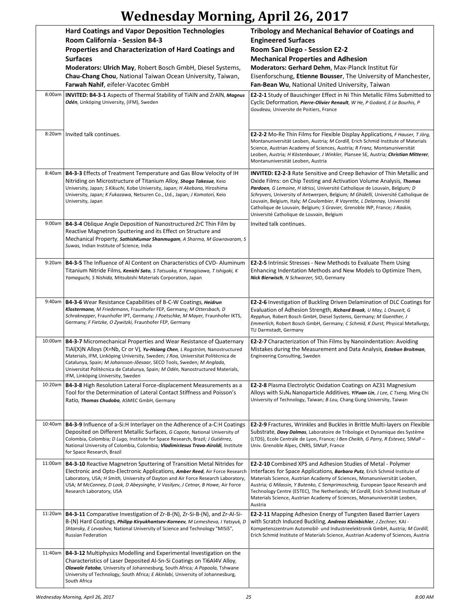## **Wednesday Morning, April 26, 2017**

|         | <b>Hard Coatings and Vapor Deposition Technologies</b><br>Room California - Session B4-3<br>Properties and Characterization of Hard Coatings and<br><b>Surfaces</b>                                                                                                                                                                                                                                                                          | <b>Tribology and Mechanical Behavior of Coatings and</b><br><b>Engineered Surfaces</b><br>Room San Diego - Session E2-2<br><b>Mechanical Properties and Adhesion</b>                                                                                                                                                                                                                                                                                                                                                             |
|---------|----------------------------------------------------------------------------------------------------------------------------------------------------------------------------------------------------------------------------------------------------------------------------------------------------------------------------------------------------------------------------------------------------------------------------------------------|----------------------------------------------------------------------------------------------------------------------------------------------------------------------------------------------------------------------------------------------------------------------------------------------------------------------------------------------------------------------------------------------------------------------------------------------------------------------------------------------------------------------------------|
|         | Moderators: Ulrich May, Robert Bosch GmbH, Diesel Systems,<br>Chau-Chang Chou, National Taiwan Ocean University, Taiwan,<br>Farwah Nahif, eifeler-Vacotec GmbH                                                                                                                                                                                                                                                                               | Moderators: Gerhard Dehm, Max-Planck Institut für<br>Eisenforschung, Etienne Bousser, The University of Manchester,<br>Fan-Bean Wu, National United University, Taiwan                                                                                                                                                                                                                                                                                                                                                           |
| 8:00am  | <b>INVITED: B4-3-1</b> Aspects of Thermal Stability of TiAIN and ZrAIN, Magnus<br>Odén, Linköping University, (IFM), Sweden                                                                                                                                                                                                                                                                                                                  | E2-2-1 Study of Bauschinger Effect in Ni Thin Metallic Films Submitted to<br>Cyclic Deformation, Pierre-Olivier Renault, W He, P Godard, E Le Bourhis, P<br>Goudeau, Universite de Poitiers, France                                                                                                                                                                                                                                                                                                                              |
|         | 8:20am   Invited talk continues.                                                                                                                                                                                                                                                                                                                                                                                                             | <b>E2-2-2</b> Mo-Re Thin Films for Flexible Display Applications, F Hauser, T Jörg,<br>Montanuniversität Leoben, Austria; M Cordill, Erich Schmid Institute of Materials<br>Science, Austrian Academy of Sciences, Austria; R Franz, Montanuniversität<br>Leoben, Austria; H Köstenbauer, J Winkler, Plansee SE, Austria; Christian Mitterer,<br>Montanuniversität Leoben, Austria                                                                                                                                               |
|         | 8:40am   B4-3-3 Effects of Treatment Temperature and Gas Blow Velocity of IH<br>Nitriding on Microstructure of Titanium Alloy, Shogo Takesue, Keio<br>University, Japan; S Kikuchi, Kobe University, Japan; H Akebono, Hiroshima<br>University, Japan; K Fukazawa, Netsuren Co., Ltd., Japan; J Komotori, Keio<br>University, Japan                                                                                                          | <b>INVITED: E2-2-3</b> Rate Sensitive and Creep Behavior of Thin Metallic and<br>Oxide Films: on Chip Testing and Activation Volume Analysis, Thomas<br>Pardoen, G Lemoine, H Idrissi, Université Catholique de Louvain, Belgium; D<br>Schryvers, University of Antwerpen, Belgium; M Ghidelli, Université Catholique de<br>Louvain, Belgium, Italy; M Coulombier, R Vayrette, L Delannay, Université<br>Catholique de Louvain, Belgium; S Gravier, Grenoble INP, France; J Raskin,<br>Université Catholique de Louvain, Belgium |
|         | 9:00am   B4-3-4 Oblique Angle Deposition of Nanostructured ZrC Thin Film by<br>Reactive Magnetron Sputtering and its Effect on Structure and<br>Mechanical Property, SathishKumar Shanmugam, A Sharma, M Gowravaram, S<br>Suwas, Indian Institute of Science, India                                                                                                                                                                          | Invited talk continues.                                                                                                                                                                                                                                                                                                                                                                                                                                                                                                          |
| 9:20am  | <b>B4-3-5</b> The Influence of Al Content on Characteristics of CVD-Aluminum<br>Titanium Nitride Films, Kenichi Sato, S Tatsuoka, K Yanagisawa, T Ishigaki, K<br>Yamaguchi, S Nishida, Mitsubishi Materials Corporation, Japan                                                                                                                                                                                                               | <b>E2-2-5</b> Intrinsic Stresses - New Methods to Evaluate Them Using<br>Enhancing Indentation Methods and New Models to Optimize Them,<br>Nick Bierwisch, N Schwarzer, SIO, Germany                                                                                                                                                                                                                                                                                                                                             |
|         | 9:40am   B4-3-6 Wear Resistance Capabilities of B-C-W Coatings, Heidrun<br>Klostermann, M Friedemann, Fraunhofer FEP, Germany; M Ottersbach, D<br>Schraknepper, Fraunhofer IPT, Germany; J Poetschke, M Mayer, Fraunhofer IKTS,<br>Germany; F Fietzke, O Zywitzki, Fraunhofer FEP, Germany                                                                                                                                                   | <b>E2-2-6</b> Investigation of Buckling Driven Delamination of DLC Coatings for<br>Evaluation of Adhesion Strength, Richard Braak, U May, L Onuseit, G<br>Repphun, Robert Bosch GmbH, Diesel Systems, Germany; M Guenther, J<br>Emmerlich, Robert Bosch GmbH, Germany; C Schmid, K Durst, Physical Metallurgy,<br>TU Darmstadt, Germany                                                                                                                                                                                          |
| 10:00am | <b>B4-3-7</b> Micromechanical Properties and Wear Resistance of Quaternary<br>TiAl(X)N Alloys (X=Nb, Cr or V), Yu-Hsiang Chen, L Rogström, Nanostructured<br>Materials, IFM, Linköping University, Sweden; J Roa, Universitat Politècnica de<br>Catalunya, Spain; M Johansson-Jõesaar, SECO Tools, Sweden; M Anglada,<br>Universitat Politècnica de Catalunya, Spain; M Odén, Nanostructured Materials,<br>IFM, Linköping University, Sweden | <b>E2-2-7</b> Characterization of Thin Films by Nanoindentation: Avoiding<br>Mistakes during the Measurement and Data Analysis, Esteban Broitman,<br>Engineering Consulting, Sweden                                                                                                                                                                                                                                                                                                                                              |
| 10:20am | <b>B4-3-8 High Resolution Lateral Force-displacement Measurements as a</b><br>Tool for the Determination of Lateral Contact Stiffness and Poisson's<br>Ratio, Thomas Chudoba, ASMEC GmbH, Germany                                                                                                                                                                                                                                            | <b>E2-2-8 Plasma Electrolytic Oxidation Coatings on AZ31 Magnesium</b><br>Alloys with Si <sub>3</sub> N <sub>4</sub> Nanoparticle Additives, YiYuan Lin, J Lee, C Tseng, Ming Chi<br>University of Technology, Taiwan; B Lou, Chang Gung University, Taiwan                                                                                                                                                                                                                                                                      |
| 10:40am | B4-3-9 Influence of a-Si:H Interlayer on the Adherence of a-C:H Coatings<br>Deposited on Different Metallic Surfaces, G Capote, National University of<br>Colombia, Colombia; D Lugo, Institute for Space Research, Brazil; J Gutiérrez,<br>National University of Colombia, Colombia; VladimirJesus Trava-Airoldi, Institute<br>for Space Research, Brazil                                                                                  | E2-2-9 Fractures, Wrinkles and Buckles in Brittle Multi-layers on Flexible<br>Substrate, Davy Dalmas, Laboratoire de Tribologie et Dynamique des Système<br>(LTDS), Ecole Centrale de Lyon, France; I Ben Cheikh, G Parry, R Estevez, SIMaP -<br>Univ. Grenoble Alpes, CNRS, SIMaP, France                                                                                                                                                                                                                                       |
| 11:00am | <b>B4-3-10</b> Reactive Magnetron Sputtering of Transition Metal Nitrides for<br>Electronic and Opto-Electronic Applications, Amber Reed, Air Force Research<br>Laboratory, USA; H Smith, University of Dayton and Air Force Research Laboratory,<br>USA; M McConney, D Look, D Abeysinghe, V Vasilyev, J Cetnar, B Howe, Air Force<br>Research Laboratory, USA                                                                              | <b>E2-2-10</b> Combined XPS and Adhesion Studies of Metal - Polymer<br>Interfaces for Space Applications, <b>Barbara Putz</b> , Erich Schmid Institute of<br>Materials Science, Austrian Academy of Sciences, Monanuniversität Leoben,<br>Austria; G Milassin, Y Butenko, C Semprimoschnig, European Space Research and<br>Technology Centre (ESTEC), The Netherlands; M Cordill, Erich Schmid Institute of<br>Materials Science, Austrian Academy of Sciences, Monanuniversität Leoben,<br>Austria                              |
| 11:20am | B4-3-11 Comparative Investigation of Zr-B-(N), Zr-Si-B-(N), and Zr-Al-Si-<br>B-(N) Hard Coatings, <i>Philipp Kiryukhantsev-Korneev</i> , M Lemesheva, I Yatsyuk, D<br>Shtansky, E Levashov, National University of Science and Technology "MISiS",<br>Russian Federation                                                                                                                                                                     | <b>E2-2-11</b> Mapping Adhesion Energy of Tungsten Based Barrier Layers<br>with Scratch Induced Buckling, Andreas Kleinbichler, J Zechner, KAI -<br>Kompetenzzentrum Automobil- und Industrieelektronik GmbH, Austria; M Cordill,<br>Erich Schmid Institute of Materials Science, Austrian Academy of Sciences, Austria                                                                                                                                                                                                          |
| 11:40am | <b>B4-3-12</b> Multiphysics Modelling and Experimental Investigation on the<br>Characteristics of Laser Deposited Al-Sn-Si Coatings on Ti6Al4V Alloy,<br>Olawale Fatoba, University of Johannesburg, South Africa; A Popoola, Tshwane<br>University of Technology, South Africa; E Akinlabi, University of Johannesburg,<br>South Africa                                                                                                     |                                                                                                                                                                                                                                                                                                                                                                                                                                                                                                                                  |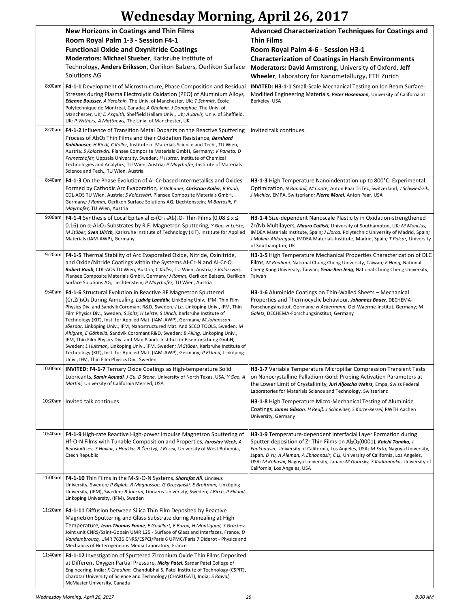# **Wednesday Morning, April 26, 2017**

|         | <b>New Horizons in Coatings and Thin Films</b><br>Room Royal Palm 1-3 - Session F4-1                                                                                                                                                                                                                                                                                                                                                                                                                                                                                                                                                                                                                                                                                                                                                                                                              | Advanced Characterization Techniques for Coatings and<br><b>Thin Films</b>                                                                                                                                                                                                                                                                                                                                                                                      |
|---------|---------------------------------------------------------------------------------------------------------------------------------------------------------------------------------------------------------------------------------------------------------------------------------------------------------------------------------------------------------------------------------------------------------------------------------------------------------------------------------------------------------------------------------------------------------------------------------------------------------------------------------------------------------------------------------------------------------------------------------------------------------------------------------------------------------------------------------------------------------------------------------------------------|-----------------------------------------------------------------------------------------------------------------------------------------------------------------------------------------------------------------------------------------------------------------------------------------------------------------------------------------------------------------------------------------------------------------------------------------------------------------|
|         | <b>Functional Oxide and Oxynitride Coatings</b>                                                                                                                                                                                                                                                                                                                                                                                                                                                                                                                                                                                                                                                                                                                                                                                                                                                   | Room Royal Palm 4-6 - Session H3-1                                                                                                                                                                                                                                                                                                                                                                                                                              |
|         | Moderators: Michael Stueber, Karlsruhe Institute of                                                                                                                                                                                                                                                                                                                                                                                                                                                                                                                                                                                                                                                                                                                                                                                                                                               | <b>Characterization of Coatings in Harsh Environments</b>                                                                                                                                                                                                                                                                                                                                                                                                       |
|         | Technology, Anders Eriksson, Oerlikon Balzers, Oerlikon Surface<br><b>Solutions AG</b>                                                                                                                                                                                                                                                                                                                                                                                                                                                                                                                                                                                                                                                                                                                                                                                                            | Moderators: David Armstrong, University of Oxford, Jeff<br>Wheeler, Laboratory for Nanometallurgy, ETH Zürich                                                                                                                                                                                                                                                                                                                                                   |
| 8:00am  | <b>F4-1-1</b> Development of Microstructure, Phase Composition and Residual<br>Stresses during Plasma Electrolytic Oxidation (PEO) of Aluminium Alloys,<br>Etienne Bousser, A Yerokhin, The Univ. of Manchester, UK; T Schmitt, École<br>Polytechnique de Montréal, Canada; A Gholinia, J Donoghue, The Univ. of<br>Manchester, UK; D Asquith, Sheffield Hallam Univ., UK; A Jarvis, Univ. of Sheffield,<br>UK; P Withers, A Matthews, The Univ. of Manchester, UK                                                                                                                                                                                                                                                                                                                                                                                                                                | <b>INVITED: H3-1-1</b> Small-Scale Mechanical Testing on Ion Beam Surface-<br>Modified Engineering Materials, Peter Hosemann, University of Californa at<br>Berkeley, USA                                                                                                                                                                                                                                                                                       |
| 8:20am  | F4-1-2 Influence of Transition Metal Dopants on the Reactive Sputtering<br>Process of Al <sub>2</sub> O <sub>3</sub> Thin Films and their Oxidation Resistance, Bernhard<br>Kohlhauser, H Riedl, C Koller, Institute of Materials Science and Tech., TU Wien,<br>Austria; S Kolozsvári, Plansee Composite Materials GmbH, Germany; V Paneta, D<br>Primetzhofer, Uppsala University, Sweden; H Hutter, Institute of Chemical<br>Technologies and Analytics, TU Wien, Austria; P Mayrhofer, Institute of Materials<br>Science and Tech., TU Wien, Austria                                                                                                                                                                                                                                                                                                                                           | Invited talk continues.                                                                                                                                                                                                                                                                                                                                                                                                                                         |
| 8:40am  | <b>F4-1-3</b> On the Phase Evolution of Al-Cr-based Intermetallics and Oxides<br>Formed by Cathodic Arc Evaporation, V Dalbauer, Christian Koller, R Raab,<br>CDL-AOS TU Wien, Austria; S Kolozsvári, Plansee Composite Materials GmbH,<br>Germany; J Ramm, Oerlikon Surface Solutions AG, Liechtenstein; M Bartosik, P<br>Mayrhofer, TU Wien, Austria                                                                                                                                                                                                                                                                                                                                                                                                                                                                                                                                            | H3-1-3 High Temperature Nanoindentation up to 800°C: Experimental<br>Optimization, N Randall, M Conte, Anton Paar TriTec, Switzerland; J Schwiedrzik,<br>J Michler, EMPA, Switzerland; Pierre Morel, Anton Paar, USA                                                                                                                                                                                                                                            |
| 9:00am  | <b>F4-1-4</b> Synthesis of Local Epitaxial $\alpha$ -(Cr <sub>1-x</sub> Al <sub>x</sub> ) <sub>2</sub> O <sub>3</sub> Thin Films (0.08 $\leq$ x $\leq$<br>0.16) on α-Al2O3 Substrates by R.F. Magnetron Sputtering, Y Gao, H Leiste,<br>M Stüber, Sven Ulrich, Karlsruhe Institute of Technology (KIT), Institute for Applied<br>Materials (IAM-AWP), Germany                                                                                                                                                                                                                                                                                                                                                                                                                                                                                                                                     | H3-1-4 Size-dependent Nanoscale Plasticity in Oxidation-strengthened<br>Zr/Nb Multilayers, Mauro Callisti, University of Southampton, UK; M Monclus,<br>IMDEA Materials Institute, Spain; J Llorca, Polytechnic University of Madrid, Spain;<br>J Molina-Aldareguía, IMDEA Materials Institute, Madrid, Spain; T Polcar, University<br>of Southampton, UK                                                                                                       |
| 9:20am  | <b>F4-1-5</b> Thermal Stability of Arc Evaporated Oxide, Nitride, Oxinitride,<br>and Oxide/Nitride Coatings within the Systems Al-Cr-N and Al-Cr-O,<br>Robert Raab, CDL-AOS TU Wien, Austria; C Koller, TU Wien, Austria; S Kolozsvári,<br>Plansee Composite Materials GmbH, Germany; J Ramm, Oerlikon Balzers, Oerlikon<br>Surface Solutions AG, Liechtenstein; P Mayrhofer, TU Wien, Austria                                                                                                                                                                                                                                                                                                                                                                                                                                                                                                    | H3-1-5 High Temperature Mechanical Properties Characterization of DLC<br>Films, M Rouhani, National Chung Cheng University, Taiwan; F Hong, National<br>Cheng Kung University, Taiwan; Yeau-Ren Jeng, National Chung Cheng University,<br>Taiwan                                                                                                                                                                                                                |
| 9:40am  | F4-1-6 Structural Evolution in Reactive RF Magnetron Sputtered<br>(Cr,Zr) <sub>2</sub> O <sub>3</sub> During Annealing, Ludvig Landälv, Linköping Univ., IFM, Thin Film<br>Physics Div. and Sandvik Coromant R&D, Sweden; J Lu, Linköping Univ., IFM, Thin<br>Film Physics Div., Sweden; S Spitz, H Leiste, S Ulrich, Karlsruhe Institute of<br>Technology (KIT), Inst. for Applied Mat. (IAM-AWP), Germany; M Johansson-<br>Jõesaar, Linköping Univ., IFM, Nanostructured Mat. And SECO TOOLS, Sweden; M<br>Ahlgren, E Göthelid, Sandvik Coromant R&D, Sweden; B Alling, Linköping Univ.,<br>IFM, Thin Film Physics Div. and Max-Planck-Institut für Eisenforschung GmbH,<br>Sweden; L Hultman, Linköping Univ., IFM, Sweden; M Stüber, Karlsruhe Institute of<br>Technology (KIT), Inst. for Applied Mat. (IAM-AWP), Germany; P Eklund, Linköping<br>Univ., IFM, Thin Film Physics Div., Sweden | <b>H3-1-6</b> Aluminide Coatings on Thin-Walled Sheets - Mechanical<br>Properties and Thermocyclic behaviour, Johannes Bauer, DECHEMA-<br>Forschungsinstitut, Germany; H Ackermann, Oel-Waerme-Institut, Germany; M<br>Galetz, DECHEMA-Forschungsinstitut, Germany                                                                                                                                                                                              |
| 10:00am | <b>INVITED: F4-1-7 Ternary Oxide Coatings as High-temperature Solid</b><br>Lubricants, Samir Aouadi, J Gu, D Stone, University of North Texas, USA; Y Gao, A<br>Martini, University of California Merced, USA                                                                                                                                                                                                                                                                                                                                                                                                                                                                                                                                                                                                                                                                                     | H3-1-7 Variable Temperature Micropillar Compression Transient Tests<br>on Nanocrystalline Palladium-Gold: Probing Activation Parameters at<br>the Lower Limit of Crystallinity, Juri Aljoscha Wehrs, Empa, Swiss Federal<br>Laboratories for Materials Science and Technology, Switzerland                                                                                                                                                                      |
| 10:20am | Invited talk continues.                                                                                                                                                                                                                                                                                                                                                                                                                                                                                                                                                                                                                                                                                                                                                                                                                                                                           | <b>H3-1-8</b> High Temperature Micro-Mechanical Testing of Aluminide<br>Coatings, James Gibson, H Reuß, J Schneider, S Korte-Kerzel, RWTH Aachen<br>University, Germany                                                                                                                                                                                                                                                                                         |
| 10:40am | F4-1-9 High-rate Reactive High-power Impulse Magnetron Sputtering of<br>Hf-O-N Films with Tunable Composition and Properties, Jaroslav VIcek, A<br>Belosludtsev, S Haviar, J Houška, R Čerstvý, J Rezek, University of West Bohemia,<br>Czech Republic                                                                                                                                                                                                                                                                                                                                                                                                                                                                                                                                                                                                                                            | H3-1-9 Temperature-dependent Interfacial Layer Formation during<br>Sputter-deposition of Zr Thin Films on Al <sub>2</sub> O <sub>3</sub> (0001), Koichi Tanaka, J<br>Fankhauser, University of California, Los Angeles, USA; M Sato, Nagoya University,<br>Japan; D Yu, A Aleman, A Ebnonnasir, C Li, University of California, Los Angeles,<br>USA; M Kobashi, Nagoya University, Japan; M Goorsky, S Kodambaka, University of<br>California, Los Angeles, USA |
| 11:00am | F4-1-10 Thin Films in the M-Si-O-N Systems, Sharafat Ali, Linnæus<br>University, Sweden; P Biplab, R Magnusson, G Greczynski, E Broitman, Linköping<br>University, (IFM), Sweden; B Jonson, Linnæus University, Sweden; J Birch, P Eklund,<br>Linköping University, (IFM), Sweden                                                                                                                                                                                                                                                                                                                                                                                                                                                                                                                                                                                                                 |                                                                                                                                                                                                                                                                                                                                                                                                                                                                 |
| 11:20am | F4-1-11 Diffusion between Silica Thin Film Deposited by Reactive<br>Magnetron Sputtering and Glass Substrate during Annealing at High<br>Temperature, Jean-Thomas Fonné, E Gouillart, E Burov, H Montigaud, S Grachev,<br>Joint unit CNRS/Saint-Gobain UMR 125 - Surface of Glass and Interfaces, France; D<br>Vandembroucq, UMR 7636 CNRS/ESPCI/Paris 6 UPMC/Paris 7 Diderot - Physics and<br>Mechanics of Heterogeneous Media Laboratory, France                                                                                                                                                                                                                                                                                                                                                                                                                                                |                                                                                                                                                                                                                                                                                                                                                                                                                                                                 |
| 11:40am | F4-1-12 Investigation of Sputtered Zirconium Oxide Thin Films Deposited<br>at Different Oxygen Partial Pressure, Nicky Patel, Sardar Patel College of<br>Engineering, India; K Chauhan, Chandubhai S. Patel Institute of Technology (CSPIT),<br>Charotar University of Science and Technology (CHARUSAT), India; S Rawal,<br>McMaster University, Canada                                                                                                                                                                                                                                                                                                                                                                                                                                                                                                                                          |                                                                                                                                                                                                                                                                                                                                                                                                                                                                 |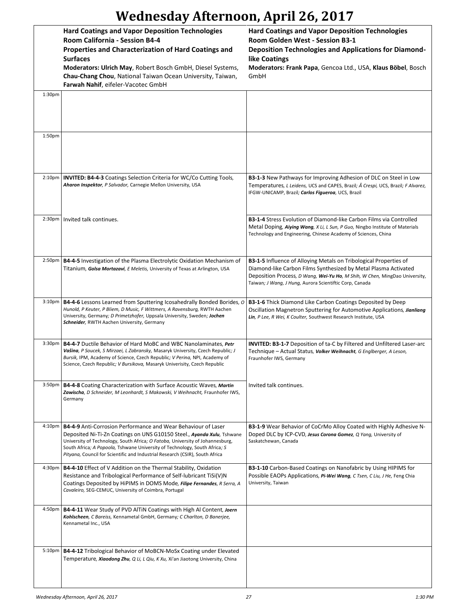|                    | <b>Hard Coatings and Vapor Deposition Technologies</b><br>Room California - Session B4-4<br>Properties and Characterization of Hard Coatings and<br><b>Surfaces</b><br>Moderators: Ulrich May, Robert Bosch GmbH, Diesel Systems,<br>Chau-Chang Chou, National Taiwan Ocean University, Taiwan,<br>Farwah Nahif, eifeler-Vacotec GmbH                                                                  | <b>Hard Coatings and Vapor Deposition Technologies</b><br>Room Golden West - Session B3-1<br><b>Deposition Technologies and Applications for Diamond-</b><br>like Coatings<br>Moderators: Frank Papa, Gencoa Ltd., USA, Klaus Böbel, Bosch<br>GmbH                            |
|--------------------|--------------------------------------------------------------------------------------------------------------------------------------------------------------------------------------------------------------------------------------------------------------------------------------------------------------------------------------------------------------------------------------------------------|-------------------------------------------------------------------------------------------------------------------------------------------------------------------------------------------------------------------------------------------------------------------------------|
| 1:30pm             |                                                                                                                                                                                                                                                                                                                                                                                                        |                                                                                                                                                                                                                                                                               |
| 1:50pm             |                                                                                                                                                                                                                                                                                                                                                                                                        |                                                                                                                                                                                                                                                                               |
| 2:10 <sub>pm</sub> | INVITED: B4-4-3 Coatings Selection Criteria for WC/Co Cutting Tools,<br>Aharon Inspektor, P Salvador, Carnegie Mellon University, USA                                                                                                                                                                                                                                                                  | <b>B3-1-3</b> New Pathways for Improving Adhesion of DLC on Steel in Low<br>Temperatures, L Leidens, UCS and CAPES, Brazil; Â Crespi, UCS, Brazil; F Alvarez,<br>IFGW-UNICAMP, Brazil; Carlos Figueroa, UCS, Brazil                                                           |
| 2:30 <sub>pm</sub> | Invited talk continues.                                                                                                                                                                                                                                                                                                                                                                                | <b>B3-1-4</b> Stress Evolution of Diamond-like Carbon Films via Controlled<br>Metal Doping, Aiying Wang, X Li, L Sun, P Guo, Ningbo Institute of Materials<br>Technology and Engineering, Chinese Academy of Sciences, China                                                  |
| 2:50 <sub>pm</sub> | B4-4-5 Investigation of the Plasma Electrolytic Oxidation Mechanism of<br>Titanium, Golsa Mortazavi, E Meletis, University of Texas at Arlington, USA                                                                                                                                                                                                                                                  | B3-1-5 Influence of Alloying Metals on Tribological Properties of<br>Diamond-like Carbon Films Synthesized by Metal Plasma Activated<br>Deposition Process, D Wang, Wei-Yu Ho, M Shih, W Chen, MingDao University,<br>Taiwan; J Wang, J Hung, Aurora Scientiftic Corp, Canada |
|                    | 3:10pm   B4-4-6 Lessons Learned from Sputtering Icosahedrally Bonded Borides, O<br>Hunold, P Keuter, P Bliem, D Music, F Wittmers, A Ravensburg, RWTH Aachen<br>University, Germany; D Primetzhofer, Uppsala University, Sweden; Jochen<br>Schneider, RWTH Aachen University, Germany                                                                                                                  | <b>B3-1-6</b> Thick Diamond Like Carbon Coatings Deposited by Deep<br>Oscillation Magnetron Sputtering for Automotive Applications, Jianliang<br>Lin, P Lee, R Wei, K Coulter, Southwest Research Institute, USA                                                              |
| 3:30 <sub>pm</sub> | <b>B4-4-7</b> Ductile Behavior of Hard MoBC and WBC Nanolaminates, Petr<br>Vašina, P Soucek, S Mirzaei, L Zabransky, Masaryk University, Czech Republic; J<br>Bursik, IPM, Academy of Science, Czech Republic; V Perina, NPI, Academy of<br>Science, Czech Republic; V Bursikova, Masaryk Univerisity, Czech Republic                                                                                  | <b>INVITED: B3-1-7</b> Deposition of ta-C by Filtered and Unfiltered Laser-arc<br>Technique – Actual Status, Volker Weihnacht, G Englberger, A Leson,<br>Fraunhofer IWS, Germany                                                                                              |
| 3:50 <sub>pm</sub> | B4-4-8 Coating Characterization with Surface Acoustic Waves, Martin<br>Zawischa, D Schneider, M Leonhardt, S Makowski, V Weihnacht, Fraunhofer IWS,<br>Germany                                                                                                                                                                                                                                         | Invited talk continues.                                                                                                                                                                                                                                                       |
|                    | 4:10pm   <b>B4-4-9</b> Anti-Corrosion Performance and Wear Behaviour of Laser<br>Deposited Ni-Ti-Zn Coatings on UNS G10150 Steel., Ayanda Xulu, Tshwane<br>University of Technology, South Africa; O Fatoba, University of Johannesburg,<br>South Africa; A Popoola, Tshwane University of Technology, South Africa; S<br>Pityana, Council for Scientific and Industrial Research (CSIR), South Africa | B3-1-9 Wear Behavior of CoCrMo Alloy Coated with Highly Adhesive N-<br>Doped DLC by ICP-CVD, Jesus Corona Gomez, Q Yang, University of<br>Saskatchewan, Canada                                                                                                                |
| 4:30 <sub>pm</sub> | <b>B4-4-10</b> Effect of V Addition on the Thermal Stability, Oxidation<br>Resistance and Tribological Performance of Self-lubricant TiSi(V)N<br>Coatings Deposited by HiPIMS in DOMS Mode, Filipe Fernandes, R Serra, A<br>Cavaleiro, SEG-CEMUC, University of Coimbra, Portugal                                                                                                                      | <b>B3-1-10</b> Carbon-Based Coatings on Nanofabric by Using HIPIMS for<br>Possible EAOPs Applications, Pi-Wei Wang, C Tsen, C Liu, J He, Feng Chia<br>University, Taiwan                                                                                                      |
|                    | 4:50pm   B4-4-11 Wear Study of PVD AlTIN Coatings with High Al Content, Joern<br>Kohlscheen, C Bareiss, Kennametal GmbH, Germany; C Charlton, D Banerjee,<br>Kennametal Inc., USA                                                                                                                                                                                                                      |                                                                                                                                                                                                                                                                               |
| 5:10 <sub>pm</sub> | B4-4-12 Tribological Behavior of MoBCN-MoSx Coating under Elevated<br>Temperature, Xiaodong Zhu, Q Li, L Qiu, K Xu, Xi'an Jiaotong University, China                                                                                                                                                                                                                                                   |                                                                                                                                                                                                                                                                               |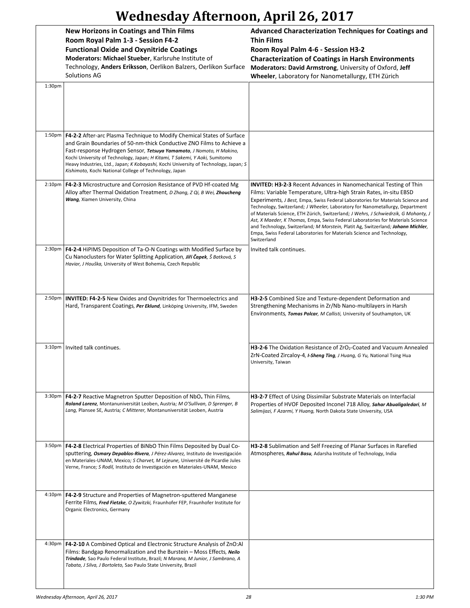|                    | <b>New Horizons in Coatings and Thin Films</b><br>Room Royal Palm 1-3 - Session F4-2<br><b>Functional Oxide and Oxynitride Coatings</b><br>Moderators: Michael Stueber, Karlsruhe Institute of<br>Technology, Anders Eriksson, Oerlikon Balzers, Oerlikon Surface<br>Solutions AG                                                                                                                                                                                 | Advanced Characterization Techniques for Coatings and<br><b>Thin Films</b><br>Room Royal Palm 4-6 - Session H3-2<br><b>Characterization of Coatings in Harsh Environments</b><br>Moderators: David Armstrong, University of Oxford, Jeff<br>Wheeler, Laboratory for Nanometallurgy, ETH Zürich                                                                                                                                                                                                                                                                                                                                                                            |
|--------------------|-------------------------------------------------------------------------------------------------------------------------------------------------------------------------------------------------------------------------------------------------------------------------------------------------------------------------------------------------------------------------------------------------------------------------------------------------------------------|---------------------------------------------------------------------------------------------------------------------------------------------------------------------------------------------------------------------------------------------------------------------------------------------------------------------------------------------------------------------------------------------------------------------------------------------------------------------------------------------------------------------------------------------------------------------------------------------------------------------------------------------------------------------------|
| 1:30pm             |                                                                                                                                                                                                                                                                                                                                                                                                                                                                   |                                                                                                                                                                                                                                                                                                                                                                                                                                                                                                                                                                                                                                                                           |
|                    | 1:50pm   F4-2-2 After-arc Plasma Technique to Modify Chemical States of Surface<br>and Grain Boundaries of 50-nm-thick Conductive ZNO Films to Achieve a<br>Fast-response Hydrogen Sensor, Tetsuya Yamamoto, J Nomoto, H Makino,<br>Kochi University of Technology, Japan; H Kitami, T Sakemi, Y Aoki, Sumitomo<br>Heavy Industries, Ltd., Japan; K Kobayashi, Kochi University of Technology, Japan; S<br>Kishimoto, Kochi National College of Technology, Japan |                                                                                                                                                                                                                                                                                                                                                                                                                                                                                                                                                                                                                                                                           |
| $2:10p$ m          | <b>F4-2-3</b> Microstructure and Corrosion Resistance of PVD Hf-coated Mg<br>Alloy after Thermal Oxidation Treatment, D Zhang, Z Qi, B Wei, <b>Zhoucheng</b><br>Wang, Xiamen University, China                                                                                                                                                                                                                                                                    | <b>INVITED: H3-2-3</b> Recent Advances in Nanomechanical Testing of Thin<br>Films: Variable Temperature, Ultra-high Strain Rates, in-situ EBSD<br>Experiments, J Best, Empa, Swiss Federal Laboratories for Materials Science and<br>Technology, Switzerland; J Wheeler, Laboratory for Nanometallurgy, Department<br>of Materials Science, ETH Zürich, Switzerland; J Wehrs, J Schwiedrzik, G Mohanty, J<br>Ast, X Maeder, K Thomas, Empa, Swiss Federal Laboratories for Materials Science<br>and Technology, Switzerland; M Morstein, Platit Ag, Switzerland; Johann Michler,<br>Empa, Swiss Federal Laboratories for Materials Science and Technology,<br>Switzerland |
|                    | 2:30pm   F4-2-4 HiPIMS Deposition of Ta-O-N Coatings with Modified Surface by<br>Cu Nanoclusters for Water Splitting Application, Jiří Čapek, Š Batková, S<br>Haviar, J Houška, University of West Bohemia, Czech Republic                                                                                                                                                                                                                                        | Invited talk continues.                                                                                                                                                                                                                                                                                                                                                                                                                                                                                                                                                                                                                                                   |
| 2:50pm             | <b>INVITED: F4-2-5 New Oxides and Oxynitrides for Thermoelectrics and</b><br>Hard, Transparent Coatings, Per Eklund, Linköping University, IFM, Sweden                                                                                                                                                                                                                                                                                                            | H3-2-5 Combined Size and Texture-dependent Deformation and<br>Strengthening Mechanisms in Zr/Nb Nano-multilayers in Harsh<br>Environments, Tomas Polcar, M Callisti, University of Southampton, UK                                                                                                                                                                                                                                                                                                                                                                                                                                                                        |
| $3:10p$ m          | Invited talk continues.                                                                                                                                                                                                                                                                                                                                                                                                                                           | H3-2-6 The Oxidation Resistance of ZrO <sub>2</sub> -Coated and Vacuum Annealed<br>ZrN-Coated Zircaloy-4, <i>I-Sheng Ting</i> , J Huang, G Yu, National Tsing Hua<br>University, Taiwan                                                                                                                                                                                                                                                                                                                                                                                                                                                                                   |
| 3:30 <sub>pm</sub> | <b>F4-2-7</b> Reactive Magnetron Sputter Deposition of $NbOx$ Thin Films,<br>Roland Lorenz, Montanuniversität Leoben, Austria; M O'Sullivan, D Sprenger, B<br>Lang, Plansee SE, Austria; C Mitterer, Montanuniversität Leoben, Austria                                                                                                                                                                                                                            | H3-2-7 Effect of Using Dissimilar Substrate Materials on Interfacial<br>Properties of HVOF Deposited Inconel 718 Alloy, Sahar Abualigaledari, M<br>Salimijazi, F Azarmi, Y Huang, North Dakota State University, USA                                                                                                                                                                                                                                                                                                                                                                                                                                                      |
| 3:50 <sub>pm</sub> | F4-2-8 Electrical Properties of BiNbO Thin Films Deposited by Dual Co-<br>sputtering, Osmary Depablos-Rivera, J Pérez-Alvarez, Instituto de Investigación<br>en Materiales-UNAM, Mexico; S Charvet, M Lejeune, Université de Picardie Jules<br>Verne, France; S Rodil, Instituto de Investigación en Materiales-UNAM, Mexico                                                                                                                                      | H3-2-8 Sublimation and Self Freezing of Planar Surfaces in Rarefied<br>Atmospheres, Rahul Basu, Adarsha Institute of Technology, India                                                                                                                                                                                                                                                                                                                                                                                                                                                                                                                                    |
| 4:10 <sub>pm</sub> | F4-2-9 Structure and Properties of Magnetron-sputtered Manganese<br>Ferrite Films, Fred Fietzke, O Zywitzki, Fraunhofer FEP, Fraunhofer Institute for<br>Organic Electronics, Germany                                                                                                                                                                                                                                                                             |                                                                                                                                                                                                                                                                                                                                                                                                                                                                                                                                                                                                                                                                           |
| 4:30pm             | F4-2-10 A Combined Optical and Electronic Structure Analysis of ZnO:Al<br>Films: Bandgap Renormalization and the Burstein - Moss Effects, Neilo<br>Trindade, Sao Paulo Federal Institute, Brazil; N Marana, M Junior, J Sambrano, A<br>Tabata, J Silva, J Bortoleto, Sao Paulo State University, Brazil                                                                                                                                                           |                                                                                                                                                                                                                                                                                                                                                                                                                                                                                                                                                                                                                                                                           |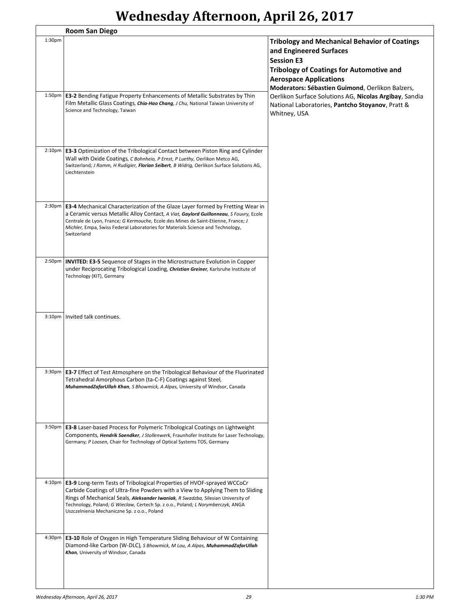|                    | <b>Room San Diego</b>                                                                                                                                                                                                                                                                                                                                                                    |                                                                                                                                                                                                                                              |
|--------------------|------------------------------------------------------------------------------------------------------------------------------------------------------------------------------------------------------------------------------------------------------------------------------------------------------------------------------------------------------------------------------------------|----------------------------------------------------------------------------------------------------------------------------------------------------------------------------------------------------------------------------------------------|
| 1:30 <sub>pm</sub> |                                                                                                                                                                                                                                                                                                                                                                                          | <b>Tribology and Mechanical Behavior of Coatings</b><br>and Engineered Surfaces<br><b>Session E3</b><br><b>Tribology of Coatings for Automotive and</b><br><b>Aerospace Applications</b><br>Moderators: Sébastien Guimond, Oerlikon Balzers, |
|                    | 1:50pm   E3-2 Bending Fatigue Property Enhancements of Metallic Substrates by Thin<br>Film Metallic Glass Coatings, Chia-Hao Chang, J Chu, National Taiwan University of<br>Science and Technology, Taiwan                                                                                                                                                                               | Oerlikon Surface Solutions AG, Nicolas Argibay, Sandia<br>National Laboratories, Pantcho Stoyanov, Pratt &<br>Whitney, USA                                                                                                                   |
|                    | 2:10pm   <b>E3-3</b> Optimization of the Tribological Contact between Piston Ring and Cylinder<br>Wall with Oxide Coatings, C Bohnheio, P Ernst, P Luethy, Oerlikon Metco AG,<br>Switzerland; J Ramm, H Rudigier, Florian Seibert, B Widrig, Oerlikon Surface Solutions AG,<br>Liechtenstein                                                                                             |                                                                                                                                                                                                                                              |
|                    | 2:30pm <b>E3-4</b> Mechanical Characterization of the Glaze Layer formed by Fretting Wear in<br>a Ceramic versus Metallic Alloy Contact, A Viat, Gaylord Guillonneau, S Fouvry, Ecole<br>Centrale de Lyon, France; G Kermouche, Ecole des Mines de Saint-Etienne, France; J<br>Michler, Empa, Swiss Federal Laboratories for Materials Science and Technology,<br>Switzerland            |                                                                                                                                                                                                                                              |
| 2:50 <sub>pm</sub> | <b>INVITED: E3-5</b> Sequence of Stages in the Microstructure Evolution in Copper<br>under Reciprocating Tribological Loading, Christian Greiner, Karlsruhe Institute of<br>Technology (KIT), Germany                                                                                                                                                                                    |                                                                                                                                                                                                                                              |
| $3:10p$ m          | Invited talk continues.                                                                                                                                                                                                                                                                                                                                                                  |                                                                                                                                                                                                                                              |
|                    | 3:30pm   <b>E3-7</b> Effect of Test Atmosphere on the Tribological Behaviour of the Fluorinated<br>Tetrahedral Amorphous Carbon (ta-C-F) Coatings against Steel,<br>MuhammadZafarUllah Khan, S Bhowmick, A Alpas, University of Windsor, Canada                                                                                                                                          |                                                                                                                                                                                                                                              |
|                    | 3:50pm <b>E3-8</b> Laser-based Process for Polymeric Tribological Coatings on Lightweight<br>Components, Hendrik Saendker, J Stollenwerk, Fraunhofer Institute for Laser Technology,<br>Germany; P Loosen, Chair for Technology of Optical Systems TOS, Germany                                                                                                                          |                                                                                                                                                                                                                                              |
|                    | 4:10pm   E3-9 Long-term Tests of Tribological Properties of HVOF-sprayed WCCoCr<br>Carbide Coatings of Ultra-fine Powders with a View to Applying Them to Sliding<br>Rings of Mechanical Seals, Aleksander Iwaniak, R Swadzba, Silesian University of<br>Technology, Poland; G Wieclaw, Certech Sp. z o.o., Poland; L Norymberczyk, ANGA<br>Uszczelnienia Mechaniczne Sp. z o.o., Poland |                                                                                                                                                                                                                                              |
|                    | 4:30pm <b>E3-10</b> Role of Oxygen in High Temperature Sliding Behaviour of W Containing<br>Diamond-like Carbon (W-DLC), S Bhowmick, M Lou, A Alpas, MuhammadZafarUllah<br>Khan, University of Windsor, Canada                                                                                                                                                                           |                                                                                                                                                                                                                                              |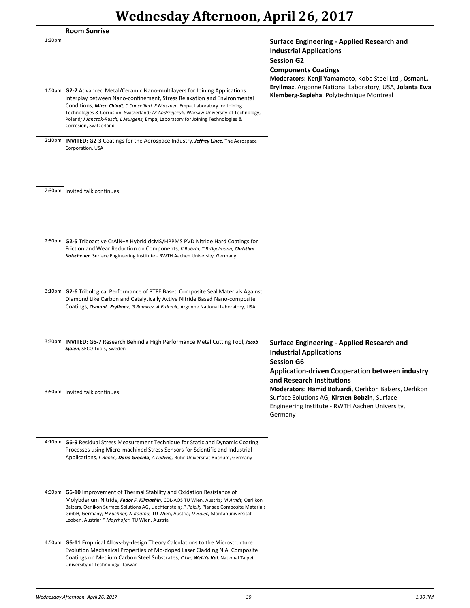|                     | <b>Room Sunrise</b>                                                                                                                                                                                                                                                                                                                                                                                                                           |                                                                                                                                                                                                |
|---------------------|-----------------------------------------------------------------------------------------------------------------------------------------------------------------------------------------------------------------------------------------------------------------------------------------------------------------------------------------------------------------------------------------------------------------------------------------------|------------------------------------------------------------------------------------------------------------------------------------------------------------------------------------------------|
| $1:30p$ m           |                                                                                                                                                                                                                                                                                                                                                                                                                                               | <b>Surface Engineering - Applied Research and</b><br><b>Industrial Applications</b><br><b>Session G2</b><br><b>Components Coatings</b><br>Moderators: Kenji Yamamoto, Kobe Steel Ltd., OsmanL. |
| $1:50p$ m           | G2-2 Advanced Metal/Ceramic Nano-multilayers for Joining Applications:<br>Interplay between Nano-confinement, Stress Relaxation and Environmental<br>Conditions, Mirco Chiodi, C Cancellieri, F Moszner, Empa, Laboratory for Joining<br>Technologies & Corrosion, Switzerland; M Andrzejczuk, Warsaw University of Technology,<br>Poland; J Janczak-Rusch, L Jeurgens, Empa, Laboratory for Joining Technologies &<br>Corrosion, Switzerland | Eryilmaz, Argonne National Laboratory, USA, Jolanta Ewa<br>Klemberg-Sapieha, Polytechnique Montreal                                                                                            |
| 2:10 <sub>p</sub> m | <b>INVITED: G2-3</b> Coatings for the Aerospace Industry, <i>Jeffrey Lince</i> , The Aerospace<br>Corporation, USA                                                                                                                                                                                                                                                                                                                            |                                                                                                                                                                                                |
|                     | 2:30pm   Invited talk continues.                                                                                                                                                                                                                                                                                                                                                                                                              |                                                                                                                                                                                                |
| $2:50p$ m           | G2-5 Triboactive CrAIN+X Hybrid dcMS/HPPMS PVD Nitride Hard Coatings for<br>Friction and Wear Reduction on Components, K Bobzin, T Brögelmann, Christian<br>Kalscheuer, Surface Engineering Institute - RWTH Aachen University, Germany                                                                                                                                                                                                       |                                                                                                                                                                                                |
| $3:10p$ m           | G2-6 Tribological Performance of PTFE Based Composite Seal Materials Against<br>Diamond Like Carbon and Catalytically Active Nitride Based Nano-composite<br>Coatings, OsmanL. Eryilmaz, G Ramirez, A Erdemir, Argonne National Laboratory, USA                                                                                                                                                                                               |                                                                                                                                                                                                |
| 3:30 <sub>p</sub> m | INVITED: G6-7 Research Behind a High Performance Metal Cutting Tool, Jacob<br>Sjölén, SECO Tools, Sweden                                                                                                                                                                                                                                                                                                                                      | <b>Surface Engineering - Applied Research and</b><br><b>Industrial Applications</b><br><b>Session G6</b><br>Application-driven Cooperation between industry<br>and Research Institutions       |
|                     | 3:50pm   Invited talk continues.                                                                                                                                                                                                                                                                                                                                                                                                              | Moderators: Hamid Bolvardi, Oerlikon Balzers, Oerlikon<br>Surface Solutions AG, Kirsten Bobzin, Surface<br>Engineering Institute - RWTH Aachen University,<br>Germany                          |
| 4:10pm              | G6-9 Residual Stress Measurement Technique for Static and Dynamic Coating<br>Processes using Micro-machined Stress Sensors for Scientific and Industrial<br>Applications, L Banko, Dario Grochla, A Ludwig, Ruhr-Universität Bochum, Germany                                                                                                                                                                                                  |                                                                                                                                                                                                |
| 4:30pm              | G6-10 Improvement of Thermal Stability and Oxidation Resistance of<br>Molybdenum Nitride, Fedor F. Klimashin, CDL-AOS TU Wien, Austria; M Arndt, Oerlikon<br>Balzers, Oerlikon Surface Solutions AG, Liechtenstein; P Polcik, Plansee Composite Materials<br>GmbH, Germany; H Euchner, N Koutná, TU Wien, Austria; D Holec, Montanuniversität<br>Leoben, Austria; P Mayrhofer, TU Wien, Austria                                               |                                                                                                                                                                                                |
| 4:50pm              | <b>G6-11</b> Empirical Alloys-by-design Theory Calculations to the Microstructure<br>Evolution Mechanical Properties of Mo-doped Laser Cladding NiAl Composite<br>Coatings on Medium Carbon Steel Substrates, C Lin, Wei-Yu Kai, National Taipei<br>University of Technology, Taiwan                                                                                                                                                          |                                                                                                                                                                                                |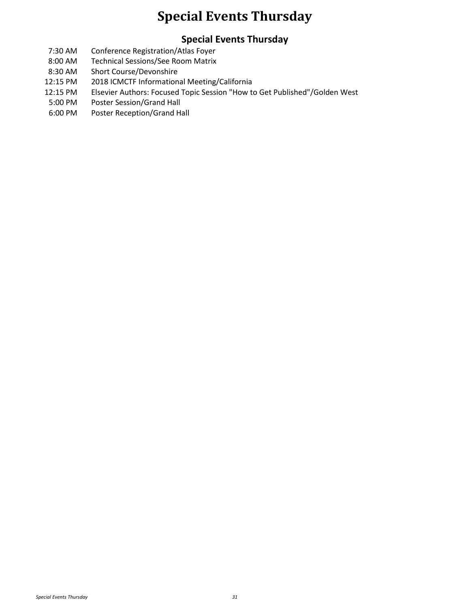#### **Special Events Thursday**

#### **Special Events Thursday**

- 7:30 AM Conference Registration/Atlas Foyer
- 8:00 AM Technical Sessions/See Room Matrix
- 8:30 AM Short Course/Devonshire
- 12:15 PM 2018 ICMCTF Informational Meeting/California
- 12:15 PM Elsevier Authors: Focused Topic Session "How to Get Published"/Golden West
- 5:00 PM Poster Session/Grand Hall
- 6:00 PM Poster Reception/Grand Hall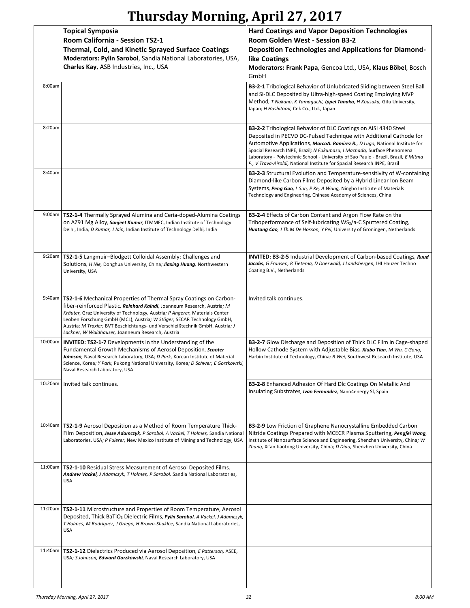|  | Thursday Morning, April 27, 2017 |  |  |  |  |
|--|----------------------------------|--|--|--|--|
|--|----------------------------------|--|--|--|--|

|         | <b>Topical Symposia</b>                                                                                                                                                                                                                                                                                                                                                                                                                               | <b>Hard Coatings and Vapor Deposition Technologies</b>                                                                                                                                                                                                                                                                                                                                                                                                              |
|---------|-------------------------------------------------------------------------------------------------------------------------------------------------------------------------------------------------------------------------------------------------------------------------------------------------------------------------------------------------------------------------------------------------------------------------------------------------------|---------------------------------------------------------------------------------------------------------------------------------------------------------------------------------------------------------------------------------------------------------------------------------------------------------------------------------------------------------------------------------------------------------------------------------------------------------------------|
|         | Room California - Session TS2-1                                                                                                                                                                                                                                                                                                                                                                                                                       | Room Golden West - Session B3-2                                                                                                                                                                                                                                                                                                                                                                                                                                     |
|         | <b>Thermal, Cold, and Kinetic Sprayed Surface Coatings</b>                                                                                                                                                                                                                                                                                                                                                                                            | <b>Deposition Technologies and Applications for Diamond-</b>                                                                                                                                                                                                                                                                                                                                                                                                        |
|         | Moderators: Pylin Sarobol, Sandia National Laboratories, USA,                                                                                                                                                                                                                                                                                                                                                                                         | like Coatings                                                                                                                                                                                                                                                                                                                                                                                                                                                       |
|         | Charles Kay, ASB Industries, Inc., USA                                                                                                                                                                                                                                                                                                                                                                                                                | Moderators: Frank Papa, Gencoa Ltd., USA, Klaus Böbel, Bosch<br>GmbH                                                                                                                                                                                                                                                                                                                                                                                                |
| 8:00am  |                                                                                                                                                                                                                                                                                                                                                                                                                                                       | <b>B3-2-1</b> Tribological Behavior of Unlubricated Sliding between Steel Ball<br>and Si-DLC Deposited by Ultra-high-speed Coating Employing MVP<br>Method, T Nakano, K Yamaguchi, Ippei Tanaka, H Kousaka, Gifu University,<br>Japan; H Hashitomi, Cnk Co., Ltd., Japan                                                                                                                                                                                            |
|         |                                                                                                                                                                                                                                                                                                                                                                                                                                                       |                                                                                                                                                                                                                                                                                                                                                                                                                                                                     |
| 8:20am  |                                                                                                                                                                                                                                                                                                                                                                                                                                                       | B3-2-2 Tribological Behavior of DLC Coatings on AISI 4340 Steel<br>Deposited in PECVD DC-Pulsed Technique with Additional Cathode for<br>Automotive Applications, MarcoA. Ramirez R., D Lugo, National Institute for<br>Spacial Research INPE, Brazil; N Fukumasu, I Machado, Surface Phenomena<br>Laboratory - Polytechnic School - University of Sao Paulo - Brazil, Brazil; E Mitma<br>P., V Trava-Airoldi, National Institute for Spacial Research INPE, Brazil |
| 8:40am  |                                                                                                                                                                                                                                                                                                                                                                                                                                                       | <b>B3-2-3</b> Structural Evolution and Temperature-sensitivity of W-containing<br>Diamond-like Carbon Films Deposited by a Hybrid Linear Ion Beam<br>Systems, Peng Guo, L Sun, P Ke, A Wang, Ningbo Institute of Materials<br>Technology and Engineering, Chinese Academy of Sciences, China                                                                                                                                                                        |
| 9:00am  | <b>TS2-1-4</b> Thermally Sprayed Alumina and Ceria-doped-Alumina Coatings<br>on AZ91 Mg Alloy, Sanjeet Kumar, ITMMEC, Indian Institute of Technology<br>Delhi, India; D Kumar, J Jain, Indian Institute of Technology Delhi, India                                                                                                                                                                                                                    | <b>B3-2-4</b> Effects of Carbon Content and Argon Flow Rate on the<br>Triboperformance of Self-lubricating WS2/a-C Sputtered Coating,<br>Huatang Cao, J Th.M De Hosson, Y Pei, University of Groningen, Netherlands                                                                                                                                                                                                                                                 |
| 9:20am  | TS2-1-5 Langmuir-Blodgett Colloidal Assembly: Challenges and<br>Solutions, <i>H Nie</i> , Donghua University, China; <b>Jiaxing Huang</b> , Northwestern<br>University, USA                                                                                                                                                                                                                                                                           | <b>INVITED: B3-2-5</b> Industrial Development of Carbon-based Coatings, Ruud<br>Jacobs, G Fransen, R Tietema, D Doerwald, J Landsbergen, IHI Hauzer Techno<br>Coating B.V., Netherlands                                                                                                                                                                                                                                                                             |
| 9:40am  | <b>TS2-1-6</b> Mechanical Properties of Thermal Spray Coatings on Carbon-<br>fiber-reinforced Plastic, Reinhard Kaindl, Joanneum Research, Austria; M<br>Kräuter, Graz University of Technology, Austria; P Angerer, Materials Center<br>Leoben Forschung GmbH (MCL), Austria; W Stöger, SECAR Technology GmbH,<br>Austria; M Traxler, BVT Beschichtungs- und Verschleißtechnik GmbH, Austria; J<br>Lackner, W Waldhauser, Joanneum Research, Austria | Invited talk continues.                                                                                                                                                                                                                                                                                                                                                                                                                                             |
| 10:00am | <b>INVITED: TS2-1-7</b> Developments in the Understanding of the<br>Fundamental Growth Mechanisms of Aerosol Deposition, Scooter<br>Johnson, Naval Research Laboratory, USA; D Park, Korean Institute of Material<br>Science, Korea; Y Park, Pukong National University, Korea; D Schwer, E Gorzkowski,<br>Naval Research Laboratory, USA                                                                                                             | <b>B3-2-7</b> Glow Discharge and Deposition of Thick DLC Film in Cage-shaped<br>Hollow Cathode System with Adjustable Bias, Xiubo Tian, M Wu, C Gong,<br>Harbin Institute of Technology, China; R Wei, Southwest Research Institute, USA                                                                                                                                                                                                                            |
| 10:20am | Invited talk continues.                                                                                                                                                                                                                                                                                                                                                                                                                               | B3-2-8 Enhanced Adhesion Of Hard Dlc Coatings On Metallic And<br>Insulating Substrates, Ivan Fernandez, Nano4energy SI, Spain                                                                                                                                                                                                                                                                                                                                       |
| 10:40am | <b>TS2-1-9</b> Aerosol Deposition as a Method of Room Temperature Thick-<br>Film Deposition, Jesse Adamczyk, P Sarobol, A Vackel, T Holmes, Sandia National<br>Laboratories, USA; P Fuierer, New Mexico Institute of Mining and Technology, USA                                                                                                                                                                                                       | <b>B3-2-9</b> Low Friction of Graphene Nanocrystalline Embedded Carbon<br>Nitride Coatings Prepared with MCECR Plasma Sputtering, Pengfei Wang,<br>Institute of Nanosurface Science and Engineering, Shenzhen University, China; W<br>Zhang, Xi'an Jiaotong University, China; D Diao, Shenzhen University, China                                                                                                                                                   |
| 11:00am | <b>TS2-1-10</b> Residual Stress Measurement of Aerosol Deposited Films,<br>Andrew Vackel, J Adamczyk, T Holmes, P Sarobol, Sandia National Laboratories,<br><b>USA</b>                                                                                                                                                                                                                                                                                |                                                                                                                                                                                                                                                                                                                                                                                                                                                                     |
| 11:20am | <b>TS2-1-11</b> Microstructure and Properties of Room Temperature, Aerosol<br>Deposited, Thick BaTiO <sub>3</sub> Dielectric Films, Pylin Sarobol, A Vackel, J Adamczyk,<br>T Holmes, M Rodriguez, J Griego, H Brown-Shaklee, Sandia National Laboratories,<br><b>USA</b>                                                                                                                                                                             |                                                                                                                                                                                                                                                                                                                                                                                                                                                                     |
| 11:40am | TS2-1-12 Dielectrics Produced via Aerosol Deposition, E Patterson, ASEE,<br>USA; S Johnson, Edward Gorzkowski, Naval Research Laboratory, USA                                                                                                                                                                                                                                                                                                         |                                                                                                                                                                                                                                                                                                                                                                                                                                                                     |
|         |                                                                                                                                                                                                                                                                                                                                                                                                                                                       |                                                                                                                                                                                                                                                                                                                                                                                                                                                                     |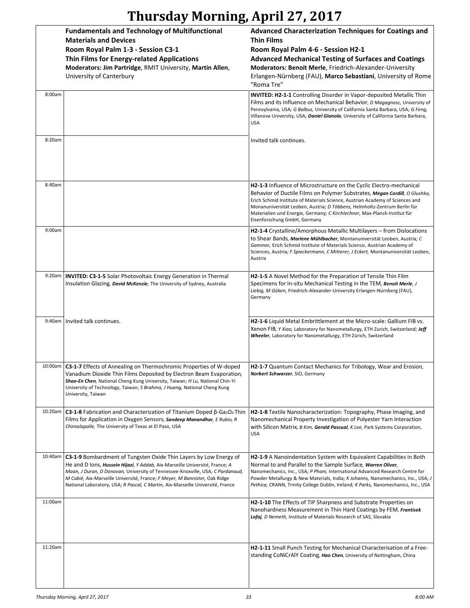|         | <b>Fundamentals and Technology of Multifunctional</b><br><b>Materials and Devices</b>                                                                                                                                                                                                                                                                                                              | <b>Advanced Characterization Techniques for Coatings and</b><br>Thin Films                                                                                                                                                                                                                                                                                                                                                   |
|---------|----------------------------------------------------------------------------------------------------------------------------------------------------------------------------------------------------------------------------------------------------------------------------------------------------------------------------------------------------------------------------------------------------|------------------------------------------------------------------------------------------------------------------------------------------------------------------------------------------------------------------------------------------------------------------------------------------------------------------------------------------------------------------------------------------------------------------------------|
|         | Room Royal Palm 1-3 - Session C3-1                                                                                                                                                                                                                                                                                                                                                                 | Room Royal Palm 4-6 - Session H2-1                                                                                                                                                                                                                                                                                                                                                                                           |
|         |                                                                                                                                                                                                                                                                                                                                                                                                    |                                                                                                                                                                                                                                                                                                                                                                                                                              |
|         | Thin Films for Energy-related Applications<br>Moderators: Jim Partridge, RMIT University, Martin Allen,<br>University of Canterbury                                                                                                                                                                                                                                                                | <b>Advanced Mechanical Testing of Surfaces and Coatings</b><br>Moderators: Benoit Merle, Friedrich-Alexander-University<br>Erlangen-Nürnberg (FAU), Marco Sebastiani, University of Rome                                                                                                                                                                                                                                     |
| 8:00am  |                                                                                                                                                                                                                                                                                                                                                                                                    | "Roma Tre"                                                                                                                                                                                                                                                                                                                                                                                                                   |
|         |                                                                                                                                                                                                                                                                                                                                                                                                    | <b>INVITED: H2-1-1</b> Controlling Disorder in Vapor-deposited Metallic Thin<br>Films and its Influence on Mechanical Behavior, D Magagnosc, University of<br>Pennsylvania, USA; G Balbus, University of California Santa Barbara, USA; G Feng,<br>Villanova University, USA; Daniel Gianola, University of California Santa Barbara,<br><b>USA</b>                                                                          |
| 8:20am  |                                                                                                                                                                                                                                                                                                                                                                                                    | Invited talk continues.                                                                                                                                                                                                                                                                                                                                                                                                      |
|         |                                                                                                                                                                                                                                                                                                                                                                                                    |                                                                                                                                                                                                                                                                                                                                                                                                                              |
| 8:40am  |                                                                                                                                                                                                                                                                                                                                                                                                    | H2-1-3 Influence of Microstructure on the Cyclic Electro-mechanical<br>Behavior of Ductile Films on Polymer Substrates, Megan Cordill, O Glushko,<br>Erich Schmid Institute of Materials Science, Austrian Academy of Sciences and<br>Monanuniversität Leoben, Austria; D Többens, Helmholtz-Zentrum Berlin für<br>Materialien und Energie, Germany; C Kirchlechner, Max-Planck-Institut für<br>Eisenforschung GmbH, Germany |
| 9:00am  |                                                                                                                                                                                                                                                                                                                                                                                                    | <b>H2-1-4</b> Crystalline/Amorphous Metallic Multilayers – from Dislocations<br>to Shear Bands, Marlene Mühlbacher, Montanuniversität Leoben, Austria; C<br>Gammer, Erich Schmid Institute of Materials Science, Austrian Academy of<br>Sciences, Austria; F Spieckermann, C Mitterer, J Eckert, Montanuniversität Leoben,<br>Austria                                                                                        |
| 9:20am  | <b>INVITED: C3-1-5</b> Solar Photovoltaic Energy Generation in Thermal<br>Insulation Glazing, <b>David McKenzie</b> , The University of Sydney, Australia                                                                                                                                                                                                                                          | <b>H2-1-5</b> A Novel Method for the Preparation of Tensile Thin Film<br>Specimens for In-situ Mechanical Testing in the TEM, Benoit Merle, J<br>Liebig, M Göken, Friedrich-Alexander-University Erlangen-Nürnberg (FAU),<br>Germany                                                                                                                                                                                         |
|         | 9:40am   Invited talk continues.                                                                                                                                                                                                                                                                                                                                                                   | <b>H2-1-6</b> Liquid Metal Embrittlement at the Micro-scale: Gallium FIB vs.<br>Xenon FIB, Y Xiao, Laboratory for Nanometallurgy, ETH Zurich, Switzerland; Jeff<br>Wheeler, Laboratory for Nanometallurgy, ETH Zürich, Switzerland                                                                                                                                                                                           |
| 10:00am | C3-1-7 Effects of Annealing on Thermochromic Properties of W-doped<br>Vanadium Dioxide Thin Films Deposited by Electron Beam Evaporation,<br>Shao-En Chen, National Cheng Kung University, Taiwan; H Lu, National Chin-Yi<br>University of Technology, Taiwan; S Brahma, J Huang, National Cheng Kung<br>University, Taiwan                                                                        | H2-1-7 Quantum Contact Mechanics for Tribology, Wear and Erosion,<br>Norbert Schwarzer, SIO, Germany                                                                                                                                                                                                                                                                                                                         |
| 10:20am | C3-1-8 Fabrication and Characterization of Titanium Doped $\beta$ -Ga <sub>2</sub> O <sub>3</sub> Thin<br>Films for Application in Oxygen Sensors, Sandeep Manandhar, E Rubio, R<br>Chintalapalle, The University of Texas at El Paso, USA                                                                                                                                                         | H2-1-8 Textile Nanocharacterization: Topography, Phase Imaging, and<br>Nanomechanical Property Investigation of Polyester Yarn Interaction<br>with Silicon Matrix, B Kim, Gerald Pascual, K Lee, Park Systems Corporation,<br><b>USA</b>                                                                                                                                                                                     |
| 10:40am | C3-1-9 Bombardment of Tungsten Oxide Thin Layers by Low Energy of<br>He and D lons, Hussein Hijazi, Y Addab, Aix-Marseille Université, France; A<br>Maan, J Duran, D Donovan, University of Tennessee-Knoxville, USA; C Pardanaud,<br>M Cabié, Aix-Marseille Université, France; F Meyer, M Bannister, Oak Ridge<br>National Laboratory, USA; R Pascal, C Martin, Aix-Marseille Université, France | H2-1-9 A Nanoindentation System with Equivalent Capabilities in Both<br>Normal to and Parallel to the Sample Surface, Warren Oliver,<br>Nanomechanics, Inc., USA; P Phani, International Advanced Research Centre for<br>Powder Metallurgy & New Materials, India; K Johanns, Nanomechanics, Inc., USA; J<br>Pethica, CRANN, Trinity College Dublin, Ireland; K Parks, Nanomechanics, Inc., USA                              |
| 11:00am |                                                                                                                                                                                                                                                                                                                                                                                                    | <b>H2-1-10</b> The Effects of TIP Sharpness and Substrate Properties on<br>Nanohardness Measurement in Thin Hard Coatings by FEM, Frantisek<br>Lofaj, D Nemeth, Institute of Materials Research of SAS, Slovakia                                                                                                                                                                                                             |
| 11:20am |                                                                                                                                                                                                                                                                                                                                                                                                    | H2-1-11 Small Punch Testing for Mechanical Characterisation of a Free-<br>standing CoNiCrAlY Coating, Hao Chen, University of Nottingham, China                                                                                                                                                                                                                                                                              |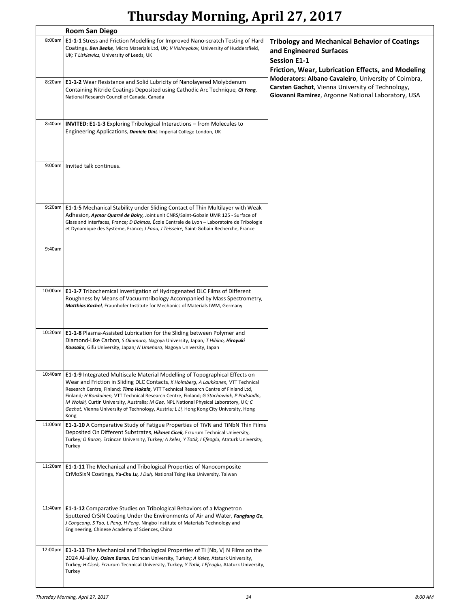|         | <b>Room San Diego</b>                                                                                                                                                                                                                                                                                                                                                                                                                                                                                                                                       |                                                                                                                                                                |
|---------|-------------------------------------------------------------------------------------------------------------------------------------------------------------------------------------------------------------------------------------------------------------------------------------------------------------------------------------------------------------------------------------------------------------------------------------------------------------------------------------------------------------------------------------------------------------|----------------------------------------------------------------------------------------------------------------------------------------------------------------|
| 8:00am  | E1-1-1 Stress and Friction Modelling for Improved Nano-scratch Testing of Hard<br>Coatings, Ben Beake, Micro Materials Ltd, UK; V Vishnyakov, University of Huddersfield,<br>UK; T Liskiewicz, University of Leeds, UK                                                                                                                                                                                                                                                                                                                                      | <b>Tribology and Mechanical Behavior of Coatings</b><br>and Engineered Surfaces<br><b>Session E1-1</b><br>Friction, Wear, Lubrication Effects, and Modeling    |
|         | 8:20am   E1-1-2 Wear Resistance and Solid Lubricity of Nanolayered Molybdenum<br>Containing Nitride Coatings Deposited using Cathodic Arc Technique, Qi Yang,<br>National Research Council of Canada, Canada                                                                                                                                                                                                                                                                                                                                                | Moderators: Albano Cavaleiro, University of Coimbra,<br>Carsten Gachot, Vienna University of Technology,<br>Giovanni Ramirez, Argonne National Laboratory, USA |
|         | 8:40am   INVITED: E1-1-3 Exploring Tribological Interactions – from Molecules to<br>Engineering Applications, Daniele Dini, Imperial College London, UK                                                                                                                                                                                                                                                                                                                                                                                                     |                                                                                                                                                                |
| 9:00am  | Invited talk continues.                                                                                                                                                                                                                                                                                                                                                                                                                                                                                                                                     |                                                                                                                                                                |
|         | 9:20am <b>E1-1-5</b> Mechanical Stability under Sliding Contact of Thin Multilayer with Weak<br>Adhesion, Aymar Quarré de Boiry, Joint unit CNRS/Saint-Gobain UMR 125 - Surface of<br>Glass and Interfaces, France; D Dalmas, École Centrale de Lyon - Laboratoire de Tribologie<br>et Dynamique des Système, France; J Faou, J Teisseire, Saint-Gobain Recherche, France                                                                                                                                                                                   |                                                                                                                                                                |
| 9:40am  |                                                                                                                                                                                                                                                                                                                                                                                                                                                                                                                                                             |                                                                                                                                                                |
| 10:00am | <b>E1-1-7</b> Tribochemical Investigation of Hydrogenated DLC Films of Different<br>Roughness by Means of Vacuumtribology Accompanied by Mass Spectrometry,<br>Matthias Kachel, Fraunhofer Institute for Mechanics of Materials IWM, Germany                                                                                                                                                                                                                                                                                                                |                                                                                                                                                                |
| 10:20am | <b>E1-1-8 Plasma-Assisted Lubrication for the Sliding between Polymer and</b><br>Diamond-Like Carbon, S Okumura, Nagoya University, Japan; T Hibino, Hiroyuki<br>Kousaka, Gifu University, Japan; N Umehara, Nagoya University, Japan                                                                                                                                                                                                                                                                                                                       |                                                                                                                                                                |
|         | 10:40am   E1-1-9 Integrated Multiscale Material Modelling of Topographical Effects on<br>Wear and Friction in Sliding DLC Contacts, K Holmberg, A Laukkanen, VTT Technical<br>Research Centre, Finland; Timo Hakala, VTT Technical Research Centre of Finland Ltd,<br>Finland; H Ronkainen, VTT Technical Research Centre, Finland; G Stachowiak, P Podsiadlo,<br>M Wolski, Curtin University, Australia; M Gee, NPL National Physical Laboratory, UK; C<br>Gachot, Vienna University of Technology, Austria; L Li, Hong Kong City University, Hong<br>Kong |                                                                                                                                                                |
| 11:00am | E1-1-10 A Comparative Study of Fatigue Properties of TiVN and TiNbN Thin Films<br>Deposited On Different Substrates, Hikmet Cicek, Erzurum Technical University,<br>Turkey; O Baran, Erzincan University, Turkey; A Keles, Y Totik, I Efeoglu, Ataturk University,<br>Turkey                                                                                                                                                                                                                                                                                |                                                                                                                                                                |
|         | 11:20am   <b>E1-1-11</b> The Mechanical and Tribological Properties of Nanocomposite<br>CrMoSixN Coatings, Yu-Chu Lu, J Duh, National Tsing Hua University, Taiwan                                                                                                                                                                                                                                                                                                                                                                                          |                                                                                                                                                                |
|         | 11:40am   E1-1-12 Comparative Studies on Tribological Behaviors of a Magnetron<br>Sputtered CrSiN Coating Under the Environments of Air and Water, Fangfang Ge,<br>J Congcong, S Tao, L Peng, H Feng, Ningbo Institute of Materials Technology and<br>Engineering, Chinese Academy of Sciences, China                                                                                                                                                                                                                                                       |                                                                                                                                                                |
|         | 12:00pm   E1-1-13 The Mechanical and Tribological Properties of Ti [Nb, V] N Films on the<br>2024 Al-alloy, Ozlem Baran, Erzincan University, Turkey; A Keles, Ataturk University,<br>Turkey; H Cicek, Erzurum Technical University, Turkey; Y Totik, I Efeoglu, Ataturk University,<br>Turkey                                                                                                                                                                                                                                                              |                                                                                                                                                                |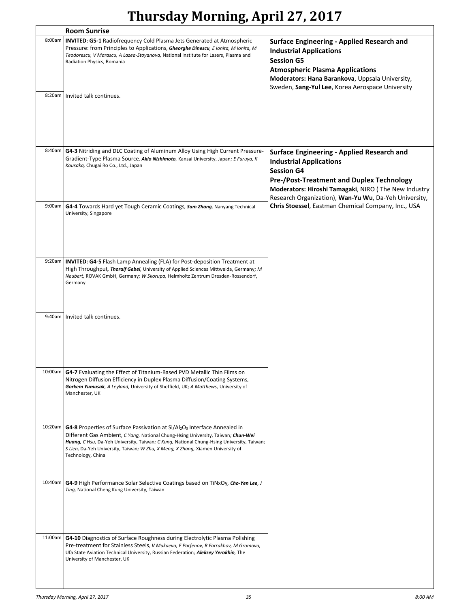|         | <b>Room Sunrise</b>                                                                                                                                                                                                                                                                                                                                                                        |                                                                                                                                                                                                                                                                 |
|---------|--------------------------------------------------------------------------------------------------------------------------------------------------------------------------------------------------------------------------------------------------------------------------------------------------------------------------------------------------------------------------------------------|-----------------------------------------------------------------------------------------------------------------------------------------------------------------------------------------------------------------------------------------------------------------|
| 8:00am  | <b>INVITED: G5-1 Radiofrequency Cold Plasma Jets Generated at Atmospheric</b><br>Pressure: from Principles to Applications, Gheorghe Dinescu, Elonita, M Ionita, M<br>Teodorescu, V Marascu, A Lazea-Stoyanova, National Institute for Lasers, Plasma and<br>Radiation Physics, Romania                                                                                                    | Surface Engineering - Applied Research and<br><b>Industrial Applications</b><br><b>Session G5</b><br><b>Atmospheric Plasma Applications</b><br>Moderators: Hana Barankova, Uppsala University,<br>Sweden, Sang-Yul Lee, Korea Aerospace University              |
| 8:20am  | Invited talk continues.                                                                                                                                                                                                                                                                                                                                                                    |                                                                                                                                                                                                                                                                 |
| 8:40am  | G4-3 Nitriding and DLC Coating of Aluminum Alloy Using High Current Pressure-<br>Gradient-Type Plasma Source, Akio Nishimoto, Kansai University, Japan; E Furuya, K<br>Kousaka, Chugai Ro Co., Ltd., Japan                                                                                                                                                                                 | Surface Engineering - Applied Research and<br><b>Industrial Applications</b><br><b>Session G4</b><br>Pre-/Post-Treatment and Duplex Technology<br>Moderators: Hiroshi Tamagaki, NIRO (The New Industry<br>Research Organization), Wan-Yu Wu, Da-Yeh University, |
| 9:00am  | G4-4 Towards Hard yet Tough Ceramic Coatings, Sam Zhang, Nanyang Technical<br>University, Singapore                                                                                                                                                                                                                                                                                        | Chris Stoessel, Eastman Chemical Company, Inc., USA                                                                                                                                                                                                             |
| 9:20am  | <b>INVITED: G4-5</b> Flash Lamp Annealing (FLA) for Post-deposition Treatment at<br>High Throughput, Thoralf Gebel, University of Applied Sciences Mittweida, Germany; M<br>Neubert, ROVAK GmbH, Germany; W Skorupa, Helmholtz Zentrum Dresden-Rossendorf,<br>Germany                                                                                                                      |                                                                                                                                                                                                                                                                 |
| 9:40am  | Invited talk continues.                                                                                                                                                                                                                                                                                                                                                                    |                                                                                                                                                                                                                                                                 |
| 10:00am | G4-7 Evaluating the Effect of Titanium-Based PVD Metallic Thin Films on<br>Nitrogen Diffusion Efficiency in Duplex Plasma Diffusion/Coating Systems,<br>Gorkem Yumusak, A Leyland, University of Sheffield, UK; A Matthews, University of<br>Manchester, UK                                                                                                                                |                                                                                                                                                                                                                                                                 |
| 10:20am | G4-8 Properties of Surface Passivation at Si/Al <sub>2</sub> O <sub>3</sub> Interface Annealed in<br>Different Gas Ambient, C Yang, National Chung-Hsing University, Taiwan; Chun-Wei<br>Huang, C Hsu, Da-Yeh University, Taiwan; C Kung, National Chung-Hsing University, Taiwan;<br>S Lien, Da-Yeh University, Taiwan; W Zhu, X Meng, X Zhang, Xiamen University of<br>Technology, China |                                                                                                                                                                                                                                                                 |
| 10:40am | G4-9 High Performance Solar Selective Coatings based on TiNxOy, Cho-Yen Lee, J<br>Ting, National Cheng Kung University, Taiwan                                                                                                                                                                                                                                                             |                                                                                                                                                                                                                                                                 |
| 11:00am | G4-10 Diagnostics of Surface Roughness during Electrolytic Plasma Polishing<br>Pre-treatment for Stainless Steels, V Mukaeva, E Parfenov, R Farrakhov, M Gromova,<br>Ufa State Aviation Technical University, Russian Federation; Aleksey Yerokhin, The<br>University of Manchester, UK                                                                                                    |                                                                                                                                                                                                                                                                 |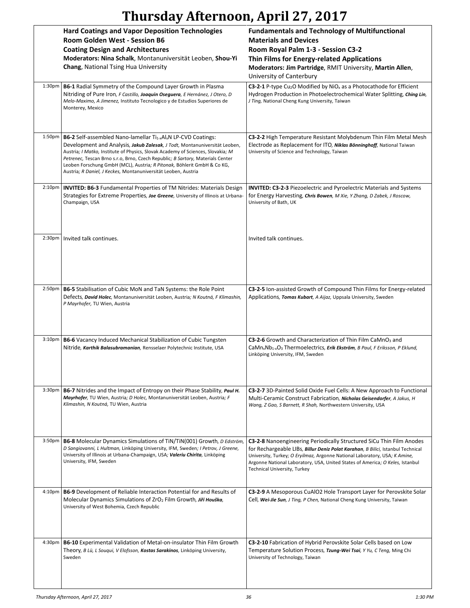|                    | <b>Hard Coatings and Vapor Deposition Technologies</b><br>Room Golden West - Session B6                                                                                                                                                                                                                                                                                                                                                                                                | <b>Fundamentals and Technology of Multifunctional</b><br><b>Materials and Devices</b>                                                                                                                                                                                                                                                                  |
|--------------------|----------------------------------------------------------------------------------------------------------------------------------------------------------------------------------------------------------------------------------------------------------------------------------------------------------------------------------------------------------------------------------------------------------------------------------------------------------------------------------------|--------------------------------------------------------------------------------------------------------------------------------------------------------------------------------------------------------------------------------------------------------------------------------------------------------------------------------------------------------|
|                    | <b>Coating Design and Architectures</b>                                                                                                                                                                                                                                                                                                                                                                                                                                                | Room Royal Palm 1-3 - Session C3-2                                                                                                                                                                                                                                                                                                                     |
|                    | Moderators: Nina Schalk, Montanuniversität Leoben, Shou-Yi                                                                                                                                                                                                                                                                                                                                                                                                                             | Thin Films for Energy-related Applications                                                                                                                                                                                                                                                                                                             |
|                    | Chang, National Tsing Hua University                                                                                                                                                                                                                                                                                                                                                                                                                                                   | Moderators: Jim Partridge, RMIT University, Martin Allen,                                                                                                                                                                                                                                                                                              |
|                    |                                                                                                                                                                                                                                                                                                                                                                                                                                                                                        | University of Canterbury                                                                                                                                                                                                                                                                                                                               |
| 1:30 <sub>pm</sub> | <b>B6-1</b> Radial Symmetry of the Compound Layer Growth in Plasma<br>Nitriding of Pure Iron, F Castillo, Joaquin Oseguera, E Hernánez, J Otero, D<br>Melo-Maximo, A Jimenez, Instituto Tecnologico y de Estudios Superiores de<br>Monterey, Mexico                                                                                                                                                                                                                                    | C3-2-1 P-type Cu <sub>2</sub> O Modified by NiO <sub>x</sub> as a Photocathode for Efficient<br>Hydrogen Production in Photoelectrochemical Water Splitting, Ching Lin,<br>J Ting, National Cheng Kung University, Taiwan                                                                                                                              |
|                    |                                                                                                                                                                                                                                                                                                                                                                                                                                                                                        |                                                                                                                                                                                                                                                                                                                                                        |
| 1:50pm             | B6-2 Self-assembled Nano-lamellar Ti <sub>1-x</sub> Al <sub>x</sub> N LP-CVD Coatings:<br>Development and Analysis, Jakub Zalesak, J Todt, Montanuniversität Leoben,<br>Austria; I Matko, Institute of Physics, Slovak Academy of Sciences, Slovakia; M<br>Petrenec, Tescan Brno s.r.o, Brno, Czech Republic; B Sartory, Materials Center<br>Leoben Forschung GmbH (MCL), Austria; R Pitonak, Böhlerit GmbH & Co KG,<br>Austria; R Daniel, J Keckes, Montanuniversität Leoben, Austria | C3-2-2 High Temperature Resistant Molybdenum Thin Film Metal Mesh<br>Electrode as Replacement for ITO, Niklas Bönninghoff, National Taiwan<br>University of Science and Technology, Taiwan                                                                                                                                                             |
| 2:10 <sub>pm</sub> | <b>INVITED: B6-3 Fundamental Properties of TM Nitrides: Materials Design</b><br>Strategies for Extreme Properties, Joe Greene, University of Illinois at Urbana-<br>Champaign, USA                                                                                                                                                                                                                                                                                                     | <b>INVITED: C3-2-3</b> Piezoelectric and Pyroelectric Materials and Systems<br>for Energy Harvesting, Chris Bowen, M Xie, Y Zhang, D Zabek, J Roscow,<br>University of Bath, UK                                                                                                                                                                        |
| 2:30 <sub>pm</sub> | Invited talk continues.                                                                                                                                                                                                                                                                                                                                                                                                                                                                | Invited talk continues.                                                                                                                                                                                                                                                                                                                                |
|                    |                                                                                                                                                                                                                                                                                                                                                                                                                                                                                        |                                                                                                                                                                                                                                                                                                                                                        |
| 2:50 <sub>pm</sub> | <b>B6-5</b> Stabilisation of Cubic MoN and TaN Systems: the Role Point<br>Defects, David Holec, Montanuniversität Leoben, Austria; N Koutná, F Klimashin,<br>P Mayrhofer, TU Wien, Austria                                                                                                                                                                                                                                                                                             | C3-2-5 Ion-assisted Growth of Compound Thin Films for Energy-related<br>Applications, Tomas Kubart, A Aijaz, Uppsala University, Sweden                                                                                                                                                                                                                |
| 3:10 <sub>pm</sub> | <b>B6-6</b> Vacancy Induced Mechanical Stabilization of Cubic Tungsten<br>Nitride, Karthik Balasubramanian, Rensselaer Polytechnic Institute, USA                                                                                                                                                                                                                                                                                                                                      | C3-2-6 Growth and Characterization of Thin Film CaMnO <sub>3</sub> and<br>CaMn <sub>x</sub> Nb <sub>1-x</sub> O <sub>3</sub> Thermoelectrics, Erik Ekström, B Paul, F Eriksson, P Eklund,<br>Linköping University, IFM, Sweden                                                                                                                         |
| 3:30 <sub>pm</sub> | <b>B6-7</b> Nitrides and the Impact of Entropy on their Phase Stability, Paul H.                                                                                                                                                                                                                                                                                                                                                                                                       | <b>C3-2-7</b> 3D-Painted Solid Oxide Fuel Cells: A New Approach to Functional                                                                                                                                                                                                                                                                          |
|                    | Mayrhofer, TU Wien, Austria; D Holec, Montanuniversität Leoben, Austria; F<br>Klimashin, N Koutná, TU Wien, Austria                                                                                                                                                                                                                                                                                                                                                                    | Multi-Ceramic Construct Fabrication, Nicholas Geisendorfer, A Jakus, H<br>Wang, Z Gao, S Barnett, R Shah, Northwestern University, USA                                                                                                                                                                                                                 |
| 3:50 <sub>pm</sub> | <b>B6-8</b> Molecular Dynamics Simulations of TiN/TiN(001) Growth, <i>D Edström</i> ,<br>D Sangiovanni, L Hultman, Linköping University, IFM, Sweden; I Petrov, J Greene,<br>University of Illinois at Urbana-Champaign, USA; Valeriu Chirita, Linköping<br>University, IFM, Sweden                                                                                                                                                                                                    | C3-2-8 Nanoengineering Periodically Structured SiCu Thin Film Anodes<br>for Rechargeable LIBs, Billur Deniz Polat Karahan, B Bilici, Istanbul Technical<br>University, Turkey; O Eryilmaz, Argonne National Laboratory, USA; K Amine,<br>Argonne National Laboratory, USA, United States of America; O Keles, Istanbul<br>Technical University, Turkey |
| 4:10 <sub>pm</sub> | <b>B6-9</b> Development of Reliable Interaction Potential for and Results of<br>Molecular Dynamics Simulations of ZrO <sub>2</sub> Film Growth, Jiří Houška,<br>University of West Bohemia, Czech Republic                                                                                                                                                                                                                                                                             | <b>C3-2-9</b> A Mesoporous CuAIO2 Hole Transport Layer for Perovskite Solar<br>Cell, Wei-Jie Sun, J Ting, P Chen, National Cheng Kung University, Taiwan                                                                                                                                                                                               |
| 4:30pm             | <b>B6-10</b> Experimental Validation of Metal-on-insulator Thin Film Growth<br>Theory, B Lü, L Souqui, V Elofsson, Kostas Sarakinos, Linköping University,<br>Sweden                                                                                                                                                                                                                                                                                                                   | C3-2-10 Fabrication of Hybrid Perovskite Solar Cells based on Low<br>Temperature Solution Process, Tzung-Wei Tsai, Y Yu, C Teng, Ming Chi<br>University of Technology, Taiwan                                                                                                                                                                          |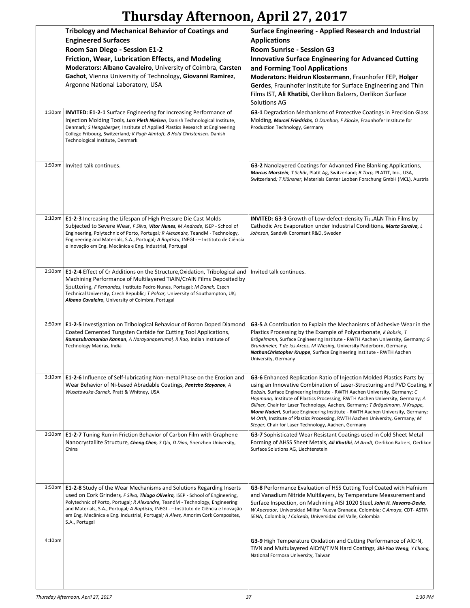|                    | <b>Tribology and Mechanical Behavior of Coatings and</b><br><b>Engineered Surfaces</b><br>Room San Diego - Session E1-2<br>Friction, Wear, Lubrication Effects, and Modeling<br>Moderators: Albano Cavaleiro, University of Coimbra, Carsten                                                                                                                                                                                              | <b>Surface Engineering - Applied Research and Industrial</b><br><b>Applications</b><br><b>Room Sunrise - Session G3</b><br><b>Innovative Surface Engineering for Advanced Cutting</b><br>and Forming Tool Applications                                                                                                                                                                                                                                                                                                                                                                                                     |
|--------------------|-------------------------------------------------------------------------------------------------------------------------------------------------------------------------------------------------------------------------------------------------------------------------------------------------------------------------------------------------------------------------------------------------------------------------------------------|----------------------------------------------------------------------------------------------------------------------------------------------------------------------------------------------------------------------------------------------------------------------------------------------------------------------------------------------------------------------------------------------------------------------------------------------------------------------------------------------------------------------------------------------------------------------------------------------------------------------------|
|                    | Gachot, Vienna University of Technology, Giovanni Ramirez,<br>Argonne National Laboratory, USA                                                                                                                                                                                                                                                                                                                                            | Moderators: Heidrun Klostermann, Fraunhofer FEP, Holger<br>Gerdes, Fraunhofer Institute for Surface Engineering and Thin<br>Films IST, Ali Khatibi, Oerlikon Balzers, Oerlikon Surface<br>Solutions AG                                                                                                                                                                                                                                                                                                                                                                                                                     |
| 1:30 <sub>pm</sub> | <b>INVITED: E1-2-1</b> Surface Engineering for Increasing Performance of<br>Injection Molding Tools, Lars Pleth Nielsen, Danish Technological Institute,<br>Denmark; S Hengsberger, Institute of Applied Plastics Research at Engineering<br>College Fribourg, Switzerland; K Pagh Almtoft, B Hold Christensen, Danish<br>Technological Institute, Denmark                                                                                | G3-1 Degradation Mechanisms of Protective Coatings in Precision Glass<br>Molding, Marcel Friedrichs, O Dambon, F Klocke, Fraunhofer Institute for<br>Production Technology, Germany                                                                                                                                                                                                                                                                                                                                                                                                                                        |
| 1:50 <sub>pm</sub> | Invited talk continues.                                                                                                                                                                                                                                                                                                                                                                                                                   | G3-2 Nanolayered Coatings for Advanced Fine Blanking Applications,<br>Marcus Morstein, T Schär, Platit Ag, Switzerland; B Torp, PLATIT, Inc., USA,<br>Switzerland; T Klünsner, Materials Center Leoben Forschung GmbH (MCL), Austria                                                                                                                                                                                                                                                                                                                                                                                       |
| 2:10 <sub>pm</sub> | <b>E1-2-3</b> Increasing the Lifespan of High Pressure Die Cast Molds<br>Subjected to Severe Wear, F Silva, Vitor Nunes, M Andrade, ISEP - School of<br>Engineering, Polytechnic of Porto, Portugal; R Alexandre, TeandM - Technology,<br>Engineering and Materials, S.A., Portugal; A Baptista, INEGI - - Instituto de Ciência<br>e Inovação em Eng. Mecânica e Eng. Industrial, Portugal                                                | <b>INVITED: G3-3</b> Growth of Low-defect-density $Ti_{1-x}Al_xN$ Thin Films by<br>Cathodic Arc Evaporation under Industrial Conditions, Marta Saraiva, L<br>Johnson, Sandvik Coromant R&D, Sweden                                                                                                                                                                                                                                                                                                                                                                                                                         |
| 2:30pm             | <b>E1-2-4</b> Effect of Cr Additions on the Structure, Oxidation, Tribological and<br>Machining Performance of Multilayered TiAIN/CrAIN Films Deposited by<br>Sputtering, F Fernandes, Instituto Pedro Nunes, Portugal; M Danek, Czech<br>Technical University, Czech Republic; T Polcar, University of Southampton, UK;<br>Albano Cavaleiro, University of Coimbra, Portugal                                                             | Invited talk continues.                                                                                                                                                                                                                                                                                                                                                                                                                                                                                                                                                                                                    |
| 2:50pm             | <b>E1-2-5</b> Investigation on Tribological Behaviour of Boron Doped Diamond<br>Coated Cemented Tungsten Carbide for Cutting Tool Applications,<br>Ramasubramanian Kannan, A Narayanaperumal, R Rao, Indian Institute of<br>Technology Madras, India                                                                                                                                                                                      | <b>G3-5</b> A Contribution to Explain the Mechanisms of Adhesive Wear in the<br>Plastics Processing by the Example of Polycarbonate, K Bobzin, T<br>Brögelmann, Surface Engineering Institute - RWTH Aachen University, Germany; G<br>Grundmeier, T de los Arcos, M Wiesing, University Paderborn, Germany;<br>NathanChristopher Kruppe, Surface Engineering Institute - RWTH Aachen<br>University, Germany                                                                                                                                                                                                                |
| 3:10 <sub>pm</sub> | <b>E1-2-6</b> Influence of Self-lubricating Non-metal Phase on the Erosion and<br>Wear Behavior of Ni-based Abradable Coatings, Pantcho Stoyanov, A<br>Wusatowska-Sarnek, Pratt & Whitney, USA                                                                                                                                                                                                                                            | G3-6 Enhanced Replication Ratio of Injection Molded Plastics Parts by<br>using an Innovative Combination of Laser-Structuring and PVD Coating, $K$<br>Bobzin, Surface Engineering Institute - RWTH Aachen University, Germany; C<br>Hopmann, Institute of Plastics Processing, RWTH Aachen University, Germany; A<br>Gillner, Chair for Laser Technology, Aachen, Germany; T Brögelmann, N Kruppe,<br>Mona Naderi, Surface Engineering Institute - RWTH Aachen University, Germany;<br>M Orth, Institute of Plastics Processing, RWTH Aachen University, Germany; M<br>Steger, Chair for Laser Technology, Aachen, Germany |
| 3:30pm             | <b>E1-2-7</b> Tuning Run-in Friction Behavior of Carbon Film with Graphene<br>Nanocrystallite Structure, Cheng Chen, S Qiu, D Diao, Shenzhen University,<br>China                                                                                                                                                                                                                                                                         | G3-7 Sophisticated Wear Resistant Coatings used in Cold Sheet Metal<br>Forming of AHSS Sheet Metals, Ali Khatibi, M Arndt, Oerlikon Balzers, Oerlikon<br>Surface Solutions AG, Liechtenstein                                                                                                                                                                                                                                                                                                                                                                                                                               |
| 3:50pm             | <b>E1-2-8</b> Study of the Wear Mechanisms and Solutions Regarding Inserts<br>used on Cork Grinders, F Silva, Thiago Oliveira, ISEP - School of Engineering,<br>Polytechnic of Porto, Portugal; R Alexandre, TeandM - Technology, Engineering<br>and Materials, S.A., Portugal; A Baptista, INEGI - - Instituto de Ciência e Inovação<br>em Eng. Mecânica e Eng. Industrial, Portugal; A Alves, Amorim Cork Composites,<br>S.A., Portugal | G3-8 Performance Evaluation of HSS Cutting Tool Coated with Hafnium<br>and Vanadium Nitride Multilayers, by Temperature Measurement and<br>Surface Inspection, on Machining AISI 1020 Steel, John H. Navarro-Devia,<br>W Aperador, Universidad Militar Nueva Granada, Colombia; C Amaya, CDT-ASTIN<br>SENA, Colombia; J Caicedo, Universidad del Valle, Colombia                                                                                                                                                                                                                                                           |
| 4:10pm             |                                                                                                                                                                                                                                                                                                                                                                                                                                           | G3-9 High Temperature Oxidation and Cutting Performance of AICrN,<br>TIVN and Multulayered AICrN/TIVN Hard Coatings, Shi-Yao Weng, Y Chang,<br>National Formosa University, Taiwan                                                                                                                                                                                                                                                                                                                                                                                                                                         |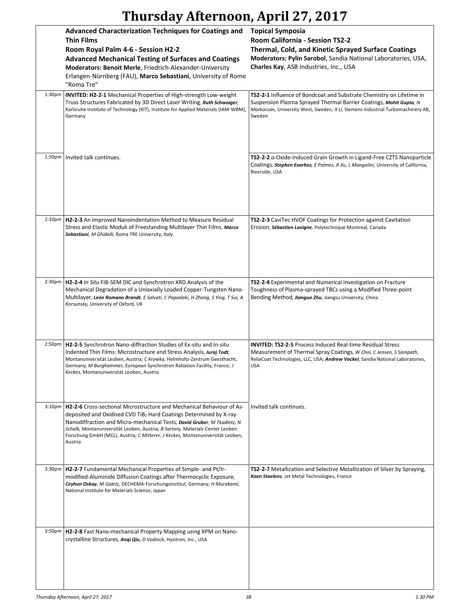|                     | <b>Advanced Characterization Techniques for Coatings and</b><br><b>Thin Films</b><br>Room Royal Palm 4-6 - Session H2-2<br><b>Advanced Mechanical Testing of Surfaces and Coatings</b><br>Moderators: Benoit Merle, Friedrich-Alexander-University<br>Erlangen-Nürnberg (FAU), Marco Sebastiani, University of Rome<br>"Roma Tre"                                                                                      | <b>Topical Symposia</b><br>Room California - Session TS2-2<br>Thermal, Cold, and Kinetic Sprayed Surface Coatings<br>Moderators: Pylin Sarobol, Sandia National Laboratories, USA,<br>Charles Kay, ASB Industries, Inc., USA             |
|---------------------|------------------------------------------------------------------------------------------------------------------------------------------------------------------------------------------------------------------------------------------------------------------------------------------------------------------------------------------------------------------------------------------------------------------------|------------------------------------------------------------------------------------------------------------------------------------------------------------------------------------------------------------------------------------------|
| 1:30 <sub>pm</sub>  | INVITED: H2-2-1 Mechanical Properties of High-strength Low-weight<br>Truss Structures Fabricated by 3D Direct Laser Writing, Ruth Schwaiger,<br>Karlsruhe Institute of Technology (KIT), Institute for Applied Materials (IAM-WBM),<br>Germany                                                                                                                                                                         | TS2-2-1 Influence of Bondcoat and Substrate Chemistry on Lifetime in<br>Suspension Plasma Sprayed Thermal Barrier Coatings, Mohit Gupta, N<br>Markocsan, University West, Sweden; X Li, Siemens Industrial Turbomachinery AB,<br>Sweden  |
| 1:50 <sub>pm</sub>  | Invited talk continues.                                                                                                                                                                                                                                                                                                                                                                                                | TS2-2-2 a-Oxide-Induced Grain Growth in Ligand-Free CZTS Nanoparticle<br>Coatings, <i>Stephen Exarhos, E Palmes, R Xu, L Mangolini</i> , University of California,<br>Riverside, USA                                                     |
| $2:10p$ m           | H2-2-3 An improved Nanoindentation Method to Measure Residual<br>Stress and Elastic Moduli of Freestanding Multilayer Thin Films, Marco<br>Sebastiani, M Ghidelli, Roma TRE University, Italy                                                                                                                                                                                                                          | TS2-2-3 CaviTec HVOF Coatings for Protection against Cavitation<br>Erosion, Sébastien Lavigne, Polytechnique Montreal, Canada                                                                                                            |
| 2:30 <sub>p</sub> m | H2-2-4 In Situ FIB-SEM DIC and Synchrotron XRD Analysis of the<br>Mechanical Degradation of a Uniaxially Loaded Copper-Tungsten Nano-<br>Multilayer, León Romano Brandt, E Salvati, C Papadaki, H Zhang, S Ying, T Sui, A<br>Korsunsky, University of Oxford, UK                                                                                                                                                       | TS2-2-4 Experimental and Numerical Investigation on Fracture<br>Toughness of Plasma-sprayed TBCs using a Modified Three-point<br>Bending Method, Jianguo Zhu, Jiangsu University, China                                                  |
| 2:50 <sub>pm</sub>  | H2-2-5 Synchrotron Nano-diffraction Studies of Ex-situ and In-situ<br>Indented Thin Films: Microstructure and Stress Analysis, Juraj Todt,<br>Montanuniversität Leoben, Austria; C Krywka, Helmholtz-Zentrum Geesthacht,<br>Germany; M Burghammer, European Synchrotron Ratiation Facility, France; J<br>Keckes, Montanuniversität Leoben, Austria                                                                     | <b>INVITED: TS2-2-5 Process Induced Real-time Residual Stress</b><br>Measurement of Thermal Spray Coatings, W Choi, C Jensen, S Sampath,<br>ReliaCoat Technologies, LLC, USA; Andrew Vackel, Sandia National Laboratories,<br><b>USA</b> |
| 3:10 <sub>pm</sub>  | <b>H2-2-6</b> Cross-sectional Microstructure and Mechanical Behaviour of As-<br>deposited and Oxidised CVD TiB <sub>2</sub> Hard Coatings Determined by X-ray<br>Nanodiffraction and Micro-mechanical Tests, David Gruber, M Tkadletz, N<br>Schalk, Montanuniversität Leoben, Austria; B Sartory, Materials Center Leoben<br>Forschung GmbH (MCL), Austria; C Mitterer, J Keckes, Montanuniversität Leoben,<br>Austria | Invited talk continues.                                                                                                                                                                                                                  |
| 3:30 <sub>pm</sub>  | H2-2-7 Fundamental Mechanical Properties of Simple- and Pt/Ir-<br>modified-Aluminide Diffusion Coatings after Thermocyclic Exposure,<br>Ceyhun Oskay, M Galetz, DECHEMA-Forschungsinstitut, Germany; H Murakami,<br>National Institute for Materials Science, Japan                                                                                                                                                    | TS2-2-7 Metallization and Selective Metallization of Silver by Spraying,<br>Koen Staelens, Jet Metal Technologies, France                                                                                                                |
| 3:50 <sub>pm</sub>  | H2-2-8 Fast Nano-mechanical Property Mapping using XPM on Nano-<br>crystalline Structures, Angi Qiu, D Vodnick, Hysitron, Inc., USA                                                                                                                                                                                                                                                                                    |                                                                                                                                                                                                                                          |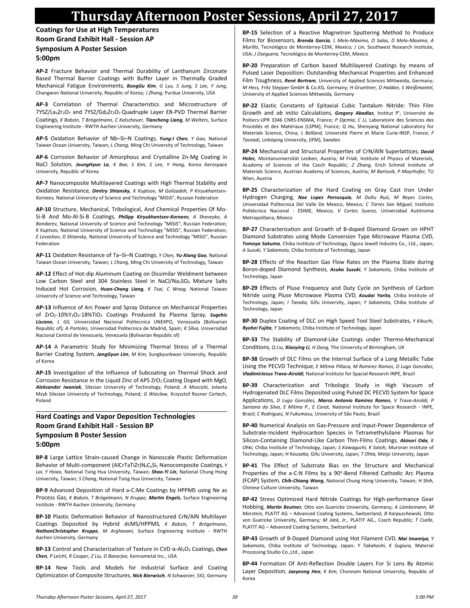**Coatings for Use at High Temperatures Room Grand Exhibit Hall - Session AP Symposium A Poster Session 5:00pm**

**AP-2** Fracture Behavior and Thermal Durability of Lanthanum Zirconate Based Thermal Barrier Coatings with Buffer Layer in Thermally Graded Mechanical Fatigue Environments*, BongGu Kim, G Lyu, S Jung, S Lee, Y Jung,*  Changwon National University, Republic of Korea*; J Zhang,* Purdue University, USA

**AP-3** Correlation of Thermal Characteristics and Microstructure of 7YSZ/La2Zr2O7 and 7YSZ/Gd2Zr2O7 Quadruple Layer EB-PVD Thermal Barrier Coatings*, K Bobzin, T Brögelmann, C Kalscheuer, Tiancheng Liang, M Welters,* Surface Engineering Institute - RWTH Aachen University, Germany

**AP-5** Oxidation Behavior of Nb–Si–N Coatings*, Yung-I Chen, Y Gao,* National Taiwan Ocean University, Taiwan*; L Chang,* Ming Chi University of Technology, Taiwan

**AP-6** Corrosion Behavior of Amorphous and Crystalline Zn-Mg Coating in NaCl Solution*, JoungHyun La, K Bae, S Kim, S Lee, Y Hong,* Korea Aerospace University, Republic of Korea

**AP-7** Nanocomposite Multilayered Coatings with High Thermal Stability and Oxidation Resistance*, Dmitry Shtansky, K Kuptsov, M Golizadeh, P Kiryukhantsev-Korneev,* National University of Science and Technology "MISiS", Russian Federation

**AP-10** Structure, Mechanical, Tribological, And Chemical Properties Of Mo-Si-B And Mo-Al-Si-B Coatings*, Philipp Kiryukhantsev-Korneev, A Sheveyko, A Bondarev,* National University of Science and Technology "MISiS", Russian Federation*; K Kuptsov,* National University of Science and Technology "MISIS", Russian Federation*; E Levashov, D Shtansky,* National University of Science and Technology "MISiS", Russian Federation

**AP-11** Oxidation Resistance of Ta–Si–N Coatings*, Y Chen, Yu-Xiang Gao,* National Taiwan Ocean University, Taiwan*; L Chang,* Ming Chi University of Technology, Taiwan

**AP-12** Effect of Hot-dip Aluminum Coating on Dissimilar Weldment between Low Carbon Steel and 304 Stainless Steel in NaCl/Na2SO4 Mixture Salts Induced Hot Corrosion*, Huan-Chang Liang, K Tsai, C Wnag,* National Taiwan University of Science and Technology, Taiwan

**AP-13** Influence of Arc Power and Spray Distance on Mechanical Properties of ZrO2-10%Y2O3-18%TiO<sup>2</sup> Coatings Produced by Plasma Spray*, Sugehis Liscano, L Gil,* Universidad Nacional Politecnica UNEXPO, Venezuela (Bolivarian Republic of)*; A Portoles,* Universidad Politecnica de Madrid, Spain*; K Silva,* Universidad Nacional Central de Venezuela, Venezuela (Bolivarian Republic of)

**AP-14** A Parametric Study for Minimizing Thermal Stress of a Thermal Barrier Coating System*, JangGyun Lim, M Kim,* Sungkyunkwan University, Republic of Korea

**AP-15** Investigation of the Influence of Subcoating on Thermal Shock and Corrosion Resistance in the Liquid Zinc of APS ZrO2 Coating Doped with MgO*, Aleksander Iwaniak,* Silesian University of Technology, Poland*; A Moscicki,* Jolanta Mzyk Silesian University of Technology, Poland*; G Wieclaw,* Krzysztof Rosner Certech, Poland

#### **Hard Coatings and Vapor Deposition Technologies Room Grand Exhibit Hall - Session BP Symposium B Poster Session 5:00pm**

**BP-8** Large Lattice Strain-caused Change in Nanoscale Plastic Deformation Behavior of Multi-component (AlCrTaTiZr)N<sub>x</sub>C<sub>y</sub>Si<sub>z</sub> Nanocomposite Coatings, Y *Lai, Y Hsiao,* National Tsing Hua University, Taiwan*; Shao-Yi Lin,* National Chung Hsing University, Taiwan*; S Chang,* National Tsing Hua University, Taiwan

**BP-9** Advanced Deposition of Hard a-C:Me Coatings by HPPMS using Ne as Process Gas*, K Bobzin, T Brögelmann, N Kruppe, Martin Engels,* Surface Engineering Institute - RWTH Aachen University, Germany

**BP-10** Plastic Deformation Behavior of Nanostructured CrN/AlN Multilayer Coatings Deposited by Hybrid dcMS/HPPMS*, K Bobzin, T Brögelmann, NathanChristopher Kruppe, M Arghavani,* Surface Engineering Institute - RWTH Aachen University, Germany

**BP-13** Control and Characterization of Texture in CVD α-Al2O<sup>3</sup> Coatings*, Chen Chen, P Leicht, R Cooper, Z Liu, D Banerjee,* Kennametal Inc., USA

**BP-14** New Tools and Models for Industrial Surface and Coating Optimization of Composite Structures*, Nick Bierwisch, N Schwarzer,* SIO, Germany

**BP-15** Selection of a Reactive Magnetron Sputtering Method to Produce Films for Biosensors*, Brenda García, L Melo-Máximo, O Salas, D Melo-Maximo, A Murillo,* Tecnológico de Monterrey-CEM, Mexico*; J Lin,* Southwest Research Institute, USA*; J Oseguera,* Tecnológico de Monterrey-CEM, Mexico

**BP-20** Preparation of Carbon based Multilayered Coatings by means of Pulsed Laser Deposition: Outstanding Mechanical Properties and Enhanced Film Toughness*, René Bertram,* University of Applied Sciences Mittweida, Germany*; M Hess,* Fritz Stepper GmbH & Co.KG, Germany*; H Gruettner, D Haldan, S Weißmantel,*  University of Applied Sciences Mittweida, Germany

**BP-22** Elastic Constants of Epitaxial Cubic Tantalum Nitride: Thin Film Growth and *ab initio* Calculations*, Gregory Abadias,* Institut P', Université de Poitiers-UPR 3346 CNRS-ENSMA, France*; P Djemia, C Li,* Laboratoire des Sciences des Procédés et des Matériaux (LSPM), France*; Q Hu,* Shenyang National Laboratory for Materials Science, China*; L Belliard,* Université Pierre et Marie Curie-INSP, France*; F Tasnadi,* Linköping University, (IFM), Sweden

**BP-24** Mechanical and Structural Properties of CrN/AlN Superlattices*, David Holec,* Montanuniversität Leoben, Austria*; M Friak,* Institute of Physics of Materials, Academy of Sciences of the Czech Republic*; Z Zhang,* Erich Schmid Institute of Materials Science, Austrian Academy of Sciences, Austria*; M Bartosik, P Mayrhofer,* TU Wien, Austria

**BP-25** Characterization of the Hard Coating on Gray Cast Iron Under Hydrogen Charging*, Noe Lopez Perrusquia, M Doñu Ruiz, M Reyes Cortes,*  Universidad Politecnica Del Valle De Mexico, Mexico*; C Torres San Miguel,* Instituto Politécnico Nacional - ESIME, Mexico*; V Cortes Suarez,* Universidad Autónoma Metropolitana, Mexico

**BP-27** Characterization and Growth of B-doped Diamond Grown on HPHT Diamond Substrates using Mode Conversion Type Microwave Plasma CVD*, Tomoya Sakuma,* Chiba Institute of Technology, Ogura Jewell Industry Co., Ltd., Japan*; A Suzuki, Y Sakamoto,* Chiba Institute of Technology, Japan

**BP-28** Effects of the Reaction Gas Flow Rates on the Plasma State during Boron-doped Diamond Synthesis*, Asuka Suzuki, Y Sakamoto,* Chiba Institute of Technology, Japan

**BP-29** Effects of Pluse Frequency and Duty Cycle on Synthesis of Carbon Nitride using Pluse Microwave Plasma CVD*, Koudai Yarita,* Chiba Institute of Technology, Japan*; I Tanaka,* Gifu University, Japan*; Y Sakamoto,* Chiba Institute of Technology, Japan

**BP-30** Duplex Coating of DLC on High Speed Tool Steel Substrates*, Y Kikuchi, Ryohei Fujita, Y Sakamoto,* Chiba Institute of Technology, Japan

**BP-33** The Stability of Diamond-Like Coatings under Thermo-Mechanical Conditions*, Q Liu, Xiaoying Li, H Dong,* The University of Birmingham, UK

**BP-38** Growth of DLC Films on the Internal Surface of a Long Metallic Tube Using the PECVD Technique*, E Mitma Pillaca, M Ramirez Ramos, D Lugo González, VladimirJesus Trava-Airoldi,* National Institute for Spacial Research INPE, Brazil

**BP-39** Characterization and Tribologic Study in High Vacuum of Hydrogenated DLC Films Deposited using Pulsed DC PECVD System for Space Applications*, D Lugo González, Marco Antonio Ramirez Ramos, V Trava-Airoldi, P Santana da Silva, E Mitma P., E Corat,* National Institute for Space Research - INPE, Brazil*; C Rodriguez, N Fukumasu,* University of São Paulo, Brazil

**BP-40** Numerical Analysis on Gas-Pressure and Input-Power Dependence of Substrate-Incident Hydrocarbon Species in Tetramethylsilane Plasmas for Silicon-Containing Diamond-Like Carbon Thin-Films Coatings*, Akinori Oda, K Ohki,* Chiba Institute of Technology, Japan*; S Kawaguchi, K Satoh,* Muroran Institute of Technology, Japan*; H Kousaka,* Gifu University, Japan*; T Ohta,* Meijo University, Japan

**BP-41** The Effect of Substrate Bias on the Structure and Mechanical Properties of the a-C:N Films by a 90°-Bend Filtered Cathodic Arc Plasma (FCAP) System*, Chih-Chiang Wang,* National Chung Hsing University, Taiwan*; H Shih,*  Chinese Culture University, Taiwan

**BP-42** Stress Optimized Hard Nitride Coatings for High-performance Gear Hobbing*, Martin Beutner,* Otto von Guericke University, Germany*; A Lümkemann, M Morstein,* PLATIT AG – Advanced Coating Systems, Switzerland*; B Karpuschewski,* Otto von Guericke University, Germany*; M Jilek, Jr.,* PLATIT AG., Czech Republic*; T Cselle,*  PLATIT AG – Advanced Coating Systems, Switzerland

**BP-43** Growth of B-Doped Diamond using Hot Filament CVD*, Mai Imamiya, Y Sakamoto,* Chiba Institute of Technology, Japan*; Y Takahashi, K Sugiura,* Material Processing Studio Co.,Ltd., Japan

**BP-44** Formation Of Anti-Reflection Double Layers For Si Lens By Atomic Layer Deposition*, Jaeyeong Heo, K Kim,* Chonnam National University, Republic of Korea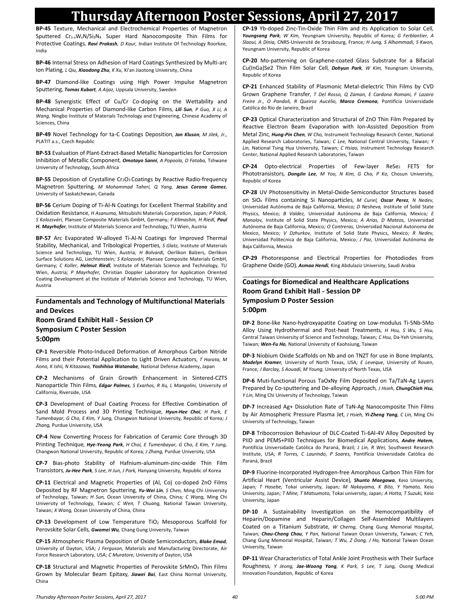**BP-45** Texture, Mechanical and Electrochemical Properties of Magnetron Sputtered Cr<sub>1-x</sub>W<sub>x</sub>N/Si<sub>3</sub>N<sub>4</sub> Super Hard Nanocomposite Thin Films for Protective Coatings*, Ravi Prakash, D Kaur,* Indian Institute Of Technology Roorkee, India

**BP-46** Internal Stress on Adhesion of Hard Coatings Synthesized by Multi-arc Ion Plating*, L Qiu, Xiaodong Zhu, K Xu,* Xi'an Jiaotong University, China

**BP-47** Diamond-like Coatings using High Power Impulse Magnetron Sputtering*, Tomas Kubart, A Aijaz,* Uppsala University, Sweden

**BP-48** Synergistic Effect of Cu/Cr Co-doping on the Wettability and Mechanical Properties of Diamond-like Carbon Films*, Lili Sun, P Guo, X Li, A Wang,* Ningbo Institute of Materials Technology and Engineering, Chinese Academy of Sciences, China

**BP-49** Novel Technology for ta-C Coatings Deposition*, Jan Kluson, M Jilek, Jr.,*  PLATIT a.s., Czech Republic

**BP-53** Evaluation of Plant-Extract-Based Metallic Nanoparticles for Corrosion Inhibition of Metallic Component*, Omotayo Sanni, A Popoola, O Fatoba,* Tshwane University of Technology, South Africa

**BP-55** Deposition of Crystalline Cr<sub>2</sub>O<sub>3</sub> Coatings by Reactive Radio-frequency Magnetron Sputtering*, M Mohammad Taheri, Q Yang, Jesus Corona Gomez,*  University of Saskatchewan, Canada

**BP-56** Cerium Doping of Ti-Al-N Coatings for Excellent Thermal Stability and Oxidation Resistance*, H Asanuma,* Mitsubishi Materials Corporation, Japan*; P Polcik, S Kolozsvári,* Plansee Composite Materials GmbH, Germany*; F Klimashin, H Riedl, Paul H. Mayrhofer,* Institute of Materials Science and Technology, TU Wien, Austria

**BP-57** Arc Evaporated W-alloyed Ti-Al-N Coatings for Improved Thermal Stability, Mechanical, and Tribological Properties*, S Glatz,* Institute of Materials Science and Technology, TU Wien, Austria*; H Bolvardi,* Oerlikon Balzers, Oerlikon Surface Solutions AG, Liechtenstein*; S Kolozsvári,* Plansee Composite Materials GmbH, Germany*; C Koller, Helmut Riedl,* Institute of Materials Science and Technology, TU Wien, Austria*; P Mayrhofer,* Christian Doppler Laboratory for Application Oriented Coating Development at the Institute of Materials Science and Technology, TU Wien, Austria

#### **Fundamentals and Technology of Multifunctional Materials and Devices**

**Room Grand Exhibit Hall - Session CP Symposium C Poster Session 5:00pm**

**CP-1** Reversible Photo-Induced Deformation of Amorphous Carbon Nitride Films and their Potential Application to Light Driven Actuators*, T Harata, M Aono, K Ishii, N Kitazawa, Yoshihisa Watanabe,* National Defense Academy, Japan

**CP-2** Mechanisms of Grain Growth Enhancement in Sintered-CZTS Nanoparticle Thin Films*, Edgar Palmes, S Exarhos, R Xu, L Mangolini,* University of California, Riverside, USA

**CP-3** Development of Dual Coating Process for Effective Combination of Sand Mold Process and 3D Printing Technique*, Hyun-Hee Choi, H Park, E Tumenbayar, G Cho, E Kim, Y Jung,* Changwon National University, Republic of Korea*; J Zhang,* Purdue University, USA

**CP-4** New Converting Process for Fabrication of Ceramic Core through 3D Printing Technique*, Hye-Yeong Park, H Choi, E Tumenbayar, G Cho, E Kim, Y Jung,*  Changwon National University, Republic of Korea*; J Zhang,* Purdue University, USA

**CP-7** Bias-photo Stability of Hafnium-aluminum-zinc-oxide Thin Film Transistors*, Ju-Hee Park, S Lee, H Jun, J Park,* Hanyang University, Republic of Korea

**CP-11** Electrical and Magnetic Properties of (Al, Co) co-doped ZnO Films Deposited by RF Magnetron Sputtering*, Yu-Wei Lin, S Chen,* Ming Chi University of Technology, Taiwan*; H Sun,* Ocean University of China, China*; C Wang,* Ming Chi University of Technology, Taiwan*; C Wen, T Chuang,* National Taiwan University, Taiwan*; X Wang,* Ocean University of China, China

**CP-13** Development of Low Temperature TiO<sup>2</sup> Mesoporous Scaffold for Perovskite Solar Cells*, Gwomei Wu,* Chang Gung University, Taiwan

**CP-15** Atmospheric Plasma Deposition of Oxide Semiconductors*, Blake Emad,*  University of Dayton, USA*; J Ferguson,* Materials and Manufacturing Directorate, Air Force Research Laboratory, USA*; C Muratore,* University of Dayton, USA

**CP-18** Structural and Magnetic Properties of Perovskite SrMnO<sup>3</sup> Thin Films Grown by Molecular Beam Epitaxy*, Jiawei Bai,* East China Normal University, China

**CP-19** Yb-doped Zinc-Tin-Oxide Thin Film and its Application to Solar Cell*, Youngsang Park, W Kim,* Yeungnam University, Republic of Korea*; G Ferblantier, A Slaoui, A Dinia,* CNRS-Université de Strasbourg, France*; H Jung, S Alhammadi, S Kwon,*  Yeungnam University, Republic of Korea

**CP-20** Mo-patterning on Graphene-coated Glass Substrate for a Bifacial Cu(InGa)Se2 Thin Film Solar Cell*, Dohyun Park, W Kim,* Yeungnam University, Republic of Korea

**CP-21** Enhanced Stability of Plasmonic Metal-dielectric Thin Films by CVD Grown Graphene Transfer*, T Del Rosso, Q Zaman, E Cardona Romani, F Lazaro Freire Jr., O Pandoli, R Queiroz Aucélio, Marco Cremona,* Pontifícia Universidade Católica do Rio de Janeiro, Brazil

**CP-23** Optical Characterization and Structural of ZnO Thin Film Prepared by Reactive Electron Beam Evaporation with Ion-Assisted Deposition from Metal Zinc*, Hung-Pin Chen, W Cho,* Instrument Technology Research Center, National Applied Research Laboratories, Taiwan*; C Lee,* National Central University, Taiwan*; Y Lin,* National Tsing Hua University, Taiwan*; C Hsiao,* Instrument Technology Research Center, National Applied Research Laboratories, Taiwan

**CP-24** Opto-electrical Properties of Few-layer ReSe<sub>2</sub> FETS for Phototransistors*, DongJin Lee, M Yoo, N Kim, G Cho, P Ko,* Chosun University, Republic of Korea

**CP-28** UV Photosensitivity in Metal-Oxide-Semiconductor Structures based on SiO<sup>x</sup> Films containing Si Nanoparticles*, M Curiel, Oscar Perez, N Nedev,*  Universidad Autónoma de Baja California, Mexico*; D Nesheva,* Institute of Solid State Physics, Mexico*; B Valdez,* Universidad Autónoma de Baja California, Mexico*; E Manolov,* Institute of Solid State Physics, Mexico*; A Arias, D Mateos,* Universidad Autónoma de Baja California, Mexico*; O Contreras,* Universidad Nacional Autonoma de Mexico, Mexico*; V Dzhurkov,* Institute of Solid State Physics, Mexico*; R Nedev,*  Universidad Politecnica de Baja California, Mexico*; J Paz,* Universidad Autónoma de Baja California, Mexico

**CP-29** Photoresponse and Electrical Properties for Photodiodes from Graphene Oxide (GO)*, Asmaa Hendi,* King Abdulaziz University, Saudi Arabia

#### **Coatings for Biomedical and Healthcare Applications Room Grand Exhibit Hall - Session DP Symposium D Poster Session 5:00pm**

**DP-2** Bone-like Nano-hydroxyapatite Coating on Low-modulus Ti-5Nb-5Mo Alloy Using Hydrothermal and Post-heat Treatments*, H Hsu, S Wu, S Hsu,*  Central Taiwan University of Science and Technology, Taiwan*; C Hsu,* Da-Yeh University, Taiwan*; Wen-Fu Ho,* National University of Kaohsiung, Taiwan

**DP-3** Niobium Oxide Scaffolds on Nb and on TNZT for use in Bone Implants*, Madelyn Kramer,* University of North Texas, USA*; E Leveque,* University of Rouen, France*; J Barclay, S Aouadi, M Young,* University of North Texas, USA

**DP-6** Muti-functional Porous TaOxNy Film Deposited on Ta/TaN-Ag Layers Prepared by Co-sputtering and De-alloying Approach*, J Hsieh, ChungChieh Hsu, Y Lin,* Ming Chi University of Technology, Taiwan

**DP-7** Increased Ag+ Dissolution Rate of TaN-Ag Nanocomposite Thin Films by Air Atmospheric Pressure Plasma Jet*, J Hsieh, Yi-Zheng Yang, C Lin,* Ming Chi University of Technology, Taiwan

**DP-8** Tribocorrosion Behaviour of DLC-Coated Ti-6Al-4V Alloy Deposited by PIID and PEMS+PIID Techniques for Biomedical Applications*, Andre Hatem,*  Pontifícia Universidade Católica do Paraná, Brazil*; J Lin, R Wei,* Southwest Research Institute, USA*; R Torres, C Laurindo, P Soares,* Pontifícia Universidade Católica do Paraná, Brazil

**DP-9** Fluorine-Incorporated Hydrogen-free Amorphous Carbon Thin Film for Artificial Heart (Ventricular Assist Device)*, Shunto Maegawa,* Keio University, Japan*; T Hasebe,* Tokai university, Japan*; M Nakayama, K Bito, Y Yamato,* Keio University, Japan*; T Mine, T Matsumoto,* Tokai university, Japan*; A Hotta, T Suzuki,* Keio University, Japan

**DP-10** A Sustainability Investigation on the Hemocompatibility of Heparin/Dopamine and Heparin/Collagen Self-Assembled Multilayers Coated on a Titanium Substrate*, W Cherng,* Chang Gung Memorial Hospital, Taiwan*; Chau-Chang Chou, Y Pan,* National Taiwan Ocean University, Taiwan*; C Yeh,*  Chang Gung Memorial Hospital, Taiwan*; T Wu, Z Dong, J Ho,* National Taiwan Ocean University, Taiwan

**DP-11** Wear Characteristics of Total Ankle Joint Prosthesis with Their Surface Roughness*, Y Jeong, Jae-Woong Yang, K Park, S Lee, T Jung,* Osong Medical Innovation Foundation, Republic of Korea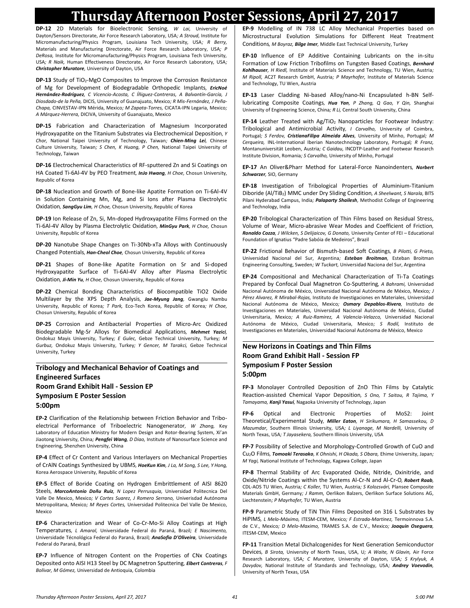**DP-12** 2D Materials for Bioelectronic Sensing*, W Lai,* University of Dayton/Sensors Directorate, Air Force Research Laboratory, USA*; A Stroud,* Institute for Micromanufacturing/Physics Program, Louisiana Tech University, USA*; R Berry,*  Materials and Manufacturing Directorate, Air Force Research Laboratory, USA*; P DeRosa,* Institute for Micromanufacturing/Physics Program, Louisiana Tech University, USA*; R Naik,* Human Effectiveness Directorate, Air Force Research Laboratory, USA*; Christopher Muratore,* University of Dayton, USA

**DP-13** Study of TiO<sub>2</sub>-MgO Composites to Improve the Corrosion Resistance of Mg for Development of Biodegradable Orthopedic Implants*, EricNoé Hernández-Rodríguez, C Vicencio-Acosta, C Íñiguez-Contreras, A Balvantín-García, J Diosdado-de la Peña,* DICIS, University of Guanajuato, Mexico*; R Mis-Fernández, J Peña-Chapa,* CINVESTAV-IPN Mérida, Mexico*; M Zapata-Torres,* CICATA-IPN Legaria, Mexico*; A Márquez-Herrera,* DICIVA, University of Guanajuato, Mexico

**DP-15** Fabrication and Characterization of Magnesium Incorporated Hydroxyapatite on the Titanium Substrates via Electrochemical Deposition*, Y Chor,* National Taipei University of Technology, Taiwan*; Chien-Ming Lei,* Chinese Culture University, Taiwan*; S Chen, K Huang, P Chen,* National Taipei University of Technology, Taiwan

**DP-16** Electrochemical Characteristics of RF-sputtered Zn and Si Coatings on HA Coated Ti-6Al-4V by PEO Treatment*, InJo Hwang, H Choe,* Chosun University, Republic of Korea

**DP-18** Nucleation and Growth of Bone-like Apatite Formation on Ti-6Al-4V in Solution Containing Mn, Mg, and Si Ions after Plasma Electrolytic Oxidation*, SangGyu Lim, H Choe,* Chosun University, Republic of Korea

**DP-19** Ion Release of Zn, Si, Mn-doped Hydroxyapatite Films Formed on the Ti-6Al-4V Alloy by Plasma Electrolytic Oxidation*, MinGyu Park, H Choe,* Chosun University, Republic of Korea

**DP-20** Nanotube Shape Changes on Ti-30Nb-xTa Alloys with Continuously Changed Potentials*, Han-Cheol Choe,* Chosun University, Republic of Korea

**DP-21** Shapes of Bone-like Apatite Formation on Sr and Si-doped Hydroxyapatite Surface of Ti-6Al-4V Alloy after Plasma Electrolytic Oxidation*, Ji-Min Yu, H Choe,* Chosun University, Republic of Korea

**DP-22** Chemical Bonding Characteristics of Biocompatible TiO2 Oxide Multilayer by the XPS Depth Analysis*, Jae-Myung Jang,* GwangJu Nambu University, Republic of Korea*; T Park,* Eco-Tech Korea, Republic of Korea*; H Choe,*  Chosun University, Republic of Korea

**DP-25** Corrosion and Antibacterial Properties of Micro-Arc Oxidized Biodegradable Mg-Sr Alloys for Biomedical Applications*, Mehmet Yazici,*  Ondokuz Mayis University, Turkey*; E Gulec,* Gebze Technical University, Turkey*; M Gurbuz,* Ondokuz Mayis University, Turkey*; Y Gencer, M Tarakci,* Gebze Technical University, Turkey

#### **Tribology and Mechanical Behavior of Coatings and Engineered Surfaces Room Grand Exhibit Hall - Session EP Symposium E Poster Session 5:00pm**

**EP-2** Clarification of the Relationship between Friction Behavior and Triboelectrical Performance of Triboelectric Nanogenerator*, W Zhang,* Key Laboratory of Education Ministry for Modern Design and Rotor-Bearing System, Xi'an Jiaotong University, China*; Pengfei Wang, D Diao,* Institute of Nanosurface Science and Engineering, Shenzhen University, China

**EP-4** Effect of Cr Content and Various Interlayers on Mechanical Properties of CrAlN Coatings Synthesized by UBMS*, HoeKun Kim, J La, M Song, S Lee, Y Hong,*  Korea Aerospace University, Republic of Korea

**EP-5** Effect of Boride Coating on Hydrogen Embrittlement of AISI 8620 Steels*, MarcoAntonio Doñu Ruiz, N Lopez Perrusquia,* Universidad Politecnica Del Valle De Mexico, Mexico*; V Cortes Suarez, J Romero Serrano,* Univerisdad Autónoma Metropolitana, Mexico*; M Reyes Cortes,* Universidad Politecnica Del Valle De Mexico, Mexico

**EP-6** Characterization and Wear of Co-Cr-Mo-Si Alloy Coatings at High Temperatures*, L Amaral,* Universidade Federal do Paraná, Brazil*; E Nascimento,*  Universidade Técnológica Federal do Paraná, Brazil*; AnaSofia D'Oliveira,* Universidade Federal do Paraná, Brazil

**EP-7** Influence of Nitrogen Content on the Properties of CNx Coatings Deposited onto AISI H13 Steel by DC Magnetron Sputtering*, Elbert Contreras, F Bolívar, M Gómez,* Universidad de Antioquia, Colombia

**EP-9** Modelling of IN 738 LC Alloy Mechanical Properties based on Microstructural Evolution Simulations for Different Heat Treatment Conditions*, M Boyraz, Bilge Imer,* Middle East Technical University, Turkey

**EP-10** Influence of EP Additive Containing Lubricants on the in-situ Formation of Low Friction Tribofilms on Tungsten Based Coatings*, Bernhard Kohlhauser, H Riedl,* Institute of Materials Science and Technology, TU Wien, Austria*; M Ripoll,* AC2T Research GmbH, Austria*; P Mayrhofer,* Institute of Materials Science and Technology, TU Wien, Austria

**EP-13** Laser Cladding Ni-based Alloy/nano-Ni Encapsulated h-BN Selflubricating Composite Coatings*, Hua Yan, P Zhang, Q Gao, Y Qin,* Shanghai University of Engineering Science, China*; R Li,* Central South University, China

**EP-14** Leather Treated with Ag/TiO<sub>2</sub> Nanoparticles for Footwear Industry: Tribological and Antimicrobial Activity*, I Carvalho,* University of Coimbra, Portugal*; S Ferdov, CristianaFilipa Almeida Alves,* University of Minho, Portugal*; M Cerqueira,* INL-International Iberian Nanotechnology Laboratory, Portugal*; R Franz,*  Montanuniversität Leoben, Austria*; C Gaidau,* INCDTP-Leather and Footwear Research Institute Division, Romania*; S Carvalho,* University of Minho, Portugal

**EP-17** An Oliver&Pharr Method for Lateral-Force Nanoindenters*, Norbert Schwarzer,* SIO, Germany

**EP-18** Investigation of Tribological Properties of Aluminium-Titanium Diboride (Al/TiB2) MMC under Dry Sliding Condition*, A Sheelwant, S Narala,* BITS Pilani Hyderabad Campus, India*; Palaparty Shailesh,* Methodist College of Engineering and Technology, India

**EP-20** Tribological Characterization of Thin Films based on Residual Stress, Volume of Wear, Micro-abrasive Wear Modes and Coefficient of Friction*, Ronaldo Cozza, J Wilcken, S Delijaicov, G Donato,* University Center of FEI – Educational Foundation of Ignatius "Padre Sabóia de Medeiros", Brazil

**EP-22** Frictional Behavior of Bismuth-based Soft Coatings*, B Pilotti, G Prieto,*  Universidad Nacional del Sur, Argentina*; Esteban Broitman,* Esteban Broitman Engineering Consulting, Sweden*; W Tuckart,* Universidad Naciona del Sur, Argentina

**EP-24** Compositional and Mechanical Characterization of Ti-Ta Coatings Prepared by Confocal Dual Magnetron Co-Sputtering*, A Bahrami,* Universidad Nacional Autónoma de México, Universidad Nacional Autónoma de México, Mexico*; J Pérez Alvarez, R Mirabal-Rojas,* Instituto de Investigaciones en Materiales, Universidad Nacional Autónoma de México, Mexico*; Osmary Depablos-Rivera,* Instituto de Investigaciones en Materiales, Universidad Nacional Autónoma de México, Ciudad Universitaria, Mexico*; A Ruiz-Ramirez, A Valencia-Velazco,* Universidad Nacional Autónoma de México, Ciudad Universitaria, Mexico*; S Rodil,* Instituto de Investigaciones en Materiales, Universidad Nacional Autónoma de México, Mexico

#### **New Horizons in Coatings and Thin Films Room Grand Exhibit Hall - Session FP Symposium F Poster Session 5:00pm**

**FP-3** Monolayer Controlled Deposition of ZnO Thin Films by Catalytic Reaction-assisted Chemical Vapor Deposition*, S Ono, T Saitou, R Tajima, Y Tamayama, Kanji Yasui,* Nagaoka University of Technology, Japan

**FP-6** Optical and Electronic Properties of MoS2: Joint Theoretical/Experimental Study*, Miller Eaton, H Sirikumara, H Samassekou, D Mazumdar,* Southern Illinois University, USA*; L Liyanage, M Nardelli,* University of North Texas, USA*; T Jayasekera,* Southern Illinois University, USA

**FP-7** Possibility of Selective and Morphology-Controlled Growth of CuO and Cu2O Films*, Tomoaki Terasako, K Ohnishi, H Okada, S Obara,* Ehime University, Japan*; M Yagi,* National Institute of Technology, Kagawa College, Japan

**FP-8** Thermal Stability of Arc Evaporated Oxide, Nitride, Oxinitride, and Oxide/Nitride Coatings within the Systems Al-Cr-N and Al-Cr-O*, Robert Raab,*  CDL-AOS TU Wien, Austria*; C Koller,* TU Wien, Austria*; S Kolozsvári,* Plansee Composite Materials GmbH, Germany*; J Ramm,* Oerlikon Balzers, Oerlikon Surface Solutions AG, Liechtenstein*; P Mayrhofer,* TU Wien, Austria

**FP-9** Parametric Study of TiN Thin Films Deposited on 316 L Substrates by HiPIMS*, L Melo-Máximo,* ITESM-CEM, Mexico*; F Estrada-Martinez,* Termoinnova S.A. de C.V., Mexico*; D Melo-Maximo,* TRAMES S.A. de C.V., Mexico*; Joaquin Oseguera,*  ITESM-CEM, Mexico

**FP-11** Transition Metal Dichalcogenides for Next Generation Semiconductor Devices*, B Sirota,* University of North Texas, USA, U*; A Waite, N Glavin,* Air Force Research Laboratory, USA*; C Muratore,* University of Dayton, USA*; S Krylyuk, A Davydov,* National Institute of Standards and Technology, USA*; Andrey Voevodin,*  University of North Texas, USA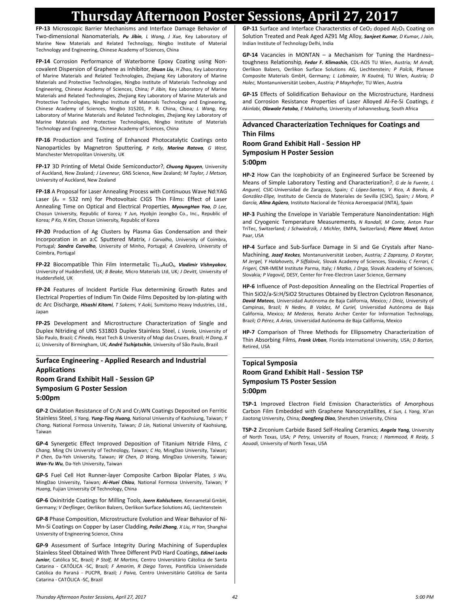**FP-13** Microscopic Barrier Mechanisms and Interface Damage Behavior of Two-dimensional Nanomaterials*, Pu Jibin, L Wang, J Xue,* Key Laboratory of Marine New Materials and Related Technology, Ningbo Institute of Material Technology and Engineering, Chinese Academy of Sciences, China

**FP-14** Corrosion Performance of Waterborne Epoxy Coating using Noncovalent Dispersion of Graphene as Inhibitor*, Shuan Liu, H Zhao,* Key Laboratory of Marine Materials and Related Technologies, Zhejiang Key Laboratory of Marine Materials and Protective Technologies, Ningbo Institute of Materials Technology and Engineering, Chinese Academy of Sciences, China*; P Jibin,* Key Laboratory of Marine Materials and Related Technologies, Zhejiang Key Laboratory of Marine Materials and Protective Technologies, Ningbo Institute of Materials Technology and Engineering, Chinese Academy of Sciences, Ningbo 315201, P. R. China, China*; L Wang,* Key Laboratory of Marine Materials and Related Technologies, Zhejiang Key Laboratory of Marine Materials and Protective Technologies, Ningbo Institute of Materials Technology and Engineering, Chinese Academy of Sciences, China

**FP-16** Production and Testing of Enhanced Photocatalytic Coatings onto Nanoparticles by Magnetron Sputtering*, P Kelly, Marina Ratova, G West,*  Manchester Metropolitan University, UK

**FP-17** 3D Printing of Metal Oxide Semiconductor?*, Chuong Nguyen,* University of Auckland, New Zealand*; J Leveneur,* GNS Science, New Zealand*; M Taylor, J Metson,*  University of Auckland, New Zealand

**FP-18** A Proposal for Laser Annealing Process with Continuous Wave Nd:YAG Laser (*λ<sup>o</sup>* = 532 nm) for Photovoltaic CIGS Thin Films: Effect of Laser Annealing Time on Optical and Electrical Properties*, MyoungHan Yoo, D Lee,*  Chosun University, Republic of Korea*; Y Jun,* Hyobjin Jeongbo Co., Inc., Republic of Korea*; P Ko, N Kim,* Chosun University, Republic of Korea

**FP-20** Production of Ag Clusters by Plasma Gas Condensation and their Incorporation in an a:C Sputtered Matrix*, I Carvalho,* University of Coimbra, Portugal*; Sandra Carvalho,* University of Minho, Portugal*; A Cavaleiro,* University of Coimbra, Portugal

**FP-22** Biocompatible Thin Film Intermetalic Ti3-xAuOx*, Vladimir Vishnyakov,*  University of Huddersfield, UK*; B Beake,* Micro Materials Ltd, UK*; J Devitt,* University of Huddersfield, UK

**FP-24** Features of Incident Particle Flux determining Growth Rates and Electrical Properties of Indium Tin Oxide Films Deposited by Ion-plating with dc Arc Discharge*, Hisashi Kitami, T Sakemi, Y Aoki,* Sumitomo Heavy Industries, Ltd., Japan

**FP-25** Development and Microstructure Characterization of Single and Duplex Nitriding of UNS S31803 Duplex Stainless Steel*, L Varela,* University of São Paulo, Brazil*; C Pinedo,* Heat Tech & University of Mogi das Cruzes, Brazil*; H Dong, X Li,* University of Birmingham, UK*; André Tschiptschin,* University of São Paulo, Brazil

#### **Surface Engineering - Applied Research and Industrial Applications Room Grand Exhibit Hall - Session GP Symposium G Poster Session**

**5:00pm**

GP-2 Oxidation Resistance of Cr<sub>2</sub>N and Cr<sub>2</sub>WN Coatings Deposited on Ferritic Stainless Steel*, S Yang, Yung-Ting Huang,* National University of Kaohsiung, Taiwan*; Y Chang,* National Formosa University, Taiwan*; D Lin,* National University of Kaohsiung, Taiwan

**GP-4** Synergetic Effect Improved Deposition of Titanium Nitride Films*, C Chang,* Ming Chi University of Technology, Taiwan*; C Ho,* MingDao University, Taiwan*; P Chen,* Da-Yeh University, Taiwan*; W Chen, D Wang,* MingDao University, Taiwan*; Wan-Yu Wu,* Da-Yeh University, Taiwan

**GP-5** Fuel Cell Hot Runner-layer Composite Carbon Bipolar Plates*, S Wu,*  MingDao University, Taiwan*; Ai-Huei Chiou,* National Formosa University, Taiwan*; Y Huang,* Fujian University Of Technology, China

**GP-6** Oxinitride Coatings for Milling Tools*, Joern Kohlscheen,* Kennametal GmbH, Germany*; V Derflinger,* Oerlikon Balzers, Oerlikon Surface Solutions AG, Liechtenstein

**GP-8** Phase Composition, Microstructure Evolution and Wear Behavior of Ni-Mn-Si Coatings on Copper by Laser Cladding*, Peilei Zhang, X Liu, H Yan,* Shanghai University of Engineering Science, China

**GP-9** Assessment of Surface Integrity During Machining of Superduplex Stainless Steel Obtained With Three Different PVD Hard Coatings*, Edinei Locks Junior,* Católica SC, Brazil*; P Stolf, M Martins,* Centro Universitário Cátolica de Santa Catarina - CATÓLICA -SC, Brazil*; F Amorim, R Diego Torres,* Pontifícia Universidade Católica do Paraná - PUCPR, Brazil*; J Paiva,* Centro Universitário Católica de Santa Catarina - CATÓLICA -SC, Brazil

GP-11 Surface and Interface Characterstics of CeO<sub>2</sub> doped Al<sub>2</sub>O<sub>3</sub> Coating on Solution Treated and Peak Aged AZ91 Mg Alloy*, Sanjeet Kumar, D Kumar, J Jain,*  Indian Institute of Technology Delhi, India

**GP-14** Vacancies in MONTAN – a Mechanism for Tuning the Hardness– toughness Relationship*, Fedor F. Klimashin,* CDL-AOS TU Wien, Austria*; M Arndt,*  Oerlikon Balzers, Oerlikon Surface Solutions AG, Liechtenstein*; P Polcik,* Plansee Composite Materials GmbH, Germany*; L Lobmaier, N Koutná,* TU Wien, Austria*; D Holec,* Montanuniversität Leoben, Austria*; P Mayrhofer,* TU Wien, Austria

**GP-15** Effects of Solidification Behaviour on the Microstructure, Hardness and Corrosion Resistance Properties of Laser Alloyed Al-Fe-Si Coatings*, E Akinlabi, Olawale Fatoba, E Makhatha,* University of Johannesburg, South Africa

#### **Advanced Characterization Techniques for Coatings and Thin Films**

#### **Room Grand Exhibit Hall - Session HP Symposium H Poster Session 5:00pm**

**HP-2** How Can the Icephobicity of an Engineered Surface be Screened by Means of Simple Laboratory Testing and Characterization?*, G de la Fuente, L Angurel,* CSIC-Universidad de Zaragoza, Spain*; C López-Santos, V Rico, A Borrás, A González-Elipe,* Instituto de Ciencia de Materiales de Sevilla (CSIC), Spain*; J Mora, P García, Alina Agüero,* Instituto Nacional de Técnica Aeroespacial (INTA), Spain

**HP-3** Pushing the Envelope in Variable Temperature Nanoindentation: High and Cryogenic Temperature Measurements*, N Randall, M Conte,* Anton Paar TriTec, Switzerland*; J Schwiedrzik, J Michler,* EMPA, Switzerland*; Pierre Morel,* Anton Paar, USA

**HP-4** Surface and Sub-Surface Damage in Si and Ge Crystals after Nano-Machining*, Jozef Keckes,* Montanuniversität Leoben, Austria*; Z Zaprazny, D Korytar, M Jergel, Y Halahovets, P Siffalovic,* Slovak Academy of Sciences, Slovakia*; C Ferrari, C Frigeri,* CNR-IMEM Institute Parma, Italy*; I Matko, J Drga,* Slovak Academy of Sciences, Slovakia*; P Vagovič,* DESY, Center for Free-Electron Laser Science, Germany

**HP-6** Influence of Post-deposition Annealing on the Electrical Properties of Thin SiO2/a-Si:H/SiO2 Structures Obtained by Electron Cyclotron Resonance*, David Mateos,* Universidad Autónoma de Baja California, Mexico*; J Diniz,* University of Campinas, Brazil*; N Nedev, B Valdez, M Curiel,* Universidad Autónoma de Baja California, Mexico*; M Mederos,* Renato Archer Center for Information Technology, Brazil*; O Pérez, A Arias,* Universidad Autónoma de Baja California, Mexico

**HP-7** Comparison of Three Methods for Ellipsometry Characterization of Thin Absorbing Films*, Frank Urban,* Florida International University, USA*; D Barton,*  Retired, USA

#### **Topical Symposia Room Grand Exhibit Hall - Session TSP Symposium TS Poster Session 5:00pm**

**TSP-1** Improved Electron Field Emission Characteristics of Amorphous Carbon Film Embedded with Graphene Nanocrystallites*, K Sun, L Yang,* Xi'an Jiaotong University, China*; Dongfeng Diao,* Shenzhen University, China

**TSP-2** Zirconium Carbide Based Self-Healing Ceramics*, Angela Yang,* University of North Texas, USA*; P Petry,* University of Rouen, France*; I Hammood, R Reidy, S Aouadi,* University of North Texas, USA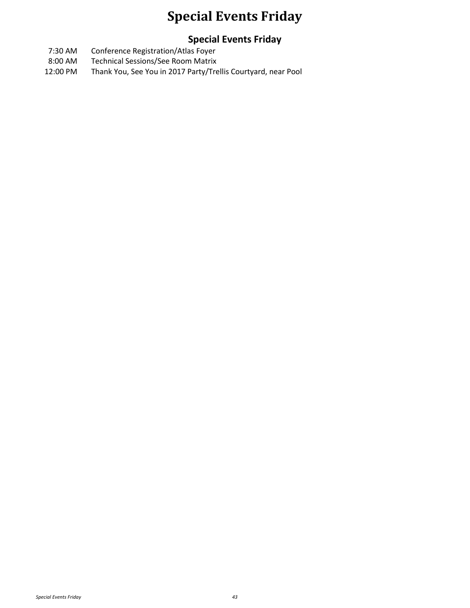### **Special Events Friday**

#### **Special Events Friday**

- 7:30 AM Conference Registration/Atlas Foyer
- 8:00 AM Technical Sessions/See Room Matrix
- 12:00 PM Thank You, See You in 2017 Party/Trellis Courtyard, near Pool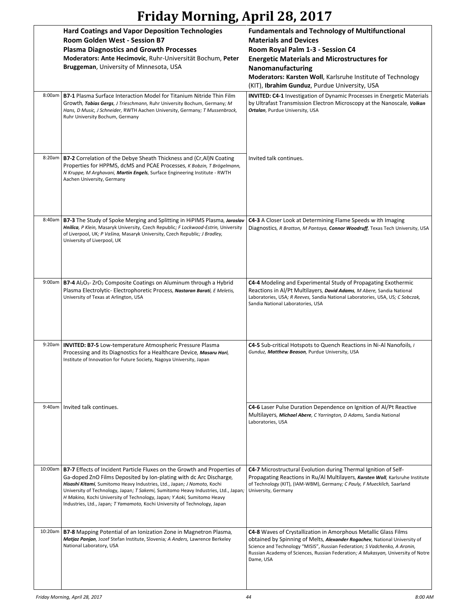# **Friday Morning, April 28, 2017**

|         | <b>Hard Coatings and Vapor Deposition Technologies</b><br>Room Golden West - Session B7<br><b>Plasma Diagnostics and Growth Processes</b><br>Moderators: Ante Hecimovic, Ruhr-Universität Bochum, Peter<br>Bruggeman, University of Minnesota, USA                                                                                                                                                                                                                              | <b>Fundamentals and Technology of Multifunctional</b><br><b>Materials and Devices</b><br>Room Royal Palm 1-3 - Session C4<br><b>Energetic Materials and Microstructures for</b><br>Nanomanufacturing<br>Moderators: Karsten Woll, Karlsruhe Institute of Technology<br>(KIT), Ibrahim Gunduz, Purdue University, USA        |
|---------|---------------------------------------------------------------------------------------------------------------------------------------------------------------------------------------------------------------------------------------------------------------------------------------------------------------------------------------------------------------------------------------------------------------------------------------------------------------------------------|-----------------------------------------------------------------------------------------------------------------------------------------------------------------------------------------------------------------------------------------------------------------------------------------------------------------------------|
| 8:00am  | <b>B7-1 Plasma Surface Interaction Model for Titanium Nitride Thin Film</b><br>Growth, Tobias Gergs, J Trieschmann, Ruhr University Bochum, Germany; M<br>Hans, D Music, J Schneider, RWTH Aachen University, Germany; T Mussenbrock,<br>Ruhr University Bochum, Germany                                                                                                                                                                                                        | <b>INVITED: C4-1 Investigation of Dynamic Processes in Energetic Materials</b><br>by Ultrafast Transmission Electron Microscopy at the Nanoscale, Volkan<br>Ortalan, Purdue University, USA                                                                                                                                 |
| 8:20am  | B7-2 Correlation of the Debye Sheath Thickness and (Cr, Al)N Coating<br>Properties for HPPMS, dcMS and PCAE Processes, K Bobzin, T Brögelmann,<br>N Kruppe, M Arghavani, Martin Engels, Surface Engineering Institute - RWTH<br>Aachen University, Germany                                                                                                                                                                                                                      | Invited talk continues.                                                                                                                                                                                                                                                                                                     |
| 8:40am  | <b>B7-3</b> The Study of Spoke Merging and Splitting in HiPIMS Plasma, Jaroslav<br>Hnilica, P Klein, Masaryk University, Czech Republic; F Lockwood-Estrin, University<br>of Liverpool, UK; P Vašina, Masaryk University, Czech Republic; J Bradley,<br>University of Liverpool, UK                                                                                                                                                                                             | <b>C4-3</b> A Closer Look at Determining Flame Speeds w ith Imaging<br>Diagnostics, R Bratton, M Pantoya, Connor Woodruff, Texas Tech University, USA                                                                                                                                                                       |
|         | 9:00am   $B7-4$ Al <sub>2</sub> O <sub>3</sub> - ZrO <sub>2</sub> Composite Coatings on Aluminum through a Hybrid<br>Plasma Electrolytic-Electrophoretic Process, Nastaran Barati, E Meletis,<br>University of Texas at Arlington, USA                                                                                                                                                                                                                                          | <b>C4-4</b> Modeling and Experimental Study of Propagating Exothermic<br>Reactions in Al/Pt Multilayers, David Adams, M Abere, Sandia National<br>Laboratories, USA; R Reeves, Sandia National Laboratories, USA, US; C Sobczak,<br>Sandia National Laboratories, USA                                                       |
| 9:20am  | <b>INVITED: B7-5 Low-temperature Atmospheric Pressure Plasma</b><br>Processing and its Diagnostics for a Healthcare Device, Masaru Hori,<br>Institute of Innovation for Future Society, Nagoya University, Japan                                                                                                                                                                                                                                                                | C4-5 Sub-critical Hotspots to Quench Reactions in Ni-Al Nanofoils, I<br>Gunduz, Matthew Beason, Purdue University, USA                                                                                                                                                                                                      |
| 9:40am  | Invited talk continues.                                                                                                                                                                                                                                                                                                                                                                                                                                                         | C4-6 Laser Pulse Duration Dependence on Ignition of Al/Pt Reactive<br>Multilayers, Michael Abere, C Yarrington, D Adams, Sandia National<br>Laboratories, USA                                                                                                                                                               |
| 10:00am | <b>B7-7</b> Effects of Incident Particle Fluxes on the Growth and Properties of<br>Ga-doped ZnO Films Deposited by Ion-plating with dc Arc Discharge,<br>Hisashi Kitami, Sumitomo Heavy Industries, Ltd., Japan; J Nomoto, Kochi<br>University of Technology, Japan; T Sakemi, Sumitomo Heavy Industries, Ltd., Japan;<br>H Makino, Kochi University of Technology, Japan; Y Aoki, Sumitomo Heavy<br>Industries, Ltd., Japan; T Yamamoto, Kochi University of Technology, Japan | C4-7 Microstructural Evolution during Thermal Ignition of Self-<br>Propagating Reactions in Ru/Al Multilayers, Karsten Woll, Karlsruhe Institute<br>of Technology (KIT), (IAM-WBM), Germany; C Pauly, F Muecklich, Saarland<br>University, Germany                                                                          |
| 10:20am | B7-8 Mapping Potential of an Ionization Zone in Magnetron Plasma,<br>Matjaz Panjan, Jozef Stefan Institute, Slovenia; A Anders, Lawrence Berkeley<br>National Laboratory, USA                                                                                                                                                                                                                                                                                                   | C4-8 Waves of Crystallization in Amorphous Metallic Glass Films<br>obtained by Spinning of Melts, Alexander Rogachev, National University of<br>Science and Technology "MISIS", Russian Federation; S Vadchenko, A Aronin,<br>Russian Academy of Sciences, Russian Federation; A Mukasyan, University of Notre<br>Dame, USA |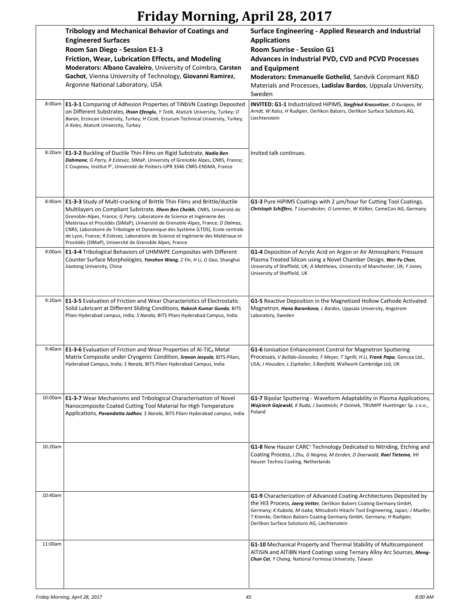## **Friday Morning, April 28, 2017**

|         | <b>Tribology and Mechanical Behavior of Coatings and</b><br><b>Engineered Surfaces</b><br>Room San Diego - Session E1-3<br>Friction, Wear, Lubrication Effects, and Modeling<br>Moderators: Albano Cavaleiro, University of Coimbra, Carsten<br>Gachot, Vienna University of Technology, Giovanni Ramirez,<br>Argonne National Laboratory, USA                                                                                                                                                                                                         | Surface Engineering - Applied Research and Industrial<br><b>Applications</b><br>Room Sunrise - Session G1<br>Advances in Industrial PVD, CVD and PCVD Processes<br>and Equipment<br>Moderators: Emmanuelle Gothelid, Sandvik Coromant R&D<br>Materials and Processes, Ladislav Bardos, Uppsala University,<br>Sweden                                          |
|---------|--------------------------------------------------------------------------------------------------------------------------------------------------------------------------------------------------------------------------------------------------------------------------------------------------------------------------------------------------------------------------------------------------------------------------------------------------------------------------------------------------------------------------------------------------------|---------------------------------------------------------------------------------------------------------------------------------------------------------------------------------------------------------------------------------------------------------------------------------------------------------------------------------------------------------------|
| 8:00am  | <b>E1-3-1</b> Comparing of Adhesion Properties of TiNbVN Coatings Deposited<br>on Different Substrates, Ihsan Efeoglu, Y Totik, Atatürk University, Turkey; O<br>Baran, Erzincan University, Turkey; H Cicek, Erzurum Technical University, Turkey;<br>A Keles, Ataturk University, Turkey                                                                                                                                                                                                                                                             | INVITED: G1-1 Industrialized HiPIMS, Siegfried Krassnitzer, D Kurapov, M<br>Arndt, W Kalss, H Rudigier, Oerlikon Balzers, Oerlikon Surface Solutions AG,<br>Liechtenstein                                                                                                                                                                                     |
| 8:20am  | E1-3-2 Buckling of Ductile Thin Films on Rigid Substrate, Nadia Ben<br>Dahmane, G Parry, R Estevez, SIMaP, University of Grenoble Alpes, CNRS, France;<br>C Coupeau, Institut P', Université de Poitiers-UPR 3346 CNRS-ENSMA, France                                                                                                                                                                                                                                                                                                                   | Invited talk continues.                                                                                                                                                                                                                                                                                                                                       |
| 8:40am  | E1-3-3 Study of Multi-cracking of Brittle Thin Films and Brittle/ductile<br>Multilayers on Compliant Substrate, Ilhem Ben Cheikh, CNRS, Université de<br>Grenoble-Alpes, France; G Parry, Laboratoire de Science et Ingénierie des<br>Matériaux et Procédés (SIMaP), Université de Grenoble-Alpes, France; D Dalmas,<br>CNRS, Laboratoire de Tribologie et Dynamique des Système (LTDS), Ecole centrale<br>de Lyon, France; R Estevez, Laboratoire de Science et Ingénierie des Matériaux et<br>Procédés (SIMaP), Université de Grenoble Alpes, France | G1-3 Pure HiPIMS Coatings with 2 um/hour for Cutting Tool Coatings,<br>Christoph Schiffers, T Leyendecker, O Lemmer, W Kölker, CemeCon AG, Germany                                                                                                                                                                                                            |
| 9:00am  | E1-3-4 Tribological Behaviors of UHMWPE Composites with Different<br>Counter Surface Morphologies, Yanzhen Wang, Z Yin, H Li, G Gao, Shanghai<br>Jiaotong University, China                                                                                                                                                                                                                                                                                                                                                                            | G1-4 Deposition of Acrylic Acid on Argon or Air Atmospheric Pressure<br>Plasma Treated Silicon using a Novel Chamber Design, Wei-Yu Chen,<br>University of Sheffield, UK; A Matthews, University of Manchester, UK; F Jones,<br>University of Sheffield, UK                                                                                                   |
|         | 9:20am   E1-3-5 Evaluation of Friction and Wear Characteristics of Electrostatic<br>Solid Lubricant at Different Sliding Conditions, Rakesh Kumar Gunda, BITS<br>Pilani Hyderabad campus, India; S Narala, BITS Pilani Hyderabad Campus, India                                                                                                                                                                                                                                                                                                         | G1-5 Reactive Deposition in the Magnetized Hollow Cathode Activated<br>Magnetron, Hana Barankova, L Bardos, Uppsala University, Angstrom<br>Laboratory, Sweden                                                                                                                                                                                                |
| 9:40am  | E1-3-6 Evaluation of Friction and Wear Properties of Al-TiC <sub>p</sub> Metal<br>Matrix Composite under Cryogenic Condition, Sravan Josyula, BITS-Pilani,<br>Hyderabad Campus, India; S Narala, BITS Pilani Hyderabad Campus, India                                                                                                                                                                                                                                                                                                                   | G1-6 Ionisation Enhancement Control for Magnetron Sputtering<br>Processes, V Bellido-Gonzalez, F Meyer, T Sgrilli, H Li, Frank Papa, Gencoa Ltd.,<br>USA; J Housden, L Espitalier, S Banfield, Wallwork Cambridge Ltd, UK                                                                                                                                     |
|         | 10:00am   E1-3-7 Wear Mechanisms and Tribological Characterisation of Novel<br>Nanocomposite Coated Cutting Tool Material for High Temperature<br>Applications, Pavandatta Jadhav, S Narala, BITS Pilani Hyderabad campus, India                                                                                                                                                                                                                                                                                                                       | <b>G1-7</b> Bipolar Sputtering - Waveform Adaptability in Plasma Applications,<br>Wojciech Gajewski, K Ruda, J Swiatnicki, P Ozimek, TRUMPF Huettinger Sp. z o.o.,<br>Poland                                                                                                                                                                                  |
| 10:20am |                                                                                                                                                                                                                                                                                                                                                                                                                                                                                                                                                        | <b>G1-8</b> New Hauzer CARC <sup>+</sup> Technology Dedicated to Nitriding, Etching and<br>Coating Process, J Zhu, G Negrea, M Eerden, D Doerwald, Roel Tietema, IHI<br>Hauzer Techno Coating, Netherlands                                                                                                                                                    |
| 10:40am |                                                                                                                                                                                                                                                                                                                                                                                                                                                                                                                                                        | G1-9 Characterization of Advanced Coating Architectures Deposited by<br>the HI3 Process, Joerg Vetter, Oerlikon Balzers Coating Germany GmbH,<br>Germany; K Kubota, M Isaka, Mitsubishi Hitachi Tool Engineering, Japan; J Mueller,<br>T Krienke, Oerlikon Balzers Coating Germany GmbH, Germany; H Rudigier,<br>Oerlikon Surface Solutions AG, Liechtenstein |
| 11:00am |                                                                                                                                                                                                                                                                                                                                                                                                                                                                                                                                                        | <b>G1-10</b> Mechanical Property and Thermal Stability of Multicomponent<br>AlTISIN and AlTIBN Hard Coatings using Ternary Alloy Arc Sources, Meng-<br>Chun Cai, Y Chang, National Formosa University, Taiwan                                                                                                                                                 |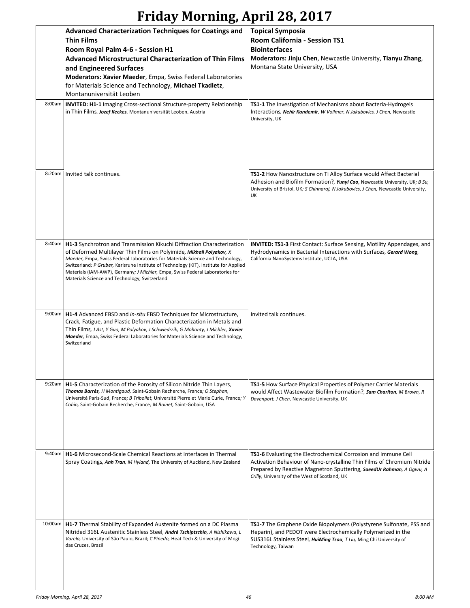## **Friday Morning, April 28, 2017**

|         | <b>Advanced Characterization Techniques for Coatings and</b><br><b>Thin Films</b><br>Room Royal Palm 4-6 - Session H1<br><b>Advanced Microstructural Characterization of Thin Films</b><br>and Engineered Surfaces<br>Moderators: Xavier Maeder, Empa, Swiss Federal Laboratories<br>for Materials Science and Technology, Michael Tkadletz,<br>Montanuniversität Leoben                                                                                   | <b>Topical Symposia</b><br>Room California - Session TS1<br><b>Biointerfaces</b><br>Moderators: Jinju Chen, Newcastle University, Tianyu Zhang,<br>Montana State University, USA                                                                                           |
|---------|------------------------------------------------------------------------------------------------------------------------------------------------------------------------------------------------------------------------------------------------------------------------------------------------------------------------------------------------------------------------------------------------------------------------------------------------------------|----------------------------------------------------------------------------------------------------------------------------------------------------------------------------------------------------------------------------------------------------------------------------|
| 8:00am  | <b>INVITED: H1-1 Imaging Cross-sectional Structure-property Relationship</b><br>in Thin Films, Jozef Keckes, Montanuniversität Leoben, Austria                                                                                                                                                                                                                                                                                                             | TS1-1 The Investigation of Mechanisms about Bacteria-Hydrogels<br>Interactions, Nehir Kandemir, W Vollmer, N Jakubovics, J Chen, Newcastle<br>University, UK                                                                                                               |
| 8:20am  | Invited talk continues.                                                                                                                                                                                                                                                                                                                                                                                                                                    | TS1-2 How Nanostructure on Ti Alloy Surface would Affect Bacterial<br>Adhesion and Biofilm Formation?, Yunyi Cao, Newcastle University, UK; B Su,<br>University of Bristol, UK; S Chinnaraj, N Jakubovics, J Chen, Newcastle University,<br>UK                             |
| 8:40am  | H1-3 Synchrotron and Transmission Kikuchi Diffraction Characterization<br>of Deformed Multilayer Thin Films on Polyimide, Mikhail Polyakov, X<br>Maeder, Empa, Swiss Federal Laboratories for Materials Science and Technology,<br>Switzerland; P Gruber, Karlsruhe Institute of Technology (KIT), Institute for Applied<br>Materials (IAM-AWP), Germany; J Michler, Empa, Swiss Federal Laboratories for<br>Materials Science and Technology, Switzerland | <b>INVITED: TS1-3</b> First Contact: Surface Sensing, Motility Appendages, and<br>Hydrodynamics in Bacterial Interactions with Surfaces, Gerard Wong,<br>California NanoSystems Institute, UCLA, USA                                                                       |
| 9:00am  | H1-4 Advanced EBSD and <i>in-situ</i> EBSD Techniques for Microstructure,<br>Crack, Fatigue, and Plastic Deformation Characterization in Metals and<br>Thin Films, J Ast, Y Guo, M Polyakov, J Schwiedrzik, G Mohanty, J Michler, Xavier<br>Maeder, Empa, Swiss Federal Laboratories for Materials Science and Technology,<br>Switzerland                                                                                                                  | Invited talk continues.                                                                                                                                                                                                                                                    |
| 9:20am  | <b>H1-5</b> Characterization of the Porosity of Silicon Nitride Thin Layers,<br>Thomas Barrès, H Montigaud, Saint-Gobain Recherche, France; O Stephan,<br>Université Paris-Sud, France; B Tribollet, Université Pierre et Marie Curie, France; Y<br>Cohin, Saint-Gobain Recherche, France; M Boinet, Saint-Gobain, USA                                                                                                                                     | <b>TS1-5 How Surface Physical Properties of Polymer Carrier Materials</b><br>would Affect Wastewater Biofilm Formation?, Sam Charlton, M Brown, R<br>Davenport, J Chen, Newcastle University, UK                                                                           |
| 9:40am  | <b>H1-6</b> Microsecond-Scale Chemical Reactions at Interfaces in Thermal<br>Spray Coatings, Anh Tran, M Hyland, The University of Auckland, New Zealand                                                                                                                                                                                                                                                                                                   | <b>TS1-6</b> Evaluating the Electrochemical Corrosion and Immune Cell<br>Activation Behaviour of Nano-crystalline Thin Films of Chromium Nitride<br>Prepared by Reactive Magnetron Sputtering, SaeedUr Rahman, A Ogwu, A<br>Crilly, University of the West of Scotland, UK |
| 10:00am | H1-7 Thermal Stability of Expanded Austenite formed on a DC Plasma<br>Nitrided 316L Austenitic Stainless Steel, André Tschiptschin, A Nishikawa, L<br>Varela, University of São Paulo, Brazil; C Pinedo, Heat Tech & University of Mogi<br>das Cruzes, Brazil                                                                                                                                                                                              | TS1-7 The Graphene Oxide Biopolymers (Polystyrene Sulfonate, PSS and<br>Heparin), and PEDOT were Electrochemically Polymerized in the<br>SUS316L Stainless Steel, HuiMing Tsou, T Liu, Ming Chi University of<br>Technology, Taiwan                                        |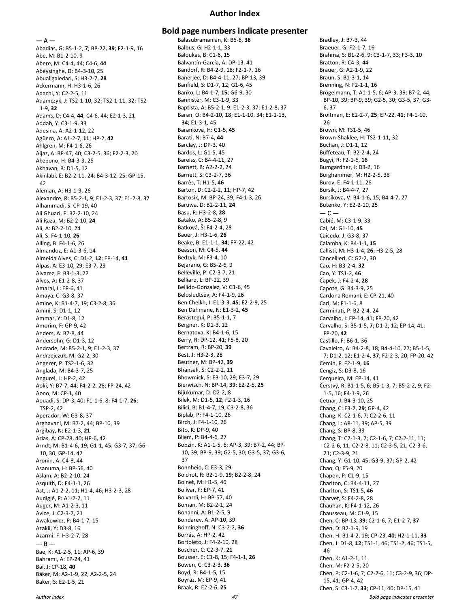#### **Author Index**

 $- A -$ 

Abadias, G: B5-1-2, **7**; BP-22, **39**; F2-1-9, 16 Abe, M: B1-2-10, 9 Abere, M: C4-4, 44; C4-6, **44** Abeysinghe, D: B4-3-10, 25 Abualigaledari, S: H3-2-7, **28** Ackermann, H: H3-1-6, 26 Adachi, Y: C2-2-5, 11 Adamczyk, J: TS2-1-10, 32; TS2-1-11, 32; TS2- 1-9, **32** Adams, D: C4-4, **44**; C4-6, 44; E2-1-3, 21 Addab, Y: C3-1-9, 33 Adesina, A: A2-1-12, 22 Agüero, A: A1-2-7, **11**; HP-2, **42** Ahlgren, M: F4-1-6, 26 Aijaz, A: BP-47, 40; C3-2-5, 36; F2-2-3, 20 Akebono, H: B4-3-3, 25 Akhavan, B: D1-5, 12 Akinlabi, E: B2-2-11, 24; B4-3-12, 25; GP-15, 42 Aleman, A: H3-1-9, 26 Alexandre, R: B5-2-1, 9; E1-2-3, 37; E1-2-8, 37 Alhammadi, S: CP-19, 40 Ali Ghuari, F: B2-2-10, 24 Ali Raza, M: B2-2-10, **24** Ali, A: B2-2-10, 24 Ali, S: F4-1-10, **26** Alling, B: F4-1-6, 26 Almandoz, E: A1-3-6, 14 Almeida Alves, C: D1-2, **12**; EP-14, **41** Alpas, A: E3-10, 29; E3-7, 29 Alvarez, F: B3-1-3, 27 Alves, A: E1-2-8, 37 Amaral, L: EP-6, 41 Amaya, C: G3-8, 37 Amine, K: B1-4-7, 19; C3-2-8, 36 Amini, S: D1-1, 12 Ammar, Y: D1-8, 12 Amorim, F: GP-9, 42 Anders, A: B7-8, 44 Andersohn, G: D1-3, 12 Andrade, M: B5-2-1, 9; E1-2-3, 37 Andrzejczuk, M: G2-2, 30 Angerer, P: TS2-1-6, 32 Anglada, M: B4-3-7, 25 Angurel, L: HP-2, 42 Aoki, Y: B7-7, 44; F4-2-2, 28; FP-24, 42 Aono, M: CP-1, 40 Aouadi, S: DP-3, 40; F1-1-6, 8; F4-1-7, **26**; TSP-2, 42 Aperador, W: G3-8, 37 Arghavani, M: B7-2, 44; BP-10, 39 Argibay, N: E2-1-3, **21** Arias, A: CP-28, 40; HP-6, 42 Arndt, M: B1-4-6, 19; G1-1, 45; G3-7, 37; G6- 10, 30; GP-14, 42 Aronin, A: C4-8, 44 Asanuma, H: BP-56, 40 Aslam, A: B2-2-10, 24 Asquith, D: F4-1-1, 26 Ast, J: A1-2-2, 11; H1-4, 46; H3-2-3, 28 Audigié, P: A1-2-7, 11 Auger, M: A1-2-3, 11 Avice, J: C2-3-7, 21 Awakowicz, P: B4-1-7, 15 Azakli, Y: D3-8, 16 Azarmi, F: H3-2-7, 28  $-$  B  $-$ Bae, K: A1-2-5, 11; AP-6, 39 Bahrami, A: EP-24, 41 Bai, J: CP-18, **40** Bäker, M: A2-1-9, 22; A2-2-5, 24 Baker, S: E2-1-5, 21

#### **Bold page numbers indicate presenter**

Balasubramanian, K: B6-6, **36** Balbus, G: H2-1-1, 33 Baloukas, B: C1-6, 15 Balvantín-García, A: DP-13, 41 Bandorf, R: B4-2-9, 18; F2-1-7, 16 Banerjee, D: B4-4-11, 27; BP-13, 39 Banfield, S: D1-7, 12; G1-6, 45 Banko, L: B4-1-7, **15**; G6-9, 30 Bannister, M: C3-1-9, 33 Baptista, A: B5-2-1, 9; E1-2-3, 37; E1-2-8, 37 Baran, O: B4-2-10, 18; E1-1-10, 34; E1-1-13, **34**; E1-3-1, 45 Barankova, H: G1-5, **45** Barati, N: B7-4, **44** Barclay, J: DP-3, 40 Bardos, L: G1-5, 45 Bareiss, C: B4-4-11, 27 Barnett, B: A2-2-2, 24 Barnett, S: C3-2-7, 36 Barrès, T: H1-5, **46** Barton, D: C2-2-2, 11; HP-7, 42 Bartosik, M: BP-24, 39; F4-1-3, 26 Baruwa, D: B2-2-11, **24** Basu, R: H3-2-8, **28** Batako, A: B5-2-8, 9 Batková, Š: F4-2-4, 28 Bauer, J: H3-1-6, **26** Beake, B: E1-1-1, **34**; FP-22, 42 Beason, M: C4-5, **44** Bedzyk, M: F3-4, 10 Bejarano, G: B5-2-6, 9 Belleville, P: C2-3-7, 21 Belliard, L: BP-22, 39 Bellido-Gonzalez, V: G1-6, 45 Belosludtsev, A: F4-1-9, 26 Ben Cheikh, I: E1-3-3, **45**; E2-2-9, 25 Ben Dahmane, N: E1-3-2, **45** Berastegui, P: B5-1-1, 7 Bergner, K: D1-3, 12 Bernatova, K: B4-1-6, 15 Berry, R: DP-12, 41; F5-8, 20 Bertram, R: BP-20, **39** Best, J: H3-2-3, 28 Beutner, M: BP-42, **39** Bhansali, S: C2-2-2, 11 Bhowmick, S: E3-10, 29; E3-7, 29 Bierwisch, N: BP-14, **39**; E2-2-5, **25** Bijukumar, D: D2-2, 8 Bilek, M: D1-5, **12**; F2-1-3, 16 Bilici, B: B1-4-7, 19; C3-2-8, 36 Biplab, P: F4-1-10, 26 Birch, J: F4-1-10, 26 Bito, K: DP-9, 40 Bliem, P: B4-4-6, 27 Bobzin, K: A1-1-5, 6; AP-3, 39; B7-2, 44; BP-10, 39; BP-9, 39; G2-5, 30; G3-5, 37; G3-6, 37 Bohnheio, C: E3-3, 29 Boichot, R: B2-1-9, **19**; B2-2-8, 24 Boinet, M: H1-5, 46 Bolívar, F: EP-7, 41 Bolvardi, H: BP-57, 40 Boman, M: B2-2-1, 24 Bonanni, A: B1-2-5, 9 Bondarev, A: AP-10, 39 Bönninghoff, N: C3-2-2, **36** Borrás, A: HP-2, 42 Bortoleto, J: F4-2-10, 28 Boscher, C: C2-3-7, **21** Bousser, E: C1-8, 15; F4-1-1, **26** Bowen, C: C3-2-3, **36** Boyd, R: B4-1-5, 15 Boyraz, M: EP-9, 41 Braak, R: E2-2-6, **25**

*Author Index 47 Bold page indicates presenter* Bradley, J: B7-3, 44 Braeuer, G: F2-1-7, 16 Brahma, S: B1-2-6, 9; C3-1-7, 33; F3-3, 10 Bratton, R: C4-3, 44 Bräuer, G: A2-1-9, 22 Braun, S: B1-3-1, 14 Brenning, N: F2-1-1, 16 Brögelmann, T: A1-1-5, 6; AP-3, 39; B7-2, 44; BP-10, 39; BP-9, 39; G2-5, 30; G3-5, 37; G3- 6, 37 Broitman, E: E2-2-7, **25**; EP-22, **41**; F4-1-10, 26 Brown, M: TS1-5, 46 Brown-Shaklee, H: TS2-1-11, 32 Buchan, J: D1-1, 12 Buffeteau, T: B2-2-4, 24 Bugyi, R: F2-1-6, **16** Bumgardner, J: D3-2, 16 Burghammer, M: H2-2-5, 38 Burov, E: F4-1-11, 26 Bursik, J: B4-4-7, 27 Bursikova, V: B4-1-6, 15; B4-4-7, 27 Butenko, Y: E2-2-10, 25  $-$  C  $-$ Cabié, M: C3-1-9, 33 Cai, M: G1-10, **45** Caicedo, J: G3-8, 37 Calamba, K: B4-1-1, **15** Callisti, M: H3-1-4, **26**; H3-2-5, 28 Cancellieri, C: G2-2, 30 Cao, H: B3-2-4, **32** Cao, Y: TS1-2, **46** Čapek, J: F4-2-4, **28** Capote, G: B4-3-9, 25 Cardona Romani, E: CP-21, 40 Carl, M: F1-1-6, 8 Carminati, P: B2-2-4, 24 Carvalho, I: EP-14, 41; FP-20, 42 Carvalho, S: B5-1-5, **7**; D1-2, 12; EP-14, 41; FP-20, **42** Castillo, F: B6-1, 36 Cavaleiro, A: B4-2-8, 18; B4-4-10, 27; B5-1-5, 7; D1-2, 12; E1-2-4, **37**; F2-2-3, 20; FP-20, 42 Cemin, F: F2-1-9, **16** Cengiz, S: D3-8, 16 Cerqueira, M: EP-14, 41 Čerstvý, R: B1-1-5, 6; B5-1-3, 7; B5-2-2, 9; F2- 1-5, 16; F4-1-9, 26 Cetnar, J: B4-3-10, 25 Chang, C: E3-2, **29**; GP-4, 42 Chang, K: C2-1-6, 7; C2-2-6, 11 Chang, L: AP-11, 39; AP-5, 39 Chang, S: BP-8, 39 Chang, T: C2-1-3, 7; C2-1-6, 7; C2-2-11, 11; C2-2-6, 11; C2-2-8, 11; C2-3-5, 21; C2-3-6, 21; C2-3-9, 21 Chang, Y: G1-10, 45; G3-9, 37; GP-2, 42 Chao, Q: F5-9, 20 Chapon, P: C1-9, 15 Charlton, C: B4-4-11, 27 Charlton, S: TS1-5, **46** Charvet, S: F4-2-8, 28 Chauhan, K: F4-1-12, 26 Chausseau, M: C1-9, 15 Chen, C: BP-13, **39**; C2-1-6, 7; E1-2-7, **37** Chen, D: B2-1-9, 19 Chen, H: B1-4-2, 19; CP-23, **40**; H2-1-11, **33** Chen, J: D1-8, **12**; TS1-1, 46; TS1-2, 46; TS1-5, 46 Chen, K: A1-2-1, 11 Chen, M: F2-2-5, 20 Chen, P: C2-1-6, 7; C2-2-6, 11; C3-2-9, 36; DP-15, 41; GP-4, 42 Chen, S: C3-1-7, **33**; CP-11, 40; DP-15, 41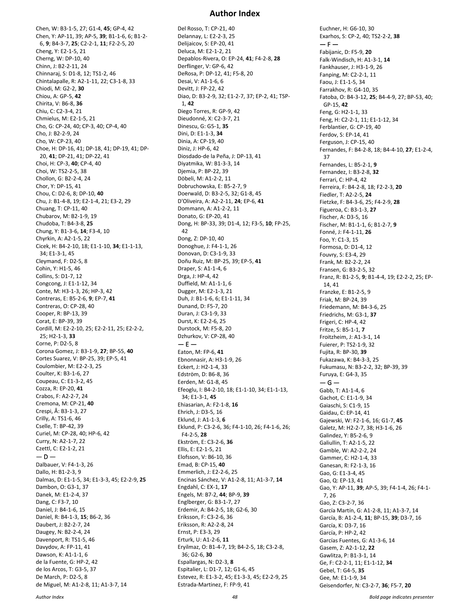Chen, W: B3-1-5, 27; G1-4, **45**; GP-4, 42 Chen, Y: AP-11, 39; AP-5, **39**; B1-1-6, 6; B1-2- 6, **9**; B4-3-7, **25**; C2-2-1, **11**; F2-2-5, 20 Cheng, Y: E2-1-5, 21 Cherng, W: DP-10, 40 Chinn, J: B2-2-11, 24 Chinnaraj, S: D1-8, 12; TS1-2, 46 Chintalapalle, R: A2-1-11, 22; C3-1-8, 33 Chiodi, M: G2-2, **30** Chiou, A: GP-5, **42** Chirita, V: B6-8, **36** Chiu, C: C2-3-4, 21 Chmielus, M: E2-1-5, 21 Cho, G: CP-24, 40; CP-3, 40; CP-4, 40 Cho, J: B2-2-9, 24 Cho, W: CP-23, 40 Choe, H: DP-16, 41; DP-18, 41; DP-19, 41; DP-20, **41**; DP-21, 41; DP-22, 41 Choi, H: CP-3, **40**; CP-4, 40 Choi, W: TS2-2-5, 38 Chollon, G: B2-2-4, 24 Chor, Y: DP-15, 41 Chou, C: D2-6, 8; DP-10, **40** Chu, J: B1-4-8, 19; E2-1-4, 21; E3-2, 29 Chuang, T: CP-11, 40 Chubarov, M: B2-1-9, 19 Chudoba, T: B4-3-8, **25** Chung, Y: B1-3-6, **14**; F3-4, 10 Chyrkin, A: A2-1-5, 22 Cicek, H: B4-2-10, 18; E1-1-10, **34**; E1-1-13, 34; E1-3-1, 45 Cleymand, F: D2-5, 8 Cohin, Y: H1-5, 46 Collins, S: D1-7, 12 Congcong, J: E1-1-12, 34 Conte, M: H3-1-3, 26; HP-3, 42 Contreras, E: B5-2-6, **9**; EP-7, **41** Contreras, O: CP-28, 40 Cooper, R: BP-13, 39 Corat, E: BP-39, 39 Cordill, M: E2-2-10, 25; E2-2-11, 25; E2-2-2, 25; H2-1-3, **33** Corne, P: D2-5, 8 Corona Gomez, J: B3-1-9, **27**; BP-55, **40** Cortes Suarez, V: BP-25, 39; EP-5, 41 Coulombier, M: E2-2-3, 25 Coulter, K: B3-1-6, 27 Coupeau, C: E1-3-2, 45 Cozza, R: EP-20, **41** Crabos, F: A2-2-7, 24 Cremona, M: CP-21, **40** Crespi, Â: B3-1-3, 27 Crilly, A: TS1-6, 46 Cselle, T: BP-42, 39 Curiel, M: CP-28, 40; HP-6, 42 Curry, N: A2-1-7, 22 Czettl, C: E2-1-2, 21  $-$  D  $-$ Dalbauer, V: F4-1-3, 26 Dallo, H: B1-2-3, 9 Dalmas, D: E1-1-5, 34; E1-3-3, 45; E2-2-9, **25** Dambon, O: G3-1, 37 Danek, M: E1-2-4, 37 Dang, C: F3-7, 10 Daniel, J: B4-1-6, 15 Daniel, R: B4-1-3, **15**; B6-2, 36 Daubert, J: B2-2-7, 24 Daugey, N: B2-2-4, 24 Davenport, R: TS1-5, 46 Davydov, A: FP-11, 41 Dawson, K: A1-1-1, 6 de la Fuente, G: HP-2, 42 de los Arcos, T: G3-5, 37 De March, P: D2-5, 8 de Miguel, M: A1-2-8, 11; A1-3-7, 14

#### **Author Index**

Del Rosso, T: CP-21, 40 Delannay, L: E2-2-3, 25 Delijaicov, S: EP-20, 41 Deluca, M: E2-1-2, 21 Depablos-Rivera, O: EP-24, **41**; F4-2-8, **28** Derflinger, V: GP-6, 42 DeRosa, P: DP-12, 41; F5-8, 20 Desai, V: A1-1-6, 6 Devitt, J: FP-22, 42 Diao, D: B3-2-9, 32; E1-2-7, 37; EP-2, 41; TSP-1, **42** Diego Torres, R: GP-9, 42 Dieudonné, X: C2-3-7, 21 Dinescu, G: G5-1, **35** Dini, D: E1-1-3, **34** Dinia, A: CP-19, 40 Diniz, J: HP-6, 42 Diosdado-de la Peña, J: DP-13, 41 Diyatmika, W: B1-3-3, 14 Djemia, P: BP-22, 39 Döbeli, M: A1-2-2, 11 Dobruchowska, E: B5-2-7, 9 Doerwald, D: B3-2-5, 32; G1-8, 45 D'Oliveira, A: A2-2-11, **24**; EP-6, **41** Dommann, A: A1-2-2, 11 Donato, G: EP-20, 41 Dong, H: BP-33, 39; D1-4, 12; F3-5, **10**; FP-25, 42 Dong, Z: DP-10, 40 Donoghue, J: F4-1-1, 26 Donovan, D: C3-1-9, 33 Doñu Ruiz, M: BP-25, 39; EP-5, **41** Draper, S: A1-1-4, 6 Drga, J: HP-4, 42 Duffield, M: A1-1-1, 6 Dugger, M: E2-1-3, 21 Duh, J: B1-1-6, 6; E1-1-11, 34 Dunand, D: F5-7, 20 Duran, J: C3-1-9, 33 Durst, K: E2-2-6, 25 Durstock, M: F5-8, 20 Dzhurkov, V: CP-28, 40  $- E -$ Eaton, M: FP-6, **41** Ebnonnasir, A: H3-1-9, 26 Eckert, J: H2-1-4, 33 Edström, D: B6-8, 36 Eerden, M: G1-8, 45 Efeoglu, I: B4-2-10, 18; E1-1-10, 34; E1-1-13, 34; E1-3-1, **45** Ehiasarian, A: F2-1-8, **16** Ehrich, J: D3-5, 16 Eklund, J: A1-1-3, **6** Eklund, P: C3-2-6, 36; F4-1-10, 26; F4-1-6, 26; F4-2-5, **28** Ekström, E: C3-2-6, **36** Ellis, E: E2-1-5, 21 Elofsson, V: B6-10, 36 Emad, B: CP-15, **40** Emmerlich, J: E2-2-6, 25 Encinas Sánchez, V: A1-2-8, 11; A1-3-7, **14** Engdahl, C: EX-1, **17** Engels, M: B7-2, **44**; BP-9, **39** Englberger, G: B3-1-7, 27 Erdemir, A: B4-2-5, 18; G2-6, 30 Eriksson, F: C3-2-6, 36 Eriksson, R: A2-2-8, 24 Ernst, P: E3-3, 29 Erturk, U: A1-2-6, **11** Eryilmaz, O: B1-4-7, 19; B4-2-5, 18; C3-2-8, 36; G2-6, **30** Espallargas, N: D2-3, **8** Espitalier, L: D1-7, 12; G1-6, 45 Estevez, R: E1-3-2, 45; E1-3-3, 45; E2-2-9, 25 Estrada-Martinez, F: FP-9, 41

Euchner, H: G6-10, 30 Exarhos, S: CP-2, 40; TS2-2-2, **38**  $- F -$ Fabijanic, D: F5-9, **20** Falk-Windisch, H: A1-3-1, **14** Fankhauser, J: H3-1-9, 26 Fanping, M: C2-2-1, 11 Faou, J: E1-1-5, 34 Farrakhov, R: G4-10, 35 Fatoba, O: B4-3-12, **25**; B4-4-9, 27; BP-53, 40; GP-15, **42** Feng, G: H2-1-1, 33 Feng, H: C2-2-1, 11; E1-1-12, 34 Ferblantier, G: CP-19, 40 Ferdov, S: EP-14, 41 Ferguson, J: CP-15, 40 Fernandes, F: B4-2-8, 18; B4-4-10, **27**; E1-2-4, 37 Fernandes, L: B5-2-1, **9** Fernandez, I: B3-2-8, **32** Ferrari, C: HP-4, 42 Ferreira, F: B4-2-8, 18; F2-2-3, **20** Fiedler, T: A2-2-5, **24** Fietzke, F: B4-3-6, 25; F4-2-9, **28** Figueroa, C: B3-1-3, **27** Fischer, A: D3-5, 16 Fischer, M: B1-1-1, 6; B1-2-7, **9** Fonné, J: F4-1-11, **26** Foo, Y: C1-3, 15 Formosa, D: D1-4, 12 Fouvry, S: E3-4, 29 Frank, M: B2-2-2, 24 Fransen, G: B3-2-5, 32 Franz, R: B1-2-5, **9**; B1-4-4, 19; E2-2-2, 25; EP-14, 41 Franzke, E: B1-2-5, 9 Friak, M: BP-24, 39 Friedemann, M: B4-3-6, 25 Friedrichs, M: G3-1, **37** Frigeri, C: HP-4, 42 Fritze, S: B5-1-1, **7** Froitzheim, J: A1-3-1, 14 Fuierer, P: TS2-1-9, 32 Fujita, R: BP-30, **39** Fukazawa, K: B4-3-3, 25 Fukumasu, N: B3-2-2, 32; BP-39, 39 Furuya, E: G4-3, 35  $-$  G  $-$ Gabb, T: A1-1-4, 6 Gachot, C: E1-1-9, 34 Gaiaschi, S: C1-9, 15 Gaidau, C: EP-14, 41 Gajewski, W: F2-1-6, 16; G1-7, **45** Galetz, M: H2-2-7, 38; H3-1-6, 26 Galindez, Y: B5-2-6, 9 Galiullin, T: A2-1-5, 22 Gamble, W: A2-2-2, 24 Gammer, C: H2-1-4, 33 Ganesan, R: F2-1-3, 16 Gao, G: E1-3-4, 45 Gao, Q: EP-13, 41 Gao, Y: AP-11, **39**; AP-5, 39; F4-1-4, 26; F4-1- 7, 26 Gao, Z: C3-2-7, 36 García Martín, G: A1-2-8, 11; A1-3-7, 14 García, B: A1-2-4, **11**; BP-15, **39**; D3-7, 16 García, K: D3-7, 16 García, P: HP-2, 42 Garcías Fuentes, G: A1-3-6, 14 Gasem, Z: A2-1-12, **22** Gawlitza, P: B1-3-1, 14 Ge, F: C2-2-1, 11; E1-1-12, **34** Gebel, T: G4-5, **35** Gee, M: E1-1-9, 34 Geisendorfer, N: C3-2-7, **36**; F5-7, **20**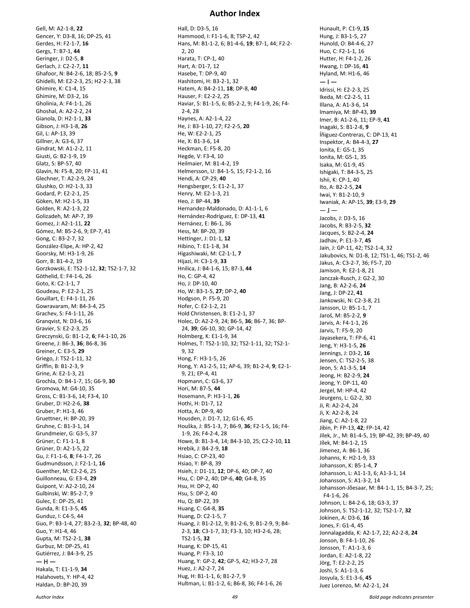Gell, M: A2-1-8, **22** Gencer, Y: D3-8, 16; DP-25, 41 Gerdes, H: F2-1-7, **16** Gergs, T: B7-1, **44** Geringer, J: D2-5, **8** Gerlach, J: C2-2-7, **11** Ghafoor, N: B4-2-6, 18; B5-2-5, **9** Ghidelli, M: E2-2-3, 25; H2-2-3, 38 Ghimire, K: C1-4, 15 Ghimire, M: D3-2, 16 Gholinia, A: F4-1-1, 26 Ghoshal, A: A2-2-2, 24 Gianola, D: H2-1-1, **33** Gibson, J: H3-1-8, **26** Gil, L: AP-13, 39 Gillner, A: G3-6, 37 Gindrat, M: A1-2-2, 11 Giusti, G: B2-1-9, 19 Glatz, S: BP-57, 40 Glavin, N: F5-8, 20; FP-11, 41 Glechner, T: A2-2-9, 24 Glushko, O: H2-1-3, 33 Godard, P: E2-2-1, 25 Göken, M: H2-1-5, 33 Golden, R: A2-1-3, 22 Golizadeh, M: AP-7, 39 Gomez, J: A2-1-11, **22** Gómez, M: B5-2-6, 9; EP-7, 41 Gong, C: B3-2-7, 32 González-Elipe, A: HP-2, 42 Goorsky, M: H3-1-9, 26 Gorr, B: B1-4-2, 19 Gorzkowski, E: TS2-1-12, **32**; TS2-1-7, 32 Göthelid, E: F4-1-6, 26 Goto, K: C2-1-1, 7 Goudeau, P: E2-2-1, 25 Gouillart, E: F4-1-11, 26 Gowravaram, M: B4-3-4, 25 Grachev, S: F4-1-11, 26 Granqvist, N: D3-6, 16 Gravier, S: E2-2-3, 25 Greczynski, G: B1-1-2, **6**; F4-1-10, 26 Greene, J: B6-3, **36**; B6-8, 36 Greiner, C: E3-5, **29** Griego, J: TS2-1-11, 32 Griffin, B: B1-2-3, 9 Grine, A: E2-1-3, 21 Grochla, D: B4-1-7, 15; G6-9, **30** Gromova, M: G4-10, 35 Gross, C: B1-3-6, 14; F3-4, 10 Gruber, D: H2-2-6, **38** Gruber, P: H1-3, 46 Gruettner, H: BP-20, 39 Gruhne, C: B1-3-1, 14 Grundmeier, G: G3-5, 37 Grüner, C: F1-1-1, 8 Grüner, D: A2-1-5, 22 Gu, J: F1-1-6, **8**; F4-1-7, 26 Gudmundsson, J: F2-1-1, **16** Guenther, M: E2-2-6, 25 Guillonneau, G: E3-4, **29** Guipont, V: A2-2-10, 24 Gulbinski, W: B5-2-7, 9 Gulec, E: DP-25, 41 Gunda, R: E1-3-5, **45** Gunduz, I: C4-5, 44 Guo, P: B3-1-4, 27; B3-2-3, **32**; BP-48, 40 Guo, Y: H1-4, 46 Gupta, M: TS2-2-1, **38** Gurbuz, M: DP-25, 41 Gutiérrez, J: B4-3-9, 25  $-$  H  $-$ Hakala, T: E1-1-9, **34** Halahovets, Y: HP-4, 42 Haldan, D: BP-20, 39

#### **Author Index**

Hall, D: D3-5, 16 Hammood, I: F1-1-6, 8; TSP-2, 42 Hans, M: B1-1-2, 6; B1-4-6, **19**; B7-1, 44; F2-2- 2, 20 Harata, T: CP-1, 40 Hart, A: D1-7, 12 Hasebe, T: DP-9, 40 Hashitomi, H: B3-2-1, 32 Hatem, A: B4-2-11, **18**; DP-8, **40** Hauser, F: E2-2-2, 25 Haviar, S: B1-1-5, 6; B5-2-2, 9; F4-1-9, 26; F4- 2-4, 28 Haynes, A: A2-1-4, 22 He, J: B3-1-10, 27; F2-2-5, **20** He, W: E2-2-1, 25 He, X: B1-3-6, 14 Heckman, E: F5-8, 20 Hegde, V: F3-4, 10 Heilmaier, M: B1-4-2, 19 Helmersson, U: B4-1-5, 15; F2-1-2, 16 Hendi, A: CP-29, **40** Hengsberger, S: E1-2-1, 37 Henry, M: E2-1-3, 21 Heo, J: BP-44, **39** Hernandez-Maldonado, D: A1-1-1, 6 Hernández-Rodríguez, E: DP-13, **41** Hernánez, E: B6-1, 36 Hess, M: BP-20, 39 Hettinger, J: D1-1, **12** Hibino, T: E1-1-8, 34 Higashiwaki, M: C2-1-1, **7** Hijazi, H: C3-1-9, **33** Hnilica, J: B4-1-6, 15; B7-3, **44** Ho, C: GP-4, 42 Ho, J: DP-10, 40 Ho, W: B3-1-5, **27**; DP-2, **40** Hodgson, P: F5-9, 20 Hofer, C: E2-1-2, 21 Hold Christensen, B: E1-2-1, 37 Holec, D: A2-2-9, 24; B6-5, **36**; B6-7, 36; BP-24, **39**; G6-10, 30; GP-14, 42 Holmberg, K: E1-1-9, 34 Holmes, T: TS2-1-10, 32; TS2-1-11, 32; TS2-1- 9, 32 Hong, F: H3-1-5, 26 Hong, Y: A1-2-5, 11; AP-6, 39; B1-2-4, **9**; E2-1- 9, 21; EP-4, 41 Hopmann, C: G3-6, 37 Hori, M: B7-5, **44** Hosemann, P: H3-1-1, **26** Hothi, H: D1-7, 12 Hotta, A: DP-9, 40 Housden, J: D1-7, 12; G1-6, 45 Houška, J: B5-1-3, 7; B6-9, **36**; F2-1-5, 16; F4- 1-9, 26; F4-2-4, 28 Howe, B: B1-3-4, 14; B4-3-10, 25; C2-2-10, **11** Hrebik, J: B4-2-9, **18** Hsiao, C: CP-23, 40 Hsiao, Y: BP-8, 39 Hsieh, J: D1-11, **12**; DP-6, 40; DP-7, 40 Hsu, C: DP-2, 40; DP-6, **40**; G4-8, 35 Hsu, H: DP-2, 40 Hsu, S: DP-2, 40 Hu, Q: BP-22, 39 Huang, C: G4-8, **35** Huang, D: C2-1-5, 7 Huang, J: B1-2-12, 9; B1-2-6, 9; B1-2-9, 9; B4- 2-3, **18**; C3-1-7, 33; F3-3, 10; H3-2-6, 28; TS2-1-5, **32** Huang, K: DP-15, 41 Huang, P: F3-3, 10 Huang, Y: GP-2, **42**; GP-5, 42; H3-2-7, 28 Huez, J: A2-2-7, 24 Hug, H: B1-1-1, 6; B1-2-7, 9 Hultman, L: B1-1-2, 6; B6-8, 36; F4-1-6, 26

Hunault, P: C1-9, **15** Hung, J: B3-1-5, 27 Hunold, O: B4-4-6, 27 Huo, C: F2-1-1, 16 Hutter, H: F4-1-2, 26 Hwang, I: DP-16, **41** Hyland, M: H1-6, 46  $-1-$ Idrissi, H: E2-2-3, 25 Ikeda, M: C2-2-5, 11 Illana, A: A1-3-6, 14 Imamiya, M: BP-43, **39** Imer, B: A1-2-6, 11; EP-9, **41** Inagaki, S: B1-2-8, **9** Íñiguez-Contreras, C: DP-13, 41 Inspektor, A: B4-4-3, **27** Ionita, E: G5-1, 35 Ionita, M: G5-1, 35 Isaka, M: G1-9, 45 Ishigaki, T: B4-3-5, 25 Ishii, K: CP-1, 40 Ito, A: B2-2-5, **24** Iwai, Y: B1-2-10, 9 Iwaniak, A: AP-15, **39**; E3-9, **29**  $-1-$ Jacobs, J: D3-5, 16 Jacobs, R: B3-2-5, **32** Jacques, S: B2-2-4, **24** Jadhav, P: E1-3-7, **45** Jain, J: GP-11, 42; TS2-1-4, 32 Jakubovics, N: D1-8, 12; TS1-1, 46; TS1-2, 46 Jakus, A: C3-2-7, 36; F5-7, 20 Jamison, R: E2-1-8, 21 Janczak-Rusch, J: G2-2, 30 Jang, B: A2-2-6, **24** Jang, J: DP-22, **41** Jankowski, N: C2-3-8, 21 Jansson, U: B5-1-1, 7 Jaroš, M: B5-2-2, **9** Jarvis, A: F4-1-1, 26 Jarvis, T: F5-9, 20 Jayasekera, T: FP-6, 41 Jeng, Y: H3-1-5, **26** Jennings, J: D3-2, **16** Jensen, C: TS2-2-5, 38 Jeon, S: A1-3-5, **14** Jeong, H: B2-2-9, **24** Jeong, Y: DP-11, 40 Jergel, M: HP-4, 42 Jeurgens, L: G2-2, 30 Ji, R: A2-2-4, 24 Ji, X: A2-2-8, 24 Jiang, C: A2-1-8, 22 Jibin, P: FP-13, **42**; FP-14, 42 Jilek, Jr., M: B1-4-5, 19; BP-42, 39; BP-49, 40 Jílek, M: B4-1-2, 15 Jimenez, A: B6-1, 36 Johanns, K: H2-1-9, 33 Johansson, K: B5-1-4, **7** Johansson, L: A1-1-3, 6; A1-3-1, 14 Johansson, S: A1-3-2, 14 Johansson-Jõesaar, M: B4-1-1, 15; B4-3-7, 25; F4-1-6, 26 Johnson, L: B4-2-6, 18; G3-3, 37 Johnson, S: TS2-1-12, 32; TS2-1-7, **32** Jokinen, A: D3-6, **16** Jones, F: G1-4, 45 Jonnalagadda, K: A2-1-7, 22; A2-2-8, **24** Jonson, B: F4-1-10, 26 Jonsson, T: A1-1-3, 6 Jordan, E: A2-1-8, 22 Jörg, T: E2-2-2, 25 Joshi, S: A1-1-3, 6 Josyula, S: E1-3-6, **45** Juez Lorenzo, M: A2-2-1, 24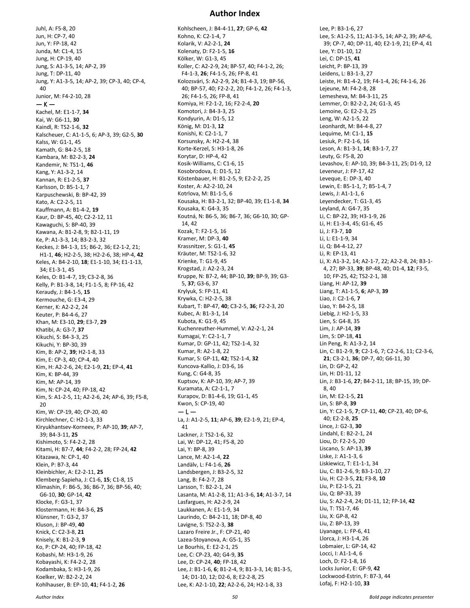Juhl, A: F5-8, 20 Jun, H: CP-7, 40 Jun, Y: FP-18, 42 Junda, M: C1-4, 15 Jung, H: CP-19, 40 Jung, S: A1-3-5, 14; AP-2, 39 Jung, T: DP-11, 40 Jung, Y: A1-3-5, 14; AP-2, 39; CP-3, 40; CP-4, 40 Junior, M: F4-2-10, 28  $-$  K  $-$ Kachel, M: E1-1-7, **34** Kai, W: G6-11, **30** Kaindl, R: TS2-1-6, **32** Kalscheuer, C: A1-1-5, 6; AP-3, 39; G2-5, **30** Kalss, W: G1-1, 45 Kamath, G: B4-2-5, 18 Kambara, M: B2-2-3, **24** Kandemir, N: TS1-1, **46** Kang, Y: A1-3-2, 14 Kannan, R: E1-2-5, **37** Karlsson, D: B5-1-1, 7 Karpuschewski, B: BP-42, 39 Kato, A: C2-2-5, 11 Kauffmann, A: B1-4-2, **19** Kaur, D: BP-45, 40; C2-2-12, 11 Kawaguchi, S: BP-40, 39 Kawana, A: B1-2-8, 9; B2-1-11, 19 Ke, P: A1-3-3, 14; B3-2-3, 32 Keckes, J: B4-1-3, 15; B6-2, 36; E2-1-2, 21; H1-1, **46**; H2-2-5, 38; H2-2-6, 38; HP-4, **42** Keles, A: B4-2-10, **18**; E1-1-10, 34; E1-1-13, 34; E1-3-1, 45 Keles, O: B1-4-7, 19; C3-2-8, 36 Kelly, P: B1-3-8, 14; F1-1-5, 8; FP-16, 42 Keraudy, J: B4-1-5, **15** Kermouche, G: E3-4, 29 Kerner, K: A2-2-2, 24 Keuter, P: B4-4-6, 27 Khan, M: E3-10, **29**; E3-7, **29** Khatibi, A: G3-7, **37** Kikuchi, S: B4-3-3, 25 Kikuchi, Y: BP-30, 39 Kim, B: AP-2, **39**; H2-1-8, 33 Kim, E: CP-3, 40; CP-4, 40 Kim, H: A2-2-6, 24; E2-1-9, **21**; EP-4, **41** Kim, K: BP-44, 39 Kim, M: AP-14, 39 Kim, N: CP-24, 40; FP-18, 42 Kim, S: A1-2-5, 11; A2-2-6, 24; AP-6, 39; F5-8, 20 Kim, W: CP-19, 40; CP-20, 40 Kirchlechner, C: H2-1-3, 33 Kiryukhantsev-Korneev, P: AP-10, **39**; AP-7, 39; B4-3-11, **25** Kishimoto, S: F4-2-2, 28 Kitami, H: B7-7, **44**; F4-2-2, 28; FP-24, **42** Kitazawa, N: CP-1, 40 Klein, P: B7-3, 44 Kleinbichler, A: E2-2-11, **25** Klemberg-Sapieha, J: C1-6, **15**; C1-8, 15 Klimashin, F: B6-5, 36; B6-7, 36; BP-56, 40; G6-10, **30**; GP-14, **42** Klocke, F: G3-1, 37 Klostermann, H: B4-3-6, **25** Klünsner, T: G3-2, 37 Kluson, J: BP-49, **40** Knick, C: C2-3-8, **21** Knisely, K: B1-2-3, **9** Ko, P: CP-24, 40; FP-18, 42 Kobashi, M: H3-1-9, 26 Kobayashi, K: F4-2-2, 28 Kodambaka, S: H3-1-9, 26 Koelker, W: B2-2-2, 24

#### **Author Index**

Kohlscheen, J: B4-4-11, **27**; GP-6, **42** Kohno, K: C2-1-4, 7 Kolarik, V: A2-2-1, **24** Kolenaty, D: F2-1-5, **16** Kölker, W: G1-3, 45 Koller, C: A2-2-9, 24; BP-57, 40; F4-1-2, 26; F4-1-3, **26**; F4-1-5, 26; FP-8, 41 Kolozsvári, S: A2-2-9, 24; B1-4-3, 19; BP-56, 40; BP-57, 40; F2-2-2, 20; F4-1-2, 26; F4-1-3, 26; F4-1-5, 26; FP-8, 41 Komiya, H: F2-1-2, 16; F2-2-4, **20** Komotori, J: B4-3-3, 25 Kondyurin, A: D1-5, 12 König, M: D1-3, **12** Konishi, K: C2-1-1, 7 Korsunsky, A: H2-2-4, 38 Korte-Kerzel, S: H3-1-8, 26 Korytar, D: HP-4, 42 Kosik-Williams, C: C1-6, 15 Kosobrodova, E: D1-5, 12 Köstenbauer, H: B1-2-5, 9; E2-2-2, 25 Koster, A: A2-2-10, 24 Kotrlova, M: B1-1-5, 6 Kousaka, H: B3-2-1, 32; BP-40, 39; E1-1-8, **34** Kousaka, K: G4-3, 35 Koutná, N: B6-5, 36; B6-7, 36; G6-10, 30; GP-14, 42 Kozak, T: F2-1-5, 16 Kramer, M: DP-3, **40** Krassnitzer, S: G1-1, **45** Kräuter, M: TS2-1-6, 32 Krienke, T: G1-9, 45 Krogstad, J: A2-2-3, 24 Kruppe, N: B7-2, 44; BP-10, **39**; BP-9, 39; G3- 5, **37**; G3-6, 37 Krylyuk, S: FP-11, 41 Krywka, C: H2-2-5, 38 Kubart, T: BP-47, **40**; C3-2-5, **36**; F2-2-3, 20 Kubec, A: B1-3-1, 14 Kubota, K: G1-9, 45 Kuchenreuther-Hummel, V: A2-2-1, 24 Kumagai, Y: C2-1-1, 7 Kumar, D: GP-11, 42; TS2-1-4, 32 Kumar, R: A2-1-8, 22 Kumar, S: GP-11, **42**; TS2-1-4, **32** Kuncova-Kallio, J: D3-6, 16 Kung, C: G4-8, 35 Kuptsov, K: AP-10, 39; AP-7, 39 Kuramata, A: C2-1-1, 7 Kurapov, D: B1-4-6, 19; G1-1, 45 Kwon, S: CP-19, 40  $-1-$ La, J: A1-2-5, **11**; AP-6, **39**; E2-1-9, 21; EP-4, 41 Lackner, J: TS2-1-6, 32 Lai, W: DP-12, 41; F5-8, 20 Lai, Y: BP-8, 39 Lance, M: A2-1-4, **22** Landälv, L: F4-1-6, **26** Landsbergen, J: B3-2-5, 32 Lang, B: F4-2-7, 28 Larsson, T: B2-2-1, 24 Lasanta, M: A1-2-8, 11; A1-3-6, **14**; A1-3-7, 14 Lasfargues, H: A2-2-9, 24 Laukkanen, A: E1-1-9, 34 Laurindo, C: B4-2-11, 18; DP-8, 40 Lavigne, S: TS2-2-3, **38** Lazaro Freire Jr., F: CP-21, 40 Lazea-Stoyanova, A: G5-1, 35 Le Bourhis, E: E2-2-1, 25 Lee, C: CP-23, 40; G4-9, **35** Lee, D: CP-24, **40**; FP-18, 42 Lee, J: B1-1-6, **6**; B1-2-4, 9; B1-3-3, 14; B1-3-5, 14; D1-10, 12; D2-6, 8; E2-2-8, 25 Lee, K: A2-1-10, **22**; A2-2-6, 24; H2-1-8, 33

Lee, P: B3-1-6, 27 Lee, S: A1-2-5, 11; A1-3-5, 14; AP-2, 39; AP-6, 39; CP-7, 40; DP-11, 40; E2-1-9, 21; EP-4, 41 Lee, Y: D1-10, 12 Lei, C: DP-15, **41** Leicht, P: BP-13, 39 Leidens, L: B3-1-3, 27 Leiste, H: B1-4-2, 19; F4-1-4, 26; F4-1-6, 26 Lejeune, M: F4-2-8, 28 Lemesheva, M: B4-3-11, 25 Lemmer, O: B2-2-2, 24; G1-3, 45 Lemoine, G: E2-2-3, 25 Leng, W: A2-1-5, 22 Leonhardt, M: B4-4-8, 27 Lequime, M: C1-1, **15** Lesiuk, P: F2-1-6, 16 Leson, A: B1-3-1, **14**; B3-1-7, 27 Leuty, G: F5-8, 20 Levashov, E: AP-10, 39; B4-3-11, 25; D1-9, 12 Leveneur, J: FP-17, 42 Leveque, E: DP-3, 40 Lewin, E: B5-1-1, 7; B5-1-4, 7 Lewis, J: A1-1-1, 6 Leyendecker, T: G1-3, 45 Leyland, A: G4-7, 35 Li, C: BP-22, 39; H3-1-9, 26 Li, H: E1-3-4, 45; G1-6, 45 Li, J: F3-7, **10** Li, L: E1-1-9, 34 Li, Q: B4-4-12, 27 Li, R: EP-13, 41 Li, X: A1-3-2, 14; A2-1-7, 22; A2-2-8, 24; B3-1- 4, 27; BP-33, **39**; BP-48, 40; D1-4, **12**; F3-5, 10; FP-25, 42; TS2-2-1, 38 Liang, H: AP-12, **39** Liang, T: A1-1-5, **6**; AP-3, **39** Liao, J: C2-1-6, **7** Liao, Y: B4-2-5, 18 Liebig, J: H2-1-5, 33 Lien, S: G4-8, 35 Lim, J: AP-14, **39** Lim, S: DP-18, **41** Lin Peng, R: A1-3-2, 14 Lin, C: B1-2-9, **9**; C2-1-6, 7; C2-2-6, 11; C2-3-6, **21**; C3-2-1, **36**; DP-7, 40; G6-11, 30 Lin, D: GP-2, 42 Lin, H: D1-11, 12 Lin, J: B3-1-6, **27**; B4-2-11, 18; BP-15, 39; DP-8, 40 Lin, M: E2-1-5, **21** Lin, S: BP-8, **39** Lin, Y: C2-1-5, **7**; CP-11, **40**; CP-23, 40; DP-6, 40; E2-2-8, **25** Lince, J: G2-3, **30** Lindahl, E: B2-2-1, 24 Liou, D: F2-2-5, 20 Liscano, S: AP-13, **39** Liske, J: A1-1-3, 6 Liskiewicz, T: E1-1-1, 34 Liu, C: B1-2-6, 9; B3-1-10, 27 Liu, H: C2-3-5, **21**; F3-8, **10** Liu, P: E2-1-5, 21 Liu, Q: BP-33, 39 Liu, S: A2-2-4, 24; D1-11, 12; FP-14, **42** Liu, T: TS1-7, 46 Liu, X: GP-8, 42 Liu, Z: BP-13, 39 Liyanage, L: FP-6, 41 Llorca, J: H3-1-4, 26 Lobmaier, L: GP-14, 42 Locci, I: A1-1-4, 6 Loch, D: F2-1-8, 16 Locks Junior, E: GP-9, **42** Lockwood-Estrin, F: B7-3, 44 Lofaj, F: H2-1-10, **33**

Kohlhauser, B: EP-10, **41**; F4-1-2, **26**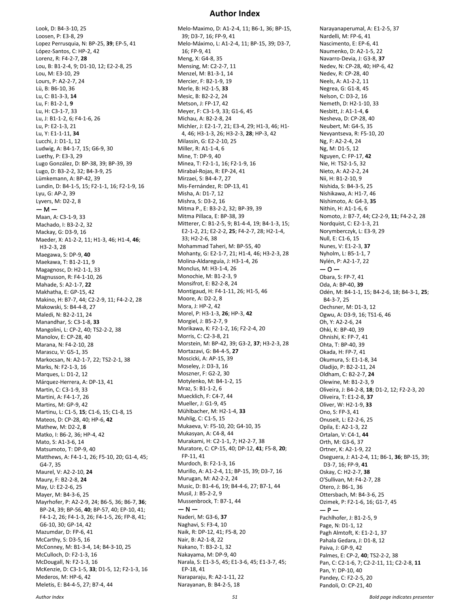**Author Index**

Look, D: B4-3-10, 25 Loosen, P: E3-8, 29 Lopez Perrusquia, N: BP-25, **39**; EP-5, 41 López-Santos, C: HP-2, 42 Lorenz, R: F4-2-7, **28** Lou, B: B1-2-4, 9; D1-10, 12; E2-2-8, 25 Lou, M: E3-10, 29 Lours, P: A2-2-7, 24 Lü, B: B6-10, 36 Lu, C: B1-3-3, **14** Lu, F: B1-2-1, **9** Lu, H: C3-1-7, 33 Lu, J: B1-1-2, 6; F4-1-6, 26 Lu, P: E2-1-3, 21 Lu, Y: E1-1-11, **34** Lucchi, J: D1-1, 12 Ludwig, A: B4-1-7, 15; G6-9, 30 Luethy, P: E3-3, 29 Lugo González, D: BP-38, 39; BP-39, 39 Lugo, D: B3-2-2, 32; B4-3-9, 25 Lümkemann, A: BP-42, 39 Lundin, D: B4-1-5, 15; F2-1-1, 16; F2-1-9, 16 Lyu, G: AP-2, 39 Lyvers, M: D2-2, 8 — M — Maan, A: C3-1-9, 33 Machado, I: B3-2-2, 32 Mackay, G: D3-9, 16 Maeder, X: A1-2-2, 11; H1-3, 46; H1-4, **46**; H3-2-3, 28 Maegawa, S: DP-9, **40** Maekawa, T: B1-2-11, 9 Magagnosc, D: H2-1-1, 33 Magnusson, R: F4-1-10, 26 Mahade, S: A2-1-7, **22** Makhatha, E: GP-15, 42 Makino, H: B7-7, 44; C2-2-9, 11; F4-2-2, 28 Makowski, S: B4-4-8, 27 Maledi, N: B2-2-11, 24 Manandhar, S: C3-1-8, **33** Mangolini, L: CP-2, 40; TS2-2-2, 38 Manolov, E: CP-28, 40 Marana, N: F4-2-10, 28 Marascu, V: G5-1, 35 Markocsan, N: A2-1-7, 22; TS2-2-1, 38 Marks, N: F2-1-3, 16 Marques, L: D1-2, 12 Márquez-Herrera, A: DP-13, 41 Martin, C: C3-1-9, 33 Martini, A: F4-1-7, 26 Martins, M: GP-9, 42 Martinu, L: C1-5, **15**; C1-6, 15; C1-8, 15 Mateos, D: CP-28, 40; HP-6, **42** Mathew, M: D2-2, **8** Matko, I: B6-2, 36; HP-4, 42 Mato, S: A1-3-6, 14 Matsumoto, T: DP-9, 40 Matthews, A: F4-1-1, 26; F5-10, 20; G1-4, 45; G4-7, 35 Maurel, V: A2-2-10, **24** Maury, F: B2-2-8, **24** May, U: E2-2-6, 25 Mayer, M: B4-3-6, 25 Mayrhofer, P: A2-2-9, 24; B6-5, 36; B6-7, **36**; BP-24, 39; BP-56, **40**; BP-57, 40; EP-10, 41; F4-1-2, 26; F4-1-3, 26; F4-1-5, 26; FP-8, 41; G6-10, 30; GP-14, 42 Mazumdar, D: FP-6, 41 McCarthy, S: D3-5, 16 McConney, M: B1-3-4, 14; B4-3-10, 25 McCulloch, D: F2-1-3, 16 McDougall, N: F2-1-3, 16 McKenzie, D: C3-1-5, **33**; D1-5, 12; F2-1-3, 16 Mederos, M: HP-6, 42 Meletis, E: B4-4-5, 27; B7-4, 44

Melo-Maximo, D: A1-2-4, 11; B6-1, 36; BP-15, 39; D3-7, 16; FP-9, 41 Melo-Máximo, L: A1-2-4, 11; BP-15, 39; D3-7, 16; FP-9, 41 Meng, X: G4-8, 35 Mensing, M: C2-2-7, 11 Menzel, M: B1-3-1, 14 Mercier, F: B2-1-9, 19 Merle, B: H2-1-5, **33** Mesic, B: B2-2-2, 24 Metson, J: FP-17, 42 Meyer, F: C3-1-9, 33; G1-6, 45 Michau, A: B2-2-8, 24 Michler, J: E2-1-7, 21; E3-4, 29; H1-3, 46; H1- 4, 46; H3-1-3, 26; H3-2-3, **28**; HP-3, 42 Milassin, G: E2-2-10, 25 Miller, R: A1-1-4, 6 Mine, T: DP-9, 40 Minea, T: F2-1-1, 16; F2-1-9, 16 Mirabal-Rojas, R: EP-24, 41 Mirzaei, S: B4-4-7, 27 Mis-Fernández, R: DP-13, 41 Misha, A: D1-7, 12 Mishra, S: D3-2, 16 Mitma P., E: B3-2-2, 32; BP-39, 39 Mitma Pillaca, E: BP-38, 39 Mitterer, C: B1-2-5, 9; B1-4-4, 19; B4-1-3, 15; E2-1-2, 21; E2-2-2, **25**; F4-2-7, 28; H2-1-4, 33; H2-2-6, 38 Mohammad Taheri, M: BP-55, 40 Mohanty, G: E2-1-7, 21; H1-4, 46; H3-2-3, 28 Molina-Aldareguía, J: H3-1-4, 26 Monclus, M: H3-1-4, 26 Monochie, M: B1-2-3, 9 Monsifrot, E: B2-2-8, 24 Montigaud, H: F4-1-11, 26; H1-5, 46 Moore, A: D2-2, 8 Mora, J: HP-2, 42 Morel, P: H3-1-3, **26**; HP-3, **42** Morgiel, J: B5-2-7, 9 Morikawa, K: F2-1-2, 16; F2-2-4, 20 Morris, C: C2-3-8, 21 Morstein, M: BP-42, 39; G3-2, **37**; H3-2-3, 28 Mortazavi, G: B4-4-5, **27** Moscicki, A: AP-15, 39 Moseley, J: D3-3, 16 Moszner, F: G2-2, 30 Motylenko, M: B4-1-2, 15 Mraz, S: B1-1-2, 6 Muecklich, F: C4-7, 44 Mueller, J: G1-9, 45 Mühlbacher, M: H2-1-4, **33** Muhlig, C: C1-5, 15 Mukaeva, V: F5-10, 20; G4-10, 35 Mukasyan, A: C4-8, 44 Murakami, H: C2-1-1, 7; H2-2-7, 38 Muratore, C: CP-15, 40; DP-12, **41**; F5-8, **20**; FP-11, 41 Murdoch, B: F2-1-3, 16 Murillo, A: A1-2-4, 11; BP-15, 39; D3-7, 16 Murugan, M: A2-2-2, 24 Music, D: B1-4-6, 19; B4-4-6, 27; B7-1, 44 Musil, J: B5-2-2, 9 Mussenbrock, T: B7-1, 44  $- N -$ Naderi, M: G3-6, **37** Naghavi, S: F3-4, 10 Naik, R: DP-12, 41; F5-8, 20 Nair, B: A2-1-8, 22 Nakano, T: B3-2-1, 32 Nakayama, M: DP-9, 40 Narala, S: E1-3-5, 45; E1-3-6, 45; E1-3-7, 45; EP-18, 41 Naraparaju, R: A2-1-11, 22 Narayanan, B: B4-2-5, 18

Narayanaperumal, A: E1-2-5, 37 Nardelli, M: FP-6, 41 Nascimento, E: EP-6, 41 Naumenko, D: A2-1-5, 22 Navarro-Devia, J: G3-8, **37** Nedev, N: CP-28, 40; HP-6, 42 Nedev, R: CP-28, 40 Neels, A: A1-2-2, 11 Negrea, G: G1-8, 45 Nelson, C: D3-2, 16 Nemeth, D: H2-1-10, 33 Nesbitt, J: A1-1-4, **6** Nesheva, D: CP-28, 40 Neubert, M: G4-5, 35 Nevyantseva, R: F5-10, 20 Ng, F: A2-2-4, 24 Ng, M: D1-5, 12 Nguyen, C: FP-17, **42** Nie, H: TS2-1-5, 32 Nieto, A: A2-2-2, 24 Nii, H: B1-2-10, 9 Nishida, S: B4-3-5, 25 Nishikawa, A: H1-7, 46 Nishimoto, A: G4-3, **35** Nithin, H: A1-1-6, 6 Nomoto, J: B7-7, 44; C2-2-9, **11**; F4-2-2, 28 Nordquist, C: E2-1-3, 21 Norymberczyk, L: E3-9, 29 Null, E: C1-6, 15 Nunes, V: E1-2-3, **37** Nyholm, L: B5-1-1, 7 Nylén, P: A2-1-7, 22  $-0-$ Obara, S: FP-7, 41 Oda, A: BP-40, **39** Odén, M: B4-1-1, 15; B4-2-6, 18; B4-3-1, **25**; B4-3-7, 25 Oechsner, M: D1-3, 12 Ogwu, A: D3-9, 16; TS1-6, 46 Oh, Y: A2-2-6, 24 Ohki, K: BP-40, 39 Ohnishi, K: FP-7, 41 Ohta, T: BP-40, 39 Okada, H: FP-7, 41 Okumura, S: E1-1-8, 34 Oladijo, P: B2-2-11, 24 Oldham, C: B2-2-7, **24** Olewine, M: B1-2-3, 9 Oliveira, J: B4-2-8, **18**; D1-2, 12; F2-2-3, 20 Oliveira, T: E1-2-8, **37** Oliver, W: H2-1-9, **33** Ono, S: FP-3, 41 Onuseit, L: E2-2-6, 25 Opila, E: A2-1-3, 22 Ortalan, V: C4-1, **44** Orth, M: G3-6, 37 Ortner, K: A2-1-9, 22 Oseguera, J: A1-2-4, 11; B6-1, **36**; BP-15, 39; D3-7, 16; FP-9, **41** Oskay, C: H2-2-7, **38** O'Sullivan, M: F4-2-7, 28 Otero, J: B6-1, 36 Ottersbach, M: B4-3-6, 25 Ozimek, P: F2-1-6, 16; G1-7, 45  $- P -$ Pachlhofer, J: B1-2-5, 9 Page, N: D1-1, 12 Pagh Almtoft, K: E1-2-1, 37 Pahala Gedara, J: D1-8, 12 Paiva, J: GP-9, 42 Palmes, E: CP-2, **40**; TS2-2-2, 38 Pan, C: C2-1-6, 7; C2-2-11, 11; C2-2-8, **11** Pan, Y: DP-10, 40 Pandey, C: F2-2-5, 20 Pandoli, O: CP-21, 40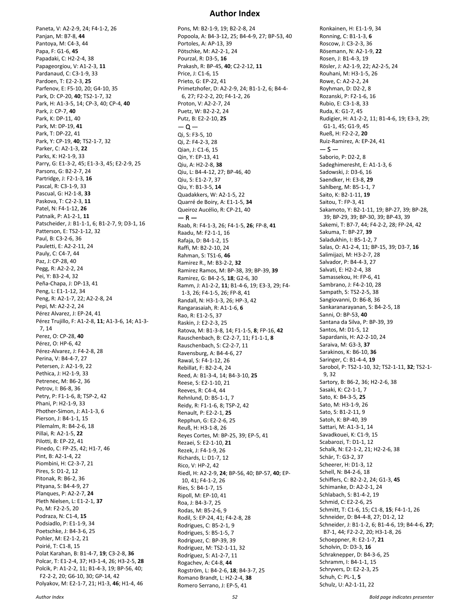**Author Index**

Pardanaud, C: C3-1-9, 33 Pardoen, T: E2-2-3, **25** Parfenov, E: F5-10, 20; G4-10, 35 Park, D: CP-20, **40**; TS2-1-7, 32 Park, H: A1-3-5, 14; CP-3, 40; CP-4, **40** Park, J: CP-7, **40** Park, K: DP-11, 40 Park, M: DP-19, **41** Park, T: DP-22, 41 Park, Y: CP-19, **40**; TS2-1-7, 32 Parker, C: A2-1-3, **22** Parks, K: H2-1-9, 33 Parry, G: E1-3-2, 45; E1-3-3, 45; E2-2-9, 25 Parsons, G: B2-2-7, 24 Partridge, J: F2-1-3, **16** Pascal, R: C3-1-9, 33 Pascual, G: H2-1-8, **33** Paskova, T: C2-2-3, **11** Patel, N: F4-1-12, **26** Patnaik, P: A1-2-1, **11** Patscheider, J: B1-1-1, 6; B1-2-7, 9; D3-1, 16 Patterson, E: TS2-1-12, 32 Paul, B: C3-2-6, 36 Pauletti, E: A2-2-11, 24 Pauly, C: C4-7, 44 Paz, J: CP-28, 40 Pegg, R: A2-2-2, 24 Pei, Y: B3-2-4, 32 Peña-Chapa, J: DP-13, 41 Peng, L: E1-1-12, 34 Peng, R: A2-1-7, 22; A2-2-8, 24 Pepi, M: A2-2-2, 24 Pérez Alvarez, J: EP-24, 41 Pérez Trujillo, F: A1-2-8, **11**; A1-3-6, 14; A1-3- 7, 14 Perez, O: CP-28, **40** Pérez, O: HP-6, 42 Pérez-Alvarez, J: F4-2-8, 28 Perina, V: B4-4-7, 27 Petersen, J: A2-1-9, 22 Pethica, J: H2-1-9, 33 Petrenec, M: B6-2, 36 Petrov, I: B6-8, 36 Petry, P: F1-1-6, 8; TSP-2, 42 Phani, P: H2-1-9, 33 Phother-Simon, J: A1-1-3, 6 Pierson, J: B4-1-1, 15 Pilemalm, R: B4-2-6, 18 Pillai, R: A2-1-5, **22** Pilotti, B: EP-22, 41 Pinedo, C: FP-25, 42; H1-7, 46 Pint, B: A2-1-4, 22 Piombini, H: C2-3-7, 21 Pires, S: D1-2, 12 Pitonak, R: B6-2, 36 Pityana, S: B4-4-9, 27 Planques, P: A2-2-7, **24** Pleth Nielsen, L: E1-2-1, **37** Po, M: F2-2-5, 20 Podraza, N: C1-4, **15** Podsiadlo, P: E1-1-9, 34 Poetschke, J: B4-3-6, 25 Pohler, M: E2-1-2, 21 Poirié, T: C1-8, 15 Polat Karahan, B: B1-4-7, **19**; C3-2-8, **36** Polcar, T: E1-2-4, 37; H3-1-4, 26; H3-2-5, **28** Polcik, P: A1-2-2, 11; B1-4-3, 19; BP-56, 40; F2-2-2, 20; G6-10, 30; GP-14, 42 Polyakov, M: E2-1-7, 21; H1-3, **46**; H1-4, 46

Paneta, V: A2-2-9, 24; F4-1-2, 26

Panjan, M: B7-8, **44** Pantoya, M: C4-3, 44 Papa, F: G1-6, **45** Papadaki, C: H2-2-4, 38 Papageorgiou, V: A1-2-3, **11**

Pons, M: B2-1-9, 19; B2-2-8, 24 Popoola, A: B4-3-12, 25; B4-4-9, 27; BP-53, 40 Portoles, A: AP-13, 39 Pötschke, M: A2-2-1, 24 Pourzal, R: D3-5, **16** Prakash, R: BP-45, **40**; C2-2-12, **11** Price, J: C1-6, 15 Prieto, G: EP-22, 41 Primetzhofer, D: A2-2-9, 24; B1-1-2, 6; B4-4- 6, 27; F2-2-2, 20; F4-1-2, 26 Proton, V: A2-2-7, 24 Puetz, W: B2-2-2, 24 Putz, B: E2-2-10, **25**  $-\alpha -$ Qi, S: F3-5, 10 Qi, Z: F4-2-3, 28 Qian, J: C1-6, 15 Qin, Y: EP-13, 41 Qiu, A: H2-2-8, **38** Qiu, L: B4-4-12, 27; BP-46, 40 Qiu, S: E1-2-7, 37 Qiu, Y: B1-3-5, **14** Quadakkers, W: A2-1-5, 22 Quarré de Boiry, A: E1-1-5, **34** Queiroz Aucélio, R: CP-21, 40  $-$  R  $-$ Raab, R: F4-1-3, 26; F4-1-5, **26**; FP-8, **41** Raadu, M: F2-1-1, 16 Rafaja, D: B4-1-2, 15 Raffi, M: B2-2-10, 24 Rahman, S: TS1-6, **46** Ramirez R., M: B3-2-2, **32** Ramirez Ramos, M: BP-38, 39; BP-39, **39** Ramirez, G: B4-2-5, **18**; G2-6, 30 Ramm, J: A1-2-2, **11**; B1-4-6, 19; E3-3, 29; F4- 1-3, 26; F4-1-5, 26; FP-8, 41 Randall, N: H3-1-3, 26; HP-3, 42 Rangarasaiah, R: A1-1-6, **6** Rao, R: E1-2-5, 37 Raskin, J: E2-2-3, 25 Ratova, M: B1-3-8, 14; F1-1-5, **8**; FP-16, **42** Rauschenbach, B: C2-2-7, 11; F1-1-1, **8** Rauschenbach, S: C2-2-7, 11 Ravensburg, A: B4-4-6, 27 Rawal, S: F4-1-12, 26 Rebillat, F: B2-2-4, 24 Reed, A: B1-3-4, 14; B4-3-10, **25** Reese, S: E2-1-10, 21 Reeves, R: C4-4, 44 Rehnlund, D: B5-1-1, 7 Reidy, R: F1-1-6, 8; TSP-2, 42 Renault, P: E2-2-1, **25** Repphun, G: E2-2-6, 25 Reuß, H: H3-1-8, 26 Reyes Cortes, M: BP-25, 39; EP-5, 41 Rezaei, S: E2-1-10, **21** Rezek, J: F4-1-9, 26 Richards, L: D1-7, 12 Rico, V: HP-2, 42 Riedl, H: A2-2-9, **24**; BP-56, 40; BP-57, **40**; EP-10, 41; F4-1-2, 26 Ries, S: B4-1-7, 15 Ripoll, M: EP-10, 41 Roa, J: B4-3-7, 25 Rodas, M: B5-2-6, 9 Rodil, S: EP-24, 41; F4-2-8, 28 Rodrigues, C: B5-2-1, 9 Rodrigues, S: B5-1-5, 7 Rodriguez, C: BP-39, 39 Rodriguez, M: TS2-1-11, 32 Rodríguez, S: A1-2-7, 11 Rogachev, A: C4-8, **44** Rogström, L: B4-2-6, **18**; B4-3-7, 25 Romano Brandt, L: H2-2-4, **38** Romero Serrano, J: EP-5, 41

Ronkainen, H: E1-1-9, 34 Ronning, C: B1-1-3, **6** Roscow, J: C3-2-3, 36 Rösemann, N: A2-1-9, **22** Rosen, J: B1-4-3, 19 Rösler, J: A2-1-9, 22; A2-2-5, 24 Rouhani, M: H3-1-5, 26 Rowe, C: A2-2-2, 24 Royhman, D: D2-2, 8 Rozanski, P: F2-1-6, 16 Rubio, E: C3-1-8, 33 Ruda, K: G1-7, 45 Rudigier, H: A1-2-2, 11; B1-4-6, 19; E3-3, 29; G1-1, 45; G1-9, 45 Rueß, H: F2-2-2, **20** Ruiz-Ramirez, A: EP-24, 41  $-5-$ Saborio, P: D2-2, 8 Sadeghimeresht, E: A1-1-3, 6 Sadowski, J: D3-6, 16 Saendker, H: E3-8, **29** Sahlberg, M: B5-1-1, 7 Saito, K: B2-1-11, **19** Saitou, T: FP-3, 41 Sakamoto, Y: B2-1-11, 19; BP-27, 39; BP-28, 39; BP-29, 39; BP-30, 39; BP-43, 39 Sakemi, T: B7-7, 44; F4-2-2, 28; FP-24, 42 Sakuma, T: BP-27, **39** Saladukhin, I: B5-1-2, 7 Salas, O: A1-2-4, 11; BP-15, 39; D3-7, **16** Salimijazi, M: H3-2-7, 28 Salvador, P: B4-4-3, 27 Salvati, E: H2-2-4, 38 Samassekou, H: FP-6, 41 Sambrano, J: F4-2-10, 28 Sampath, S: TS2-2-5, 38 Sangiovanni, D: B6-8, 36 Sankaranarayanan, S: B4-2-5, 18 Sanni, O: BP-53, **40** Santana da Silva, P: BP-39, 39 Santos, M: D1-5, 12 Sapardanis, H: A2-2-10, 24 Saraiva, M: G3-3, **37** Sarakinos, K: B6-10, **36** Saringer, C: B1-4-4, **19** Sarobol, P: TS2-1-10, 32; TS2-1-11, **32**; TS2-1- 9, 32 Sartory, B: B6-2, 36; H2-2-6, 38 Sasaki, K: C2-1-1, 7 Sato, K: B4-3-5, **25** Sato, M: H3-1-9, 26 Sato, S: B1-2-11, 9 Satoh, K: BP-40, 39 Sattari, M: A1-3-1, 14 Savadkouei, K: C1-9, 15 Scabarozi, T: D1-1, 12 Schalk, N: E2-1-2, 21; H2-2-6, 38 Schär, T: G3-2, 37 Scheerer, H: D1-3, 12 Schell, N: B4-2-6, 18 Schiffers, C: B2-2-2, 24; G1-3, **45** Schimanke, D: A2-2-1, 24 Schlabach, S: B1-4-2, 19 Schmid, C: E2-2-6, 25 Schmitt, T: C1-6, 15; C1-8, **15**; F4-1-1, 26 Schneider, D: B4-4-8, 27; D1-2, 12 Schneider, J: B1-1-2, 6; B1-4-6, 19; B4-4-6, **27**; B7-1, 44; F2-2-2, 20; H3-1-8, 26 Schoeppner, R: E2-1-7, **21** Scholvin, D: D3-3, **16** Schraknepper, D: B4-3-6, 25 Schramm, I: B4-1-1, 15 Schryvers, D: E2-2-3, 25 Schuh, C: PL-1, **5** Schulz, U: A2-1-11, 22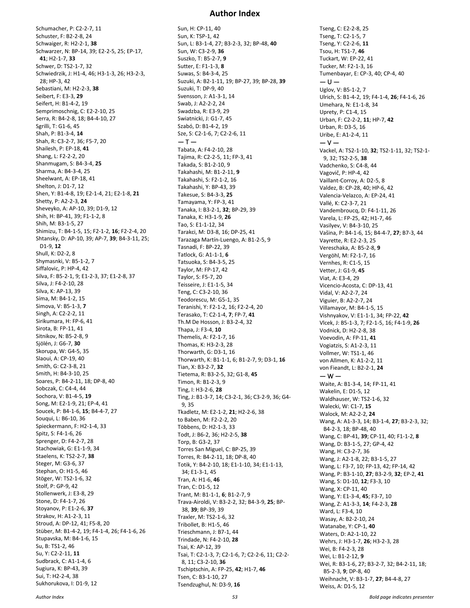Schumacher, P: C2-2-7, 11 Schuster, F: B2-2-8, 24 Schwaiger, R: H2-2-1, **38** Schwarzer, N: BP-14, 39; E2-2-5, 25; EP-17, **41**; H2-1-7, **33** Schwer, D: TS2-1-7, 32 Schwiedrzik, J: H1-4, 46; H3-1-3, 26; H3-2-3, 28; HP-3, 42 Sebastiani, M: H2-2-3, **38** Seibert, F: E3-3, **29** Seifert, H: B1-4-2, 19 Semprimoschnig, C: E2-2-10, 25 Serra, R: B4-2-8, 18; B4-4-10, 27 Sgrilli, T: G1-6, 45 Shah, P: B1-3-4, **14** Shah, R: C3-2-7, 36; F5-7, 20 Shailesh, P: EP-18, **41** Shang, L: F2-2-2, 20 Shanmugam, S: B4-3-4, **25** Sharma, A: B4-3-4, 25 Sheelwant, A: EP-18, 41 Shelton, J: D1-7, 12 Shen, Y: B1-4-8, 19; E2-1-4, 21; E2-1-8, **21** Shetty, P: A2-2-3, **24** Sheveyko, A: AP-10, 39; D1-9, 12 Shih, H: BP-41, 39; F1-1-2, 8 Shih, M: B3-1-5, 27 Shimizu, T: B4-1-5, 15; F2-1-2, **16**; F2-2-4, 20 Shtansky, D: AP-10, 39; AP-7, **39**; B4-3-11, 25; D1-9, **12** Shull, K: D2-2, 8 Shymasnki, V: B5-1-2, 7 Siffalovic, P: HP-4, 42 Silva, F: B5-2-1, 9; E1-2-3, 37; E1-2-8, 37 Silva, J: F4-2-10, 28 Silva, K: AP-13, 39 Síma, M: B4-1-2, 15 Simova, V: B5-1-3, **7** Singh, A: C2-2-2, 11 Sirikumara, H: FP-6, 41 Sirota, B: FP-11, 41 Sitnikov, N: B5-2-8, 9 Sjölén, J: G6-7, **30** Skorupa, W: G4-5, 35 Slaoui, A: CP-19, 40 Smith, G: C2-3-8, 21 Smith, H: B4-3-10, 25 Soares, P: B4-2-11, 18; DP-8, 40 Sobczak, C: C4-4, 44 Sochora, V: B1-4-5, **19** Song, M: E2-1-9, 21; EP-4, 41 Soucek, P: B4-1-6, **15**; B4-4-7, 27 Souqui, L: B6-10, 36 Spieckermann, F: H2-1-4, 33 Spitz, S: F4-1-6, 26 Sprenger, D: F4-2-7, 28 Stachowiak, G: E1-1-9, 34 Staelens, K: TS2-2-7, **38** Steger, M: G3-6, 37 Stephan, O: H1-5, 46 Stöger, W: TS2-1-6, 32 Stolf, P: GP-9, 42 Stollenwerk, J: E3-8, 29 Stone, D: F4-1-7, 26 Stoyanov, P: E1-2-6, **37** Strakov, H: A1-2-3, 11 Stroud, A: DP-12, 41; F5-8, 20 Stüber, M: B1-4-2, 19; F4-1-4, 26; F4-1-6, 26 Stupavska, M: B4-1-6, 15 Su, B: TS1-2, 46 Su, Y: C2-2-11, **11** Sudbrack, C: A1-1-4, 6 Sugiura, K: BP-43, 39 Sui, T: H2-2-4, 38

#### **Author Index**

Sun, H: CP-11, 40 Sun, K: TSP-1, 42 Sun, L: B3-1-4, 27; B3-2-3, 32; BP-48, **40** Sun, W: C3-2-9, **36** Suszko, T: B5-2-7, **9** Sutter, E: F1-1-3, **8** Suwas, S: B4-3-4, 25 Suzuki, A: B2-1-11, 19; BP-27, 39; BP-28, **39** Suzuki, T: DP-9, 40 Svensson, J: A1-3-1, 14 Swab, J: A2-2-2, 24 Swadzba, R: E3-9, 29 Swiatnicki, J: G1-7, 45 Szabó, D: B1-4-2, 19 Sze, S: C2-1-6, 7; C2-2-6, 11  $-1-$ Tabata, A: F4-2-10, 28 Tajima, R: C2-2-5, 11; FP-3, 41 Takada, S: B1-2-10, 9 Takahashi, M: B1-2-11, **9** Takahashi, S: F2-1-2, 16 Takahashi, Y: BP-43, 39 Takesue, S: B4-3-3, **25** Tamayama, Y: FP-3, 41 Tanaka, I: B3-2-1, **32**; BP-29, 39 Tanaka, K: H3-1-9, **26** Tao, S: E1-1-12, 34 Tarakci, M: D3-8, 16; DP-25, 41 Tarazaga Martín-Luengo, A: B1-2-5, 9 Tasnadi, F: BP-22, 39 Tatlock, G: A1-1-1, **6** Tatsuoka, S: B4-3-5, 25 Taylor, M: FP-17, 42 Taylor, S: F5-7, 20 Teisseire, J: E1-1-5, 34 Teng, C: C3-2-10, 36 Teodorescu, M: G5-1, 35 Teranishi, Y: F2-1-2, 16; F2-2-4, 20 Terasako, T: C2-1-4, **7**; FP-7, **41** Th.M De Hosson, J: B3-2-4, 32 Thapa, J: F3-4, **10** Themelis, A: F2-1-7, 16 Thomas, K: H3-2-3, 28 Thorwarth, G: D3-1, 16 Thorwarth, K: B1-1-1, 6; B1-2-7, 9; D3-1, **16** Tian, X: B3-2-7, **32** Tietema, R: B3-2-5, 32; G1-8, **45** Timon, R: B1-2-3, 9 Ting, I: H3-2-6, **28** Ting, J: B1-3-7, 14; C3-2-1, 36; C3-2-9, 36; G4- 9, 35 Tkadletz, M: E2-1-2, **21**; H2-2-6, 38 to Baben, M: F2-2-2, 20 Többens, D: H2-1-3, 33 Todt, J: B6-2, 36; H2-2-5, **38** Torp, B: G3-2, 37 Torres San Miguel, C: BP-25, 39 Torres, R: B4-2-11, 18; DP-8, 40 Totik, Y: B4-2-10, 18; E1-1-10, 34; E1-1-13, 34; E1-3-1, 45 Tran, A: H1-6, **46** Tran, C: D1-5, 12 Trant, M: B1-1-1, **6**; B1-2-7, 9 Trava-Airoldi, V: B3-2-2, 32; B4-3-9, **25**; BP-38, **39**; BP-39, 39 Traxler, M: TS2-1-6, 32 Tribollet, B: H1-5, 46 Trieschmann, J: B7-1, 44 Trindade, N: F4-2-10, **28** Tsai, K: AP-12, 39 Tsai, T: C2-1-3, 7; C2-1-6, 7; C2-2-6, 11; C2-2- 8, 11; C3-2-10, **36** Tschiptschin, A: FP-25, **42**; H1-7, **46** Tsen, C: B3-1-10, 27 Tsendzughul, N: D3-9, **16**

Tseng, C: E2-2-8, 25 Tseng, T: C2-1-5, 7 Tseng, Y: C2-2-6, **11** Tsou, H: TS1-7, **46** Tuckart, W: EP-22, 41 Tucker, M: F2-1-3, 16 Tumenbayar, E: CP-3, 40; CP-4, 40  $-0-$ Uglov, V: B5-1-2, 7 Ulrich, S: B1-4-2, 19; F4-1-4, **26**; F4-1-6, 26 Umehara, N: E1-1-8, 34 Uprety, P: C1-4, 15 Urban, F: C2-2-2, **11**; HP-7, **42** Urban, R: D3-5, 16 Uribe, E: A1-2-4, 11  $- v -$ Vackel, A: TS2-1-10, **32**; TS2-1-11, 32; TS2-1- 9, 32; TS2-2-5, **38** Vadchenko, S: C4-8, 44 Vagovič, P: HP-4, 42 Vaillant-Corroy, A: D2-5, 8 Valdez, B: CP-28, 40; HP-6, 42 Valencia-Velazco, A: EP-24, 41 Vallé, K: C2-3-7, 21 Vandembroucq, D: F4-1-11, 26 Varela, L: FP-25, 42; H1-7, 46 Vasilyev, V: B4-3-10, 25 Vašina, P: B4-1-6, 15; B4-4-7, **27**; B7-3, 44 Vayrette, R: E2-2-3, 25 Vereschaka, A: B5-2-8, **9** Vergöhl, M: F2-1-7, 16 Vernhes, R: C1-5, 15 Vetter, J: G1-9, **45** Viat, A: E3-4, 29 Vicencio-Acosta, C: DP-13, 41 Vidal, V: A2-2-7, 24 Viguier, B: A2-2-7, 24 Villamayor, M: B4-1-5, 15 Vishnyakov, V: E1-1-1, 34; FP-22, **42** Vlcek, J: B5-1-3, 7; F2-1-5, 16; F4-1-9, **26** Vodnick, D: H2-2-8, 38 Voevodin, A: FP-11, **41** Vogiatzis, S: A1-2-3, 11 Vollmer, W: TS1-1, 46 von Allmen, K: A1-2-2, 11 von Fieandt, L: B2-2-1, **24**  $-$  W  $-$ Waite, A: B1-3-4, 14; FP-11, 41 Wakelin, E: D1-5, 12 Waldhauser, W: TS2-1-6, 32 Walecki, W: C1-7, **15** Walock, M: A2-2-2, **24** Wang, A: A1-3-3, 14; B3-1-4, **27**; B3-2-3, 32; B4-2-3, 18; BP-48, 40 Wang, C: BP-41, **39**; CP-11, 40; F1-1-2, **8** Wang, D: B3-1-5, 27; GP-4, 42 Wang, H: C3-2-7, 36 Wang, J: A2-1-8, 22; B3-1-5, 27 Wang, L: F3-7, 10; FP-13, 42; FP-14, 42 Wang, P: B3-1-10, **27**; B3-2-9, **32**; EP-2, **41** Wang, S: D1-10, **12**; F3-3, 10 Wang, X: CP-11, 40 Wang, Y: E1-3-4, **45**; F3-7, 10 Wang, Z: A1-3-3, **14**; F4-2-3, **28** Ward, L: F3-4, 10 Wasay, A: B2-2-10, 24 Watanabe, Y: CP-1, **40** Waters, D: A2-1-10, 22 Wehrs, J: H3-1-7, **26**; H3-2-3, 28 Wei, B: F4-2-3, 28 Wei, L: B1-2-12, **9** Wei, R: B3-1-6, 27; B3-2-7, 32; B4-2-11, 18; B5-2-3, **9**; DP-8, 40 Weihnacht, V: B3-1-7, **27**; B4-4-8, 27 Weiss, A: D1-5, 12

Sukhorukova, I: D1-9, 12